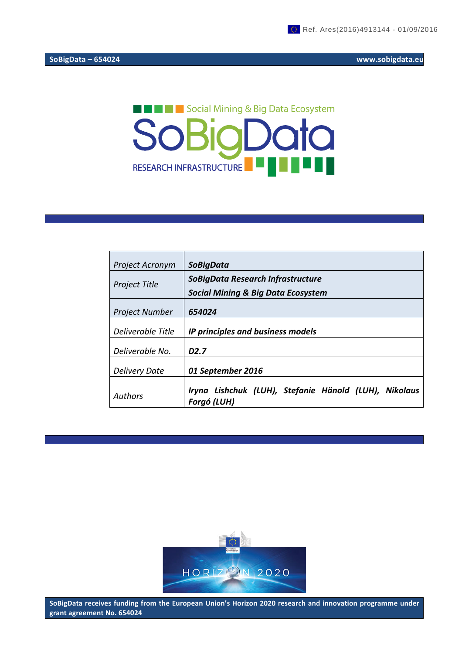# **THE EXECUTE Social Mining & Big Data Ecosystem** SoBigData RESEARCH INFRASTRUCTURE

| <b>Project Acronym</b> | <b>SoBigData</b>                                                     |
|------------------------|----------------------------------------------------------------------|
| <b>Project Title</b>   | SoBigData Research Infrastructure                                    |
|                        | <b>Social Mining &amp; Big Data Ecosystem</b>                        |
| <b>Project Number</b>  | 654024                                                               |
| Deliverable Title      | <b>IP principles and business models</b>                             |
| Deliverable No.        | D2.7                                                                 |
| <b>Delivery Date</b>   | 01 September 2016                                                    |
| Authors                | Iryna Lishchuk (LUH), Stefanie Hänold (LUH), Nikolaus<br>Forgó (LUH) |



SoBigData receives funding from the European Union's Horizon 2020 research and innovation programme under **grant agreement No. 654024**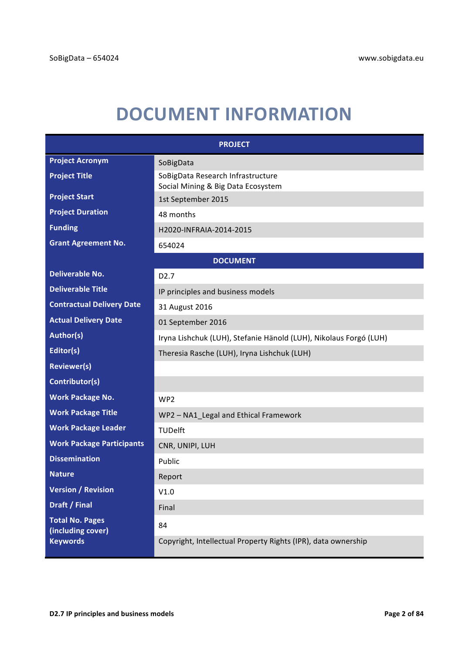# **DOCUMENT INFORMATION**

| <b>PROJECT</b>                              |                                                                         |  |  |  |  |
|---------------------------------------------|-------------------------------------------------------------------------|--|--|--|--|
| <b>Project Acronym</b>                      | SoBigData                                                               |  |  |  |  |
| <b>Project Title</b>                        | SoBigData Research Infrastructure<br>Social Mining & Big Data Ecosystem |  |  |  |  |
| <b>Project Start</b>                        | 1st September 2015                                                      |  |  |  |  |
| <b>Project Duration</b>                     | 48 months                                                               |  |  |  |  |
| <b>Funding</b>                              | H2020-INFRAIA-2014-2015                                                 |  |  |  |  |
| <b>Grant Agreement No.</b>                  | 654024                                                                  |  |  |  |  |
| <b>DOCUMENT</b>                             |                                                                         |  |  |  |  |
| <b>Deliverable No.</b>                      | D <sub>2.7</sub>                                                        |  |  |  |  |
| <b>Deliverable Title</b>                    | IP principles and business models                                       |  |  |  |  |
| <b>Contractual Delivery Date</b>            | 31 August 2016                                                          |  |  |  |  |
| <b>Actual Delivery Date</b>                 | 01 September 2016                                                       |  |  |  |  |
| Author(s)                                   | Iryna Lishchuk (LUH), Stefanie Hänold (LUH), Nikolaus Forgó (LUH)       |  |  |  |  |
| Editor(s)                                   | Theresia Rasche (LUH), Iryna Lishchuk (LUH)                             |  |  |  |  |
| <b>Reviewer(s)</b>                          |                                                                         |  |  |  |  |
| Contributor(s)                              |                                                                         |  |  |  |  |
| <b>Work Package No.</b>                     | WP <sub>2</sub>                                                         |  |  |  |  |
| <b>Work Package Title</b>                   | WP2 - NA1_Legal and Ethical Framework                                   |  |  |  |  |
| <b>Work Package Leader</b>                  | <b>TUDelft</b>                                                          |  |  |  |  |
| <b>Work Package Participants</b>            | CNR, UNIPI, LUH                                                         |  |  |  |  |
| <b>Dissemination</b>                        | Public                                                                  |  |  |  |  |
| <b>Nature</b>                               | Report                                                                  |  |  |  |  |
| <b>Version / Revision</b>                   | V1.0                                                                    |  |  |  |  |
| Draft / Final                               | Final                                                                   |  |  |  |  |
| <b>Total No. Pages</b><br>(including cover) | 84                                                                      |  |  |  |  |
| <b>Keywords</b>                             | Copyright, Intellectual Property Rights (IPR), data ownership           |  |  |  |  |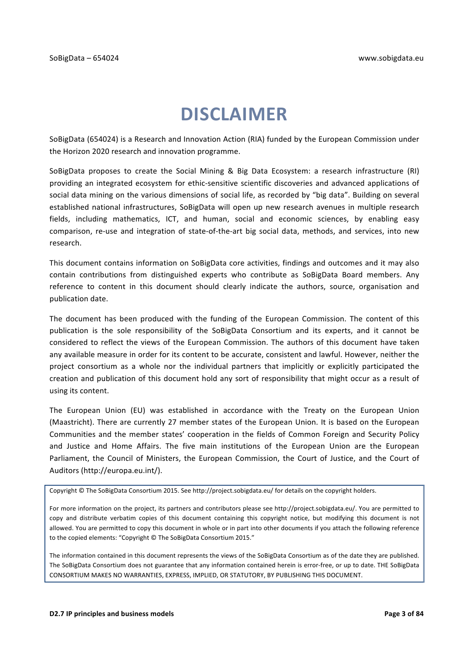# **DISCLAIMER**

SoBigData (654024) is a Research and Innovation Action (RIA) funded by the European Commission under the Horizon 2020 research and innovation programme.

SoBigData proposes to create the Social Mining & Big Data Ecosystem: a research infrastructure (RI) providing an integrated ecosystem for ethic-sensitive scientific discoveries and advanced applications of social data mining on the various dimensions of social life, as recorded by "big data". Building on several established national infrastructures, SoBigData will open up new research avenues in multiple research fields, including mathematics, ICT, and human, social and economic sciences, by enabling easy comparison, re-use and integration of state-of-the-art big social data, methods, and services, into new research.

This document contains information on SoBigData core activities, findings and outcomes and it may also contain contributions from distinguished experts who contribute as SoBigData Board members. Any reference to content in this document should clearly indicate the authors, source, organisation and publication date.

The document has been produced with the funding of the European Commission. The content of this publication is the sole responsibility of the SoBigData Consortium and its experts, and it cannot be considered to reflect the views of the European Commission. The authors of this document have taken any available measure in order for its content to be accurate, consistent and lawful. However, neither the project consortium as a whole nor the individual partners that implicitly or explicitly participated the creation and publication of this document hold any sort of responsibility that might occur as a result of using its content.

The European Union (EU) was established in accordance with the Treaty on the European Union (Maastricht). There are currently 27 member states of the European Union. It is based on the European Communities and the member states' cooperation in the fields of Common Foreign and Security Policy and Justice and Home Affairs. The five main institutions of the European Union are the European Parliament, the Council of Ministers, the European Commission, the Court of Justice, and the Court of Auditors (http://europa.eu.int/).

Copyright © The SoBigData Consortium 2015. See http://project.sobigdata.eu/ for details on the copyright holders.

For more information on the project, its partners and contributors please see http://project.sobigdata.eu/. You are permitted to copy and distribute verbatim copies of this document containing this copyright notice, but modifying this document is not allowed. You are permitted to copy this document in whole or in part into other documents if you attach the following reference to the copied elements: "Copyright © The SoBigData Consortium 2015."

The information contained in this document represents the views of the SoBigData Consortium as of the date they are published. The SoBigData Consortium does not guarantee that any information contained herein is error-free, or up to date. THE SoBigData CONSORTIUM MAKES NO WARRANTIES, EXPRESS, IMPLIED, OR STATUTORY, BY PUBLISHING THIS DOCUMENT.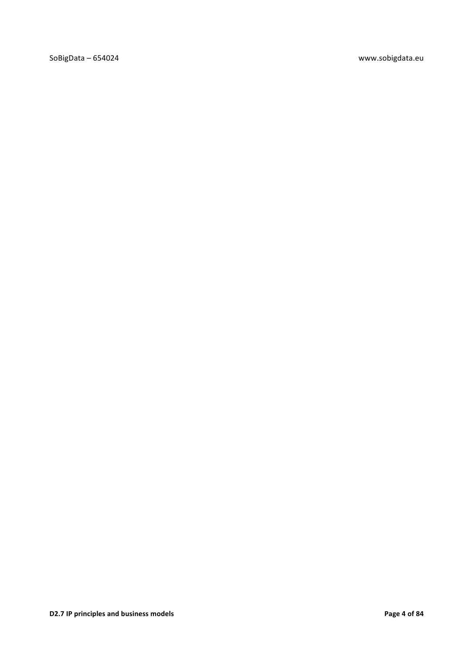SoBigData – 654024 www.sobigdata.eu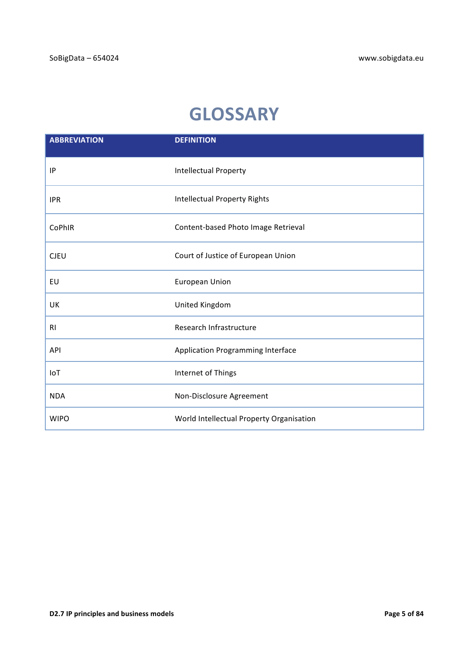# **GLOSSARY**

| <b>ABBREVIATION</b> | <b>DEFINITION</b>                        |
|---------------------|------------------------------------------|
| IP                  | Intellectual Property                    |
| <b>IPR</b>          | <b>Intellectual Property Rights</b>      |
| CoPhIR              | Content-based Photo Image Retrieval      |
| <b>CJEU</b>         | Court of Justice of European Union       |
| EU                  | European Union                           |
| UK                  | United Kingdom                           |
| R <sub>l</sub>      | Research Infrastructure                  |
| API                 | Application Programming Interface        |
| IoT                 | Internet of Things                       |
| <b>NDA</b>          | Non-Disclosure Agreement                 |
| <b>WIPO</b>         | World Intellectual Property Organisation |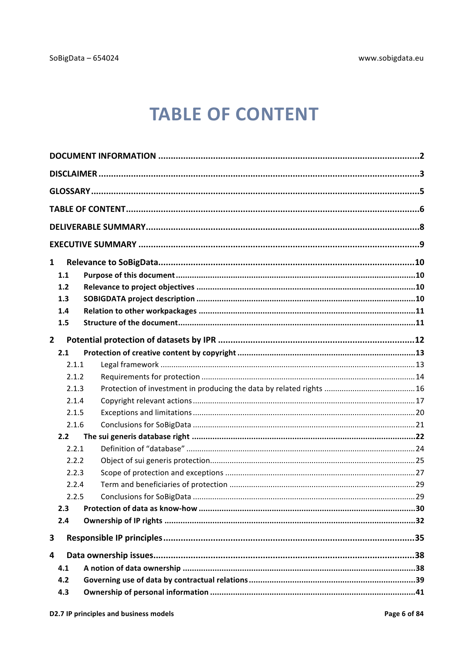# **TABLE OF CONTENT**

| $\mathbf{1}$   |       |  |  |  |  |
|----------------|-------|--|--|--|--|
|                | 1.1   |  |  |  |  |
|                | 1.2   |  |  |  |  |
|                | 1.3   |  |  |  |  |
|                | 1.4   |  |  |  |  |
|                | 1.5   |  |  |  |  |
| $\overline{2}$ |       |  |  |  |  |
|                | 2.1   |  |  |  |  |
|                | 2.1.1 |  |  |  |  |
|                | 2.1.2 |  |  |  |  |
|                | 2.1.3 |  |  |  |  |
|                | 2.1.4 |  |  |  |  |
|                | 2.1.5 |  |  |  |  |
|                | 2.1.6 |  |  |  |  |
|                | 2.2   |  |  |  |  |
|                | 2.2.1 |  |  |  |  |
|                | 2.2.2 |  |  |  |  |
|                | 2.2.3 |  |  |  |  |
|                | 2.2.4 |  |  |  |  |
|                | 2.2.5 |  |  |  |  |
|                | 2.3   |  |  |  |  |
|                | 2.4   |  |  |  |  |
| 3              |       |  |  |  |  |
| 4              |       |  |  |  |  |
|                | 4.1   |  |  |  |  |
|                | 4.2   |  |  |  |  |
|                | 4.3   |  |  |  |  |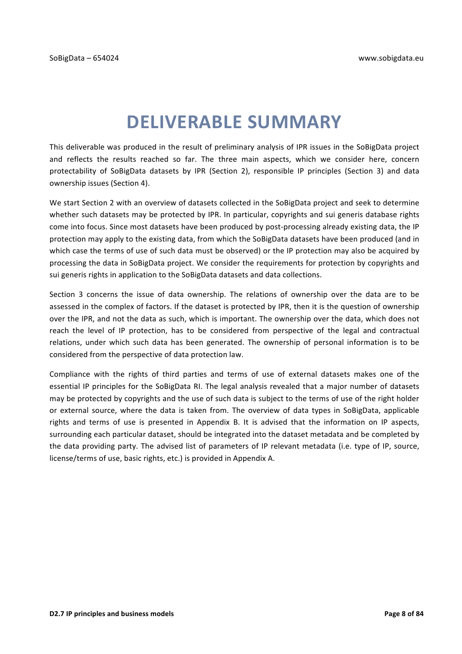# **DELIVERABLE SUMMARY**

This deliverable was produced in the result of preliminary analysis of IPR issues in the SoBigData project and reflects the results reached so far. The three main aspects, which we consider here, concern protectability of SoBigData datasets by IPR (Section 2), responsible IP principles (Section 3) and data ownership issues (Section 4).

We start Section 2 with an overview of datasets collected in the SoBigData project and seek to determine whether such datasets may be protected by IPR. In particular, copyrights and sui generis database rights come into focus. Since most datasets have been produced by post-processing already existing data, the IP protection may apply to the existing data, from which the SoBigData datasets have been produced (and in which case the terms of use of such data must be observed) or the IP protection may also be acquired by processing the data in SoBigData project. We consider the requirements for protection by copyrights and sui generis rights in application to the SoBigData datasets and data collections.

Section 3 concerns the issue of data ownership. The relations of ownership over the data are to be assessed in the complex of factors. If the dataset is protected by IPR, then it is the question of ownership over the IPR, and not the data as such, which is important. The ownership over the data, which does not reach the level of IP protection, has to be considered from perspective of the legal and contractual relations, under which such data has been generated. The ownership of personal information is to be considered from the perspective of data protection law.

Compliance with the rights of third parties and terms of use of external datasets makes one of the essential IP principles for the SoBigData RI. The legal analysis revealed that a major number of datasets may be protected by copyrights and the use of such data is subject to the terms of use of the right holder or external source, where the data is taken from. The overview of data types in SoBigData, applicable rights and terms of use is presented in Appendix B. It is advised that the information on IP aspects, surrounding each particular dataset, should be integrated into the dataset metadata and be completed by the data providing party. The advised list of parameters of IP relevant metadata (i.e. type of IP, source, license/terms of use, basic rights, etc.) is provided in Appendix A.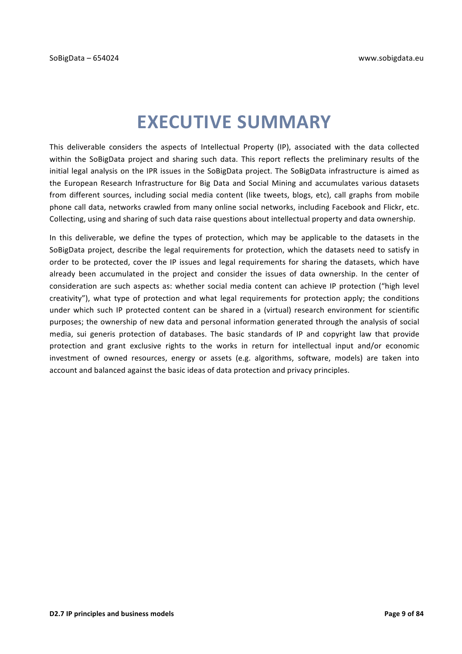# **EXECUTIVE SUMMARY**

This deliverable considers the aspects of Intellectual Property (IP), associated with the data collected within the SoBigData project and sharing such data. This report reflects the preliminary results of the initial legal analysis on the IPR issues in the SoBigData project. The SoBigData infrastructure is aimed as the European Research Infrastructure for Big Data and Social Mining and accumulates various datasets from different sources, including social media content (like tweets, blogs, etc), call graphs from mobile phone call data, networks crawled from many online social networks, including Facebook and Flickr, etc. Collecting, using and sharing of such data raise questions about intellectual property and data ownership.

In this deliverable, we define the types of protection, which may be applicable to the datasets in the SoBigData project, describe the legal requirements for protection, which the datasets need to satisfy in order to be protected, cover the IP issues and legal requirements for sharing the datasets, which have already been accumulated in the project and consider the issues of data ownership. In the center of consideration are such aspects as: whether social media content can achieve IP protection ("high level creativity"), what type of protection and what legal requirements for protection apply; the conditions under which such IP protected content can be shared in a (virtual) research environment for scientific purposes; the ownership of new data and personal information generated through the analysis of social media, sui generis protection of databases. The basic standards of IP and copyright law that provide protection and grant exclusive rights to the works in return for intellectual input and/or economic investment of owned resources, energy or assets (e.g. algorithms, software, models) are taken into account and balanced against the basic ideas of data protection and privacy principles.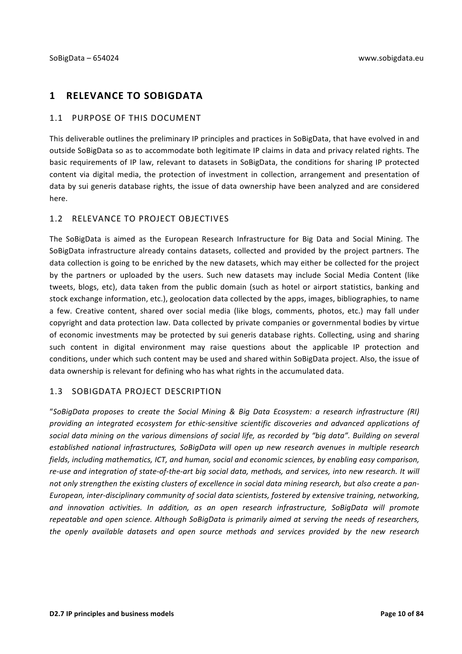# **1 RELEVANCE TO SOBIGDATA**

# 1.1 PURPOSE OF THIS DOCUMENT

This deliverable outlines the preliminary IP principles and practices in SoBigData, that have evolved in and outside SoBigData so as to accommodate both legitimate IP claims in data and privacy related rights. The basic requirements of IP law, relevant to datasets in SoBigData, the conditions for sharing IP protected content via digital media, the protection of investment in collection, arrangement and presentation of data by sui generis database rights, the issue of data ownership have been analyzed and are considered here.

# 1.2 RELEVANCE TO PROJECT OBJECTIVES

The SoBigData is aimed as the European Research Infrastructure for Big Data and Social Mining. The SoBigData infrastructure already contains datasets, collected and provided by the project partners. The data collection is going to be enriched by the new datasets, which may either be collected for the project by the partners or uploaded by the users. Such new datasets may include Social Media Content (like tweets, blogs, etc), data taken from the public domain (such as hotel or airport statistics, banking and stock exchange information, etc.), geolocation data collected by the apps, images, bibliographies, to name a few. Creative content, shared over social media (like blogs, comments, photos, etc.) may fall under copyright and data protection law. Data collected by private companies or governmental bodies by virtue of economic investments may be protected by sui generis database rights. Collecting, using and sharing such content in digital environment may raise questions about the applicable IP protection and conditions, under which such content may be used and shared within SoBigData project. Also, the issue of data ownership is relevant for defining who has what rights in the accumulated data.

### 1.3 SOBIGDATA PROJECT DESCRIPTION

"*SoBigData proposes to create the Social Mining & Big Data Ecosystem: a research infrastructure (RI)*  providing an integrated ecosystem for ethic-sensitive scientific discoveries and advanced applications of social data mining on the various dimensions of social life, as recorded by "big data". Building on several established national infrastructures, SoBigData will open up new research avenues in multiple research *fields, including mathematics, ICT, and human, social and economic sciences, by enabling easy comparison,* re-use and integration of state-of-the-art big social data, methods, and services, into new research. It will not only strengthen the existing clusters of excellence in social data mining research, but also create a pan-*European, inter-disciplinary community of social data scientists, fostered by extensive training, networking,* and innovation activities. In addition, as an open research infrastructure, SoBigData will promote *repeatable and open science. Although SoBigData is primarily aimed at serving the needs of researchers, the* openly available datasets and open source methods and services provided by the new research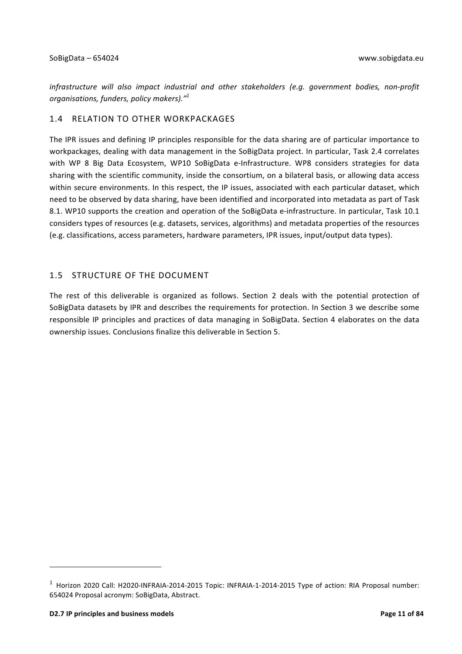*infrastructure* will also impact industrial and other stakeholders (e.g. government bodies, non-profit *organisations, funders, policy makers)." 1*

# 1.4 RELATION TO OTHER WORKPACKAGES

The IPR issues and defining IP principles responsible for the data sharing are of particular importance to workpackages, dealing with data management in the SoBigData project. In particular, Task 2.4 correlates with WP 8 Big Data Ecosystem, WP10 SoBigData e-Infrastructure. WP8 considers strategies for data sharing with the scientific community, inside the consortium, on a bilateral basis, or allowing data access within secure environments. In this respect, the IP issues, associated with each particular dataset, which need to be observed by data sharing, have been identified and incorporated into metadata as part of Task 8.1. WP10 supports the creation and operation of the SoBigData e-infrastructure. In particular, Task 10.1 considers types of resources (e.g. datasets, services, algorithms) and metadata properties of the resources (e.g. classifications, access parameters, hardware parameters, IPR issues, input/output data types).

# 1.5 STRUCTURE OF THE DOCUMENT

The rest of this deliverable is organized as follows. Section 2 deals with the potential protection of SoBigData datasets by IPR and describes the requirements for protection. In Section 3 we describe some responsible IP principles and practices of data managing in SoBigData. Section 4 elaborates on the data ownership issues. Conclusions finalize this deliverable in Section 5.

 $1$  Horizon 2020 Call: H2020-INFRAIA-2014-2015 Topic: INFRAIA-1-2014-2015 Type of action: RIA Proposal number: 654024 Proposal acronym: SoBigData, Abstract.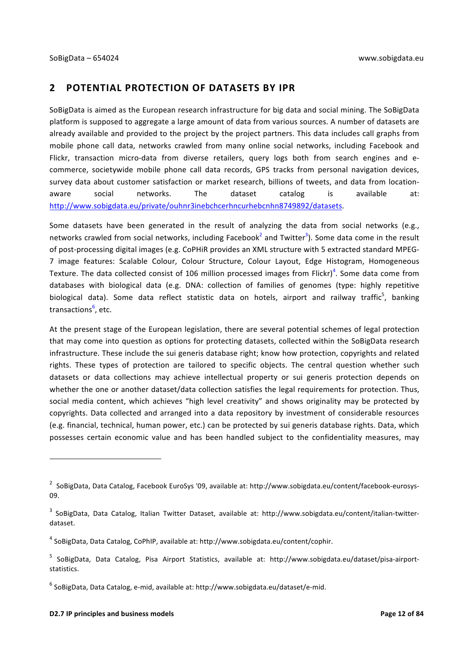# **2 POTENTIAL PROTECTION OF DATASETS BY IPR**

SoBigData is aimed as the European research infrastructure for big data and social mining. The SoBigData platform is supposed to aggregate a large amount of data from various sources. A number of datasets are already available and provided to the project by the project partners. This data includes call graphs from mobile phone call data, networks crawled from many online social networks, including Facebook and Flickr, transaction micro-data from diverse retailers, query logs both from search engines and ecommerce, societywide mobile phone call data records, GPS tracks from personal navigation devices, survey data about customer satisfaction or market research, billions of tweets, and data from locationaware social networks. The dataset catalog is available at: http://www.sobigdata.eu/private/ouhnr3inebchcerhncurhebcnhn8749892/datasets. 

Some datasets have been generated in the result of analyzing the data from social networks (e.g., networks crawled from social networks, including Facebook<sup>2</sup> and Twitter<sup>3</sup>). Some data come in the result of post-processing digital images (e.g. CoPHiR provides an XML structure with 5 extracted standard MPEG-7 image features: Scalable Colour, Colour Structure, Colour Layout, Edge Histogram, Homogeneous Texture. The data collected consist of 106 million processed images from Flickr)<sup>4</sup>. Some data come from databases with biological data (e.g. DNA: collection of families of genomes (type: highly repetitive biological data). Some data reflect statistic data on hotels, airport and railway traffic<sup>5</sup>, banking transactions<sup>6</sup>, etc.

At the present stage of the European legislation, there are several potential schemes of legal protection that may come into question as options for protecting datasets, collected within the SoBigData research infrastructure. These include the sui generis database right: know how protection, copyrights and related rights. These types of protection are tailored to specific objects. The central question whether such datasets or data collections may achieve intellectual property or sui generis protection depends on whether the one or another dataset/data collection satisfies the legal requirements for protection. Thus, social media content, which achieves "high level creativity" and shows originality may be protected by copyrights. Data collected and arranged into a data repository by investment of considerable resources (e.g. financial, technical, human power, etc.) can be protected by sui generis database rights. Data, which possesses certain economic value and has been handled subject to the confidentiality measures, may

<sup>&</sup>lt;sup>2</sup> SoBigData, Data Catalog, Facebook EuroSys '09, available at: http://www.sobigdata.eu/content/facebook-eurosys-09.

<sup>&</sup>lt;sup>3</sup> SoBigData, Data Catalog, Italian Twitter Dataset, available at: http://www.sobigdata.eu/content/italian-twitterdataset.

<sup>&</sup>lt;sup>4</sup> SoBigData, Data Catalog, CoPhIP, available at: http://www.sobigdata.eu/content/cophir.

<sup>&</sup>lt;sup>5</sup> SoBigData, Data Catalog, Pisa Airport Statistics, available at: http://www.sobigdata.eu/dataset/pisa-airportstatistics.

 $^6$  SoBigData, Data Catalog, e-mid, available at: http://www.sobigdata.eu/dataset/e-mid.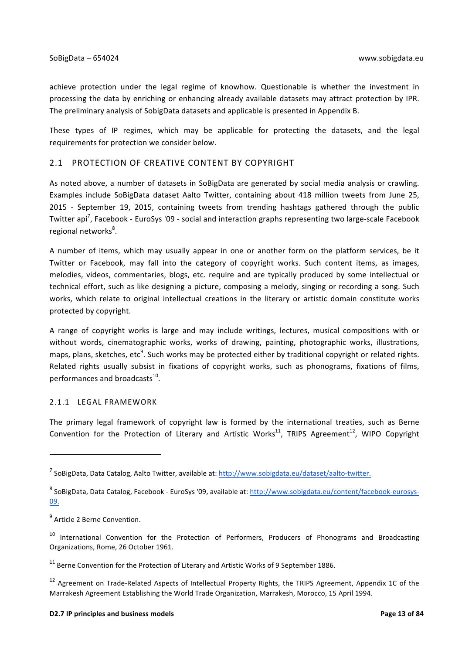achieve protection under the legal regime of knowhow. Questionable is whether the investment in processing the data by enriching or enhancing already available datasets may attract protection by IPR. The preliminary analysis of SobigData datasets and applicable is presented in Appendix B.

These types of IP regimes, which may be applicable for protecting the datasets, and the legal requirements for protection we consider below.

# 2.1 PROTECTION OF CREATIVE CONTENT BY COPYRIGHT

As noted above, a number of datasets in SoBigData are generated by social media analysis or crawling. Examples include SoBigData dataset Aalto Twitter, containing about 418 million tweets from June 25, 2015 - September 19, 2015, containing tweets from trending hashtags gathered through the public Twitter api<sup>7</sup>, Facebook - EuroSys '09 - social and interaction graphs representing two large-scale Facebook regional networks<sup>8</sup>.

A number of items, which may usually appear in one or another form on the platform services, be it Twitter or Facebook, may fall into the category of copyright works. Such content items, as images, melodies, videos, commentaries, blogs, etc. require and are typically produced by some intellectual or technical effort, such as like designing a picture, composing a melody, singing or recording a song. Such works, which relate to original intellectual creations in the literary or artistic domain constitute works protected by copyright.

A range of copyright works is large and may include writings, lectures, musical compositions with or without words, cinematographic works, works of drawing, painting, photographic works, illustrations, maps, plans, sketches, etc<sup>9</sup>. Such works may be protected either by traditional copyright or related rights. Related rights usually subsist in fixations of copyright works, such as phonograms, fixations of films, performances and broadcasts<sup>10</sup>.

### 2.1.1 LEGAL FRAMEWORK

<u> 1989 - Jan Samuel Barbara, margaret e</u>

The primary legal framework of copyright law is formed by the international treaties, such as Berne Convention for the Protection of Literary and Artistic Works<sup>11</sup>, TRIPS Agreement<sup>12</sup>, WIPO Copyright

 $^7$  SoBigData, Data Catalog, Aalto Twitter, available at: http://www.sobigdata.eu/dataset/aalto-twitter.

<sup>&</sup>lt;sup>8</sup> SoBigData, Data Catalog, Facebook - EuroSys '09, available at: http://www.sobigdata.eu/content/facebook-eurosys-09.

<sup>&</sup>lt;sup>9</sup> Article 2 Berne Convention.

 $10$  International Convention for the Protection of Performers, Producers of Phonograms and Broadcasting Organizations, Rome, 26 October 1961.

 $11$  Berne Convention for the Protection of Literary and Artistic Works of 9 September 1886.

<sup>&</sup>lt;sup>12</sup> Agreement on Trade-Related Aspects of Intellectual Property Rights, the TRIPS Agreement, Appendix 1C of the Marrakesh Agreement Establishing the World Trade Organization, Marrakesh, Morocco, 15 April 1994.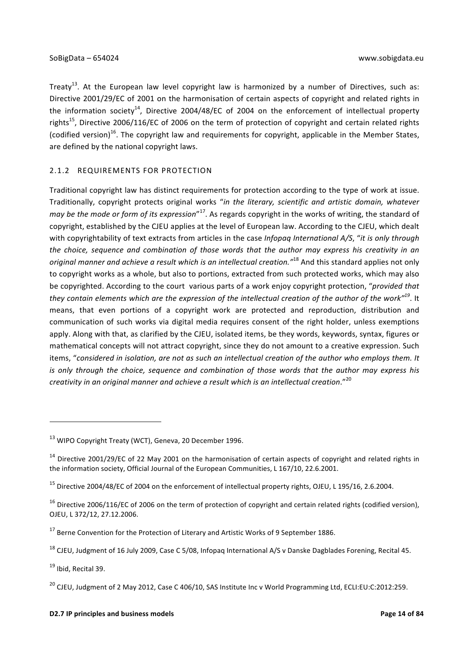Treaty<sup>13</sup>. At the European law level copyright law is harmonized by a number of Directives, such as: Directive 2001/29/EC of 2001 on the harmonisation of certain aspects of copyright and related rights in the information society<sup>14</sup>, Directive 2004/48/EC of 2004 on the enforcement of intellectual property rights<sup>15</sup>, Directive 2006/116/EC of 2006 on the term of protection of copyright and certain related rights (codified version)<sup>16</sup>. The copyright law and requirements for copyright, applicable in the Member States, are defined by the national copyright laws.

# 2.1.2 REQUIREMENTS FOR PROTECTION

Traditional copyright law has distinct requirements for protection according to the type of work at issue. Traditionally, copyright protects original works "in the literary, scientific and artistic domain, whatever may be the mode or form of its expression"<sup>17</sup>. As regards copyright in the works of writing, the standard of copyright, established by the CJEU applies at the level of European law. According to the CJEU, which dealt with copyrightability of text extracts from articles in the case Infopaq International A/S, "it is only through the choice, sequence and combination of those words that the author may express his creativity in an *original manner and achieve a result which is an intellectual creation."*<sup>18</sup> And this standard applies not only to copyright works as a whole, but also to portions, extracted from such protected works, which may also be copyrighted. According to the court various parts of a work enjoy copyright protection, "*provided that they* contain elements which are the expression of the intellectual creation of the author of the work"<sup>19</sup>. It means, that even portions of a copyright work are protected and reproduction, distribution and communication of such works via digital media requires consent of the right holder, unless exemptions apply. Along with that, as clarified by the CJEU, isolated items, be they words, keywords, syntax, figures or mathematical concepts will not attract copyright, since they do not amount to a creative expression. Such items, "considered in isolation, are not as such an intellectual creation of the author who employs them. It *is* only through the choice, sequence and combination of those words that the author may express his *creativity* in an original manner and achieve a result which is an intellectual creation."<sup>20</sup>

 $13$  WIPO Copyright Treaty (WCT), Geneva, 20 December 1996.

 $14$  Directive 2001/29/EC of 22 May 2001 on the harmonisation of certain aspects of copyright and related rights in the information society, Official Journal of the European Communities, L 167/10, 22.6.2001.

<sup>&</sup>lt;sup>15</sup> Directive 2004/48/EC of 2004 on the enforcement of intellectual property rights, OJEU, L 195/16, 2.6.2004.

 $^{16}$  Directive 2006/116/EC of 2006 on the term of protection of copyright and certain related rights (codified version), OJEU, L 372/12, 27.12.2006.

 $17$  Berne Convention for the Protection of Literary and Artistic Works of 9 September 1886.

 $^{18}$  CJEU, Judgment of 16 July 2009, Case C 5/08, Infopaq International A/S v Danske Dagblades Forening, Recital 45.

<sup>&</sup>lt;sup>19</sup> Ibid, Recital 39.

 $^{20}$  CJEU, Judgment of 2 May 2012, Case C 406/10, SAS Institute Inc v World Programming Ltd, ECLI:EU:C:2012:259.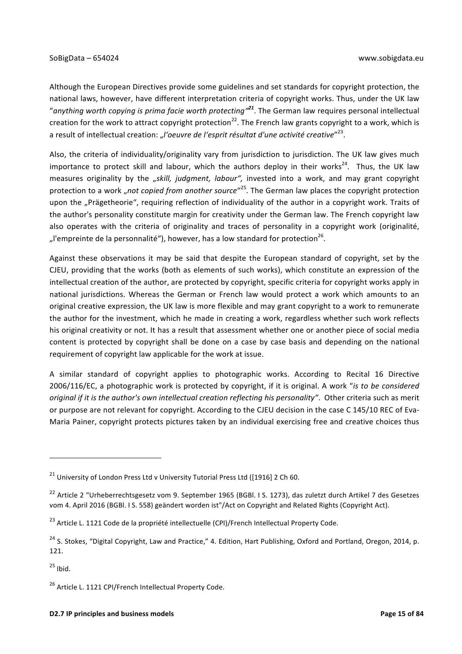Although the European Directives provide some guidelines and set standards for copyright protection, the national laws, however, have different interpretation criteria of copyright works. Thus, under the UK law "anything worth copying is prima facie worth protecting"<sup>21</sup>. The German law requires personal intellectual creation for the work to attract copyright protection<sup>22</sup>. The French law grants copyright to a work, which is a result of intellectual creation: "I'oeuvre de l'esprit résultat d'une activité creative"<sup>23</sup>.

Also, the criteria of individuality/originality vary from jurisdiction to jurisdiction. The UK law gives much importance to protect skill and labour, which the authors deploy in their works<sup>24</sup>. Thus, the UK law measures originality by the "skill, judgment, labour", invested into a work, and may grant copyright protection to a work "not copied from another source<sup>"25</sup>. The German law places the copyright protection upon the "Prägetheorie", requiring reflection of individuality of the author in a copyright work. Traits of the author's personality constitute margin for creativity under the German law. The French copyright law also operates with the criteria of originality and traces of personality in a copyright work (originalité, "I'empreinte de la personnalité"), however, has a low standard for protection<sup>26</sup>.

Against these observations it may be said that despite the European standard of copyright, set by the CJEU, providing that the works (both as elements of such works), which constitute an expression of the intellectual creation of the author, are protected by copyright, specific criteria for copyright works apply in national jurisdictions. Whereas the German or French law would protect a work which amounts to an original creative expression, the UK law is more flexible and may grant copyright to a work to remunerate the author for the investment, which he made in creating a work, regardless whether such work reflects his original creativity or not. It has a result that assessment whether one or another piece of social media content is protected by copyright shall be done on a case by case basis and depending on the national requirement of copyright law applicable for the work at issue.

A similar standard of copyright applies to photographic works. According to Recital 16 Directive 2006/116/EC, a photographic work is protected by copyright, if it is original. A work "is to be considered *original if it is the author's own intellectual creation reflecting his personality"*. Other criteria such as merit or purpose are not relevant for copyright. According to the CJEU decision in the case C 145/10 REC of Eva-Maria Painer, copyright protects pictures taken by an individual exercising free and creative choices thus

 $^{21}$  University of London Press Ltd v University Tutorial Press Ltd ([1916] 2 Ch 60.

<sup>&</sup>lt;sup>22</sup> Article 2 "Urheberrechtsgesetz vom 9. September 1965 (BGBl. I S. 1273), das zuletzt durch Artikel 7 des Gesetzes vom 4. April 2016 (BGBl. I S. 558) geändert worden ist"/Act on Copyright and Related Rights (Copyright Act).

<sup>&</sup>lt;sup>23</sup> Article L. 1121 Code de la propriété intellectuelle (CPI)/French Intellectual Property Code.

 $^{24}$  S. Stokes, "Digital Copyright, Law and Practice," 4. Edition, Hart Publishing, Oxford and Portland, Oregon, 2014, p. 121.

 $25$  Ibid.

<sup>&</sup>lt;sup>26</sup> Article L. 1121 CPI/French Intellectual Property Code.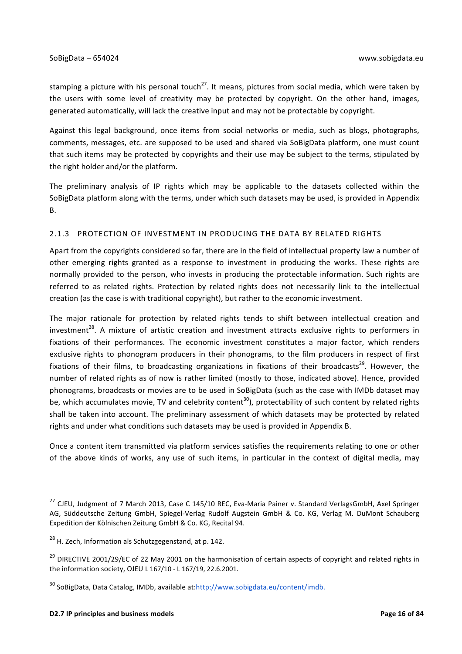stamping a picture with his personal touch<sup>27</sup>. It means, pictures from social media, which were taken by the users with some level of creativity may be protected by copyright. On the other hand, images, generated automatically, will lack the creative input and may not be protectable by copyright.

Against this legal background, once items from social networks or media, such as blogs, photographs, comments, messages, etc. are supposed to be used and shared via SoBigData platform, one must count that such items may be protected by copyrights and their use may be subject to the terms, stipulated by the right holder and/or the platform.

The preliminary analysis of IP rights which may be applicable to the datasets collected within the SoBigData platform along with the terms, under which such datasets may be used, is provided in Appendix B.

# 2.1.3 PROTECTION OF INVESTMENT IN PRODUCING THE DATA BY RELATED RIGHTS

Apart from the copyrights considered so far, there are in the field of intellectual property law a number of other emerging rights granted as a response to investment in producing the works. These rights are normally provided to the person, who invests in producing the protectable information. Such rights are referred to as related rights. Protection by related rights does not necessarily link to the intellectual creation (as the case is with traditional copyright), but rather to the economic investment.

The major rationale for protection by related rights tends to shift between intellectual creation and investment<sup>28</sup>. A mixture of artistic creation and investment attracts exclusive rights to performers in fixations of their performances. The economic investment constitutes a major factor, which renders exclusive rights to phonogram producers in their phonograms, to the film producers in respect of first fixations of their films, to broadcasting organizations in fixations of their broadcasts<sup>29</sup>. However, the number of related rights as of now is rather limited (mostly to those, indicated above). Hence, provided phonograms, broadcasts or movies are to be used in SoBigData (such as the case with IMDb dataset may be, which accumulates movie, TV and celebrity content<sup>30</sup>), protectability of such content by related rights shall be taken into account. The preliminary assessment of which datasets may be protected by related rights and under what conditions such datasets may be used is provided in Appendix B.

Once a content item transmitted via platform services satisfies the requirements relating to one or other of the above kinds of works, any use of such items, in particular in the context of digital media, may

<sup>&</sup>lt;sup>27</sup> CJEU, Judgment of 7 March 2013, Case C 145/10 REC, Eva-Maria Painer v. Standard VerlagsGmbH, Axel Springer AG, Süddeutsche Zeitung GmbH, Spiegel-Verlag Rudolf Augstein GmbH & Co. KG, Verlag M. DuMont Schauberg Expedition der Kölnischen Zeitung GmbH & Co. KG, Recital 94.

 $^{28}$  H. Zech, Information als Schutzgegenstand, at p. 142.

<sup>&</sup>lt;sup>29</sup> DIRECTIVE 2001/29/EC of 22 May 2001 on the harmonisation of certain aspects of copyright and related rights in the information society, OJEU L 167/10 - L 167/19, 22.6.2001.

<sup>&</sup>lt;sup>30</sup> SoBigData, Data Catalog, IMDb, available at:http://www.sobigdata.eu/content/imdb.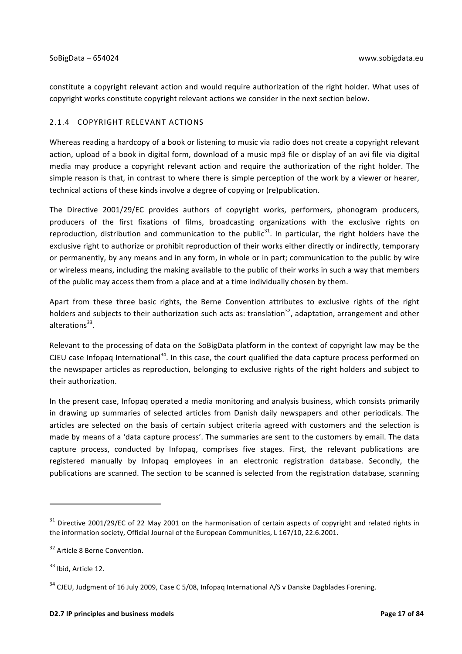constitute a copyright relevant action and would require authorization of the right holder. What uses of copyright works constitute copyright relevant actions we consider in the next section below.

## 2.1.4 COPYRIGHT RELEVANT ACTIONS

Whereas reading a hardcopy of a book or listening to music via radio does not create a copyright relevant action, upload of a book in digital form, download of a music mp3 file or display of an avi file via digital media may produce a copyright relevant action and require the authorization of the right holder. The simple reason is that, in contrast to where there is simple perception of the work by a viewer or hearer, technical actions of these kinds involve a degree of copying or (re)publication.

The Directive 2001/29/EC provides authors of copyright works, performers, phonogram producers, producers of the first fixations of films, broadcasting organizations with the exclusive rights on reproduction, distribution and communication to the public<sup>31</sup>. In particular, the right holders have the exclusive right to authorize or prohibit reproduction of their works either directly or indirectly, temporary or permanently, by any means and in any form, in whole or in part; communication to the public by wire or wireless means, including the making available to the public of their works in such a way that members of the public may access them from a place and at a time individually chosen by them.

Apart from these three basic rights, the Berne Convention attributes to exclusive rights of the right holders and subjects to their authorization such acts as: translation<sup>32</sup>, adaptation, arrangement and other alterations $33$ .

Relevant to the processing of data on the SoBigData platform in the context of copyright law may be the CJEU case Infopaq International<sup>34</sup>. In this case, the court qualified the data capture process performed on the newspaper articles as reproduction, belonging to exclusive rights of the right holders and subject to their authorization.

In the present case, Infopaq operated a media monitoring and analysis business, which consists primarily in drawing up summaries of selected articles from Danish daily newspapers and other periodicals. The articles are selected on the basis of certain subject criteria agreed with customers and the selection is made by means of a 'data capture process'. The summaries are sent to the customers by email. The data capture process, conducted by Infopaq, comprises five stages. First, the relevant publications are registered manually by Infopaq employees in an electronic registration database. Secondly, the publications are scanned. The section to be scanned is selected from the registration database, scanning

 $31$  Directive 2001/29/EC of 22 May 2001 on the harmonisation of certain aspects of copyright and related rights in the information society, Official Journal of the European Communities, L 167/10, 22.6.2001.

<sup>&</sup>lt;sup>32</sup> Article 8 Berne Convention.

<sup>&</sup>lt;sup>33</sup> Ibid, Article 12.

 $34$  CJEU, Judgment of 16 July 2009, Case C 5/08, Infopaq International A/S v Danske Dagblades Forening.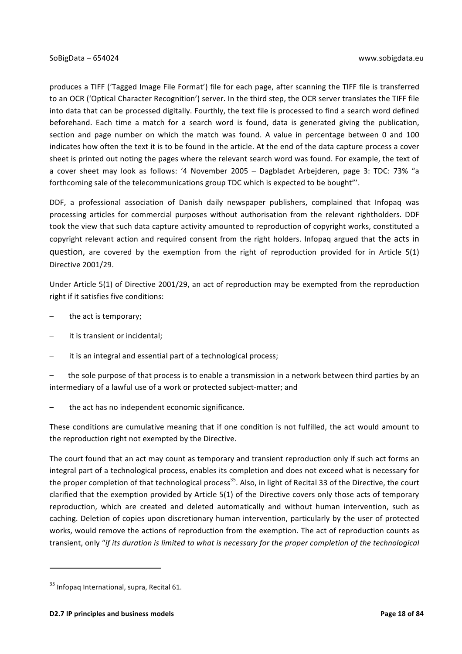produces a TIFF ('Tagged Image File Format') file for each page, after scanning the TIFF file is transferred to an OCR ('Optical Character Recognition') server. In the third step, the OCR server translates the TIFF file into data that can be processed digitally. Fourthly, the text file is processed to find a search word defined beforehand. Each time a match for a search word is found, data is generated giving the publication, section and page number on which the match was found. A value in percentage between 0 and 100 indicates how often the text it is to be found in the article. At the end of the data capture process a cover sheet is printed out noting the pages where the relevant search word was found. For example, the text of a cover sheet may look as follows: '4 November 2005 – Dagbladet Arbejderen, page 3: TDC: 73% "a forthcoming sale of the telecommunications group TDC which is expected to be bought".

DDF, a professional association of Danish daily newspaper publishers, complained that Infopaq was processing articles for commercial purposes without authorisation from the relevant rightholders. DDF took the view that such data capture activity amounted to reproduction of copyright works, constituted a copyright relevant action and required consent from the right holders. Infopaq argued that the acts in question, are covered by the exemption from the right of reproduction provided for in Article  $5(1)$ Directive 2001/29. 

Under Article 5(1) of Directive 2001/29, an act of reproduction may be exempted from the reproduction right if it satisfies five conditions:

- the act is temporary;
- it is transient or incidental;
- it is an integral and essential part of a technological process;

- the sole purpose of that process is to enable a transmission in a network between third parties by an intermediary of a lawful use of a work or protected subject-matter; and

- the act has no independent economic significance.

These conditions are cumulative meaning that if one condition is not fulfilled, the act would amount to the reproduction right not exempted by the Directive.

The court found that an act may count as temporary and transient reproduction only if such act forms an integral part of a technological process, enables its completion and does not exceed what is necessary for the proper completion of that technological process<sup>35</sup>. Also, in light of Recital 33 of the Directive, the court clarified that the exemption provided by Article 5(1) of the Directive covers only those acts of temporary reproduction, which are created and deleted automatically and without human intervention, such as caching. Deletion of copies upon discretionary human intervention, particularly by the user of protected works, would remove the actions of reproduction from the exemption. The act of reproduction counts as transient, only "*if its duration is limited to what is necessary for the proper completion of the technological* 

 $35$  Infopaq International, supra, Recital 61.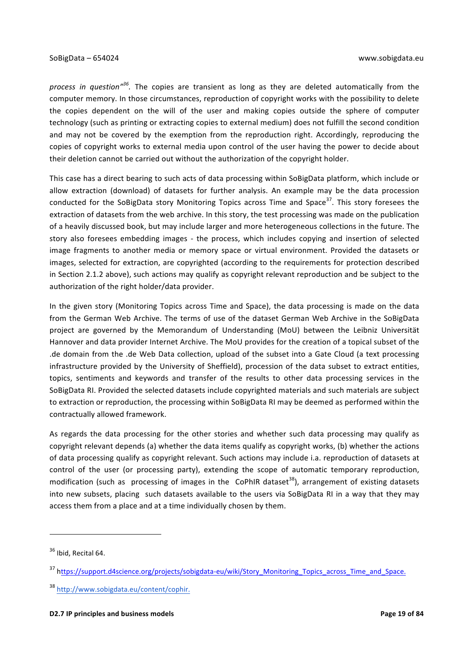process in question<sup>136</sup>. The copies are transient as long as they are deleted automatically from the computer memory. In those circumstances, reproduction of copyright works with the possibility to delete the copies dependent on the will of the user and making copies outside the sphere of computer technology (such as printing or extracting copies to external medium) does not fulfill the second condition and may not be covered by the exemption from the reproduction right. Accordingly, reproducing the copies of copyright works to external media upon control of the user having the power to decide about their deletion cannot be carried out without the authorization of the copyright holder.

This case has a direct bearing to such acts of data processing within SoBigData platform, which include or allow extraction (download) of datasets for further analysis. An example may be the data procession conducted for the SoBigData story Monitoring Topics across Time and Space<sup>37</sup>. This story foresees the extraction of datasets from the web archive. In this story, the test processing was made on the publication of a heavily discussed book, but may include larger and more heterogeneous collections in the future. The story also foresees embedding images - the process, which includes copying and insertion of selected image fragments to another media or memory space or virtual environment. Provided the datasets or images, selected for extraction, are copyrighted (according to the requirements for protection described in Section 2.1.2 above), such actions may qualify as copyright relevant reproduction and be subject to the authorization of the right holder/data provider.

In the given story (Monitoring Topics across Time and Space), the data processing is made on the data from the German Web Archive. The terms of use of the dataset German Web Archive in the SoBigData project are governed by the Memorandum of Understanding (MoU) between the Leibniz Universität Hannover and data provider Internet Archive. The MoU provides for the creation of a topical subset of the .de domain from the .de Web Data collection, upload of the subset into a Gate Cloud (a text processing infrastructure provided by the University of Sheffield), procession of the data subset to extract entities, topics, sentiments and keywords and transfer of the results to other data processing services in the SoBigData RI. Provided the selected datasets include copyrighted materials and such materials are subject to extraction or reproduction, the processing within SoBigData RI may be deemed as performed within the contractually allowed framework.

As regards the data processing for the other stories and whether such data processing may qualify as copyright relevant depends (a) whether the data items qualify as copyright works, (b) whether the actions of data processing qualify as copyright relevant. Such actions may include i.a. reproduction of datasets at control of the user (or processing party), extending the scope of automatic temporary reproduction, modification (such as processing of images in the  $CoPhIR$  dataset<sup>38</sup>), arrangement of existing datasets into new subsets, placing such datasets available to the users via SoBigData RI in a way that they may access them from a place and at a time individually chosen by them.

<sup>&</sup>lt;sup>36</sup> Ibid, Recital 64.

<sup>37</sup> https://support.d4science.org/projects/sobigdata-eu/wiki/Story\_Monitoring\_Topics\_across\_Time\_and\_Space.

<sup>38</sup> http://www.sobigdata.eu/content/cophir.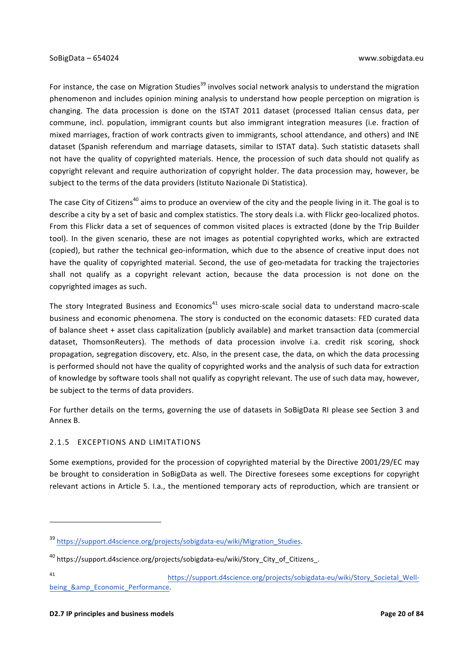For instance, the case on Migration Studies<sup>39</sup> involves social network analysis to understand the migration phenomenon and includes opinion mining analysis to understand how people perception on migration is changing. The data procession is done on the ISTAT 2011 dataset (processed Italian census data, per commune, incl. population, immigrant counts but also immigrant integration measures (i.e. fraction of mixed marriages, fraction of work contracts given to immigrants, school attendance, and others) and INE dataset (Spanish referendum and marriage datasets, similar to ISTAT data). Such statistic datasets shall not have the quality of copyrighted materials. Hence, the procession of such data should not qualify as copyright relevant and require authorization of copyright holder. The data procession may, however, be subject to the terms of the data providers (Istituto Nazionale Di Statistica).

The case City of Citizens<sup>40</sup> aims to produce an overview of the city and the people living in it. The goal is to describe a city by a set of basic and complex statistics. The story deals i.a. with Flickr geo-localized photos. From this Flickr data a set of sequences of common visited places is extracted (done by the Trip Builder tool). In the given scenario, these are not images as potential copyrighted works, which are extracted (copied), but rather the technical geo-information, which due to the absence of creative input does not have the quality of copyrighted material. Second, the use of geo-metadata for tracking the trajectories shall not qualify as a copyright relevant action, because the data procession is not done on the copyrighted images as such.

The story Integrated Business and Economics<sup>41</sup> uses micro-scale social data to understand macro-scale business and economic phenomena. The story is conducted on the economic datasets: FED curated data of balance sheet + asset class capitalization (publicly available) and market transaction data (commercial dataset, ThomsonReuters). The methods of data procession involve i.a. credit risk scoring, shock propagation, segregation discovery, etc. Also, in the present case, the data, on which the data processing is performed should not have the quality of copyrighted works and the analysis of such data for extraction of knowledge by software tools shall not qualify as copyright relevant. The use of such data may, however, be subject to the terms of data providers.

For further details on the terms, governing the use of datasets in SoBigData RI please see Section 3 and Annex B.

### 2.1.5 EXCEPTIONS AND LIMITATIONS

Some exemptions, provided for the procession of copyrighted material by the Directive 2001/29/EC may be brought to consideration in SoBigData as well. The Directive foresees some exceptions for copyright relevant actions in Article 5. I.a., the mentioned temporary acts of reproduction, which are transient or

<sup>&</sup>lt;sup>39</sup> https://support.d4science.org/projects/sobigdata-eu/wiki/Migration Studies.

<sup>&</sup>lt;sup>40</sup> https://support.d4science.org/projects/sobigdata-eu/wiki/Story\_City\_of\_Citizens\_.

<sup>41</sup> https://support.d4science.org/projects/sobigdata-eu/wiki/Story\_Societal\_Wellbeing &amp Economic Performance.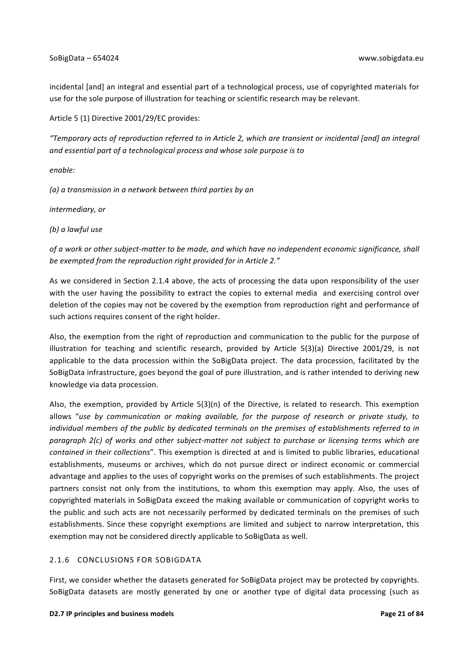incidental [and] an integral and essential part of a technological process, use of copyrighted materials for use for the sole purpose of illustration for teaching or scientific research may be relevant.

Article 5 (1) Directive 2001/29/EC provides:

*"Temporary acts of reproduction referred to in Article 2, which are transient or incidental [and] an integral*  and essential part of a technological process and whose sole purpose is to

*enable:*

*(a) a transmission in a network between third parties by an*

*intermediary, or*

*(b) a lawful use*

of a work or other subject-matter to be made, and which have no independent economic significance, shall be exempted from the reproduction right provided for in Article 2."

As we considered in Section 2.1.4 above, the acts of processing the data upon responsibility of the user with the user having the possibility to extract the copies to external media and exercising control over deletion of the copies may not be covered by the exemption from reproduction right and performance of such actions requires consent of the right holder.

Also, the exemption from the right of reproduction and communication to the public for the purpose of illustration for teaching and scientific research, provided by Article 5(3)(a) Directive 2001/29, is not applicable to the data procession within the SoBigData project. The data procession, facilitated by the SoBigData infrastructure, goes beyond the goal of pure illustration, and is rather intended to deriving new knowledge via data procession.

Also, the exemption, provided by Article  $5(3)(n)$  of the Directive, is related to research. This exemption allows "use by communication or making available, for the purpose of research or private study, to individual members of the public by dedicated terminals on the premises of establishments referred to in *paragraph* 2(c) of works and other subject-matter not subject to purchase or licensing terms which are *contained in their collections*". This exemption is directed at and is limited to public libraries, educational establishments, museums or archives, which do not pursue direct or indirect economic or commercial advantage and applies to the uses of copyright works on the premises of such establishments. The project partners consist not only from the institutions, to whom this exemption may apply. Also, the uses of copyrighted materials in SoBigData exceed the making available or communication of copyright works to the public and such acts are not necessarily performed by dedicated terminals on the premises of such establishments. Since these copyright exemptions are limited and subject to narrow interpretation, this exemption may not be considered directly applicable to SoBigData as well.

### 2.1.6 CONCLUSIONS FOR SOBIGDATA

First, we consider whether the datasets generated for SoBigData project may be protected by copyrights. SoBigData datasets are mostly generated by one or another type of digital data processing (such as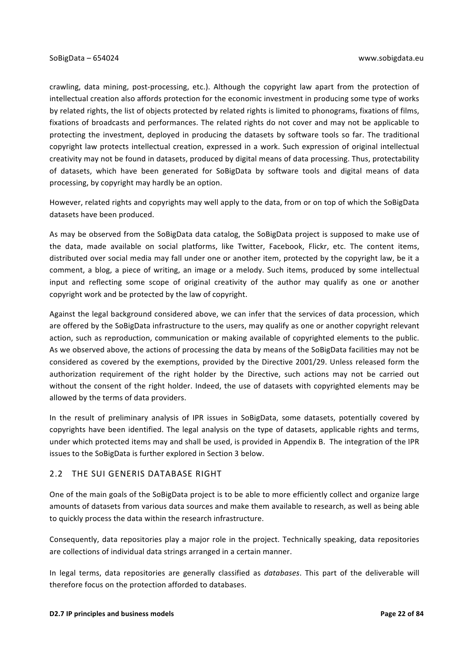crawling, data mining, post-processing, etc.). Although the copyright law apart from the protection of intellectual creation also affords protection for the economic investment in producing some type of works by related rights, the list of objects protected by related rights is limited to phonograms, fixations of films, fixations of broadcasts and performances. The related rights do not cover and may not be applicable to protecting the investment, deployed in producing the datasets by software tools so far. The traditional copyright law protects intellectual creation, expressed in a work. Such expression of original intellectual creativity may not be found in datasets, produced by digital means of data processing. Thus, protectability of datasets, which have been generated for SoBigData by software tools and digital means of data processing, by copyright may hardly be an option.

However, related rights and copyrights may well apply to the data, from or on top of which the SoBigData datasets have been produced.

As may be observed from the SoBigData data catalog, the SoBigData project is supposed to make use of the data, made available on social platforms, like Twitter, Facebook, Flickr, etc. The content items, distributed over social media may fall under one or another item, protected by the copyright law, be it a comment, a blog, a piece of writing, an image or a melody. Such items, produced by some intellectual input and reflecting some scope of original creativity of the author may qualify as one or another copyright work and be protected by the law of copyright.

Against the legal background considered above, we can infer that the services of data procession, which are offered by the SoBigData infrastructure to the users, may qualify as one or another copyright relevant action, such as reproduction, communication or making available of copyrighted elements to the public. As we observed above, the actions of processing the data by means of the SoBigData facilities may not be considered as covered by the exemptions, provided by the Directive 2001/29. Unless released form the authorization requirement of the right holder by the Directive, such actions may not be carried out without the consent of the right holder. Indeed, the use of datasets with copyrighted elements may be allowed by the terms of data providers.

In the result of preliminary analysis of IPR issues in SoBigData, some datasets, potentially covered by copyrights have been identified. The legal analysis on the type of datasets, applicable rights and terms, under which protected items may and shall be used, is provided in Appendix B. The integration of the IPR issues to the SoBigData is further explored in Section 3 below.

### 2.2 THE SUI GENERIS DATABASE RIGHT

One of the main goals of the SoBigData project is to be able to more efficiently collect and organize large amounts of datasets from various data sources and make them available to research, as well as being able to quickly process the data within the research infrastructure.

Consequently, data repositories play a major role in the project. Technically speaking, data repositories are collections of individual data strings arranged in a certain manner.

In legal terms, data repositories are generally classified as *databases*. This part of the deliverable will therefore focus on the protection afforded to databases.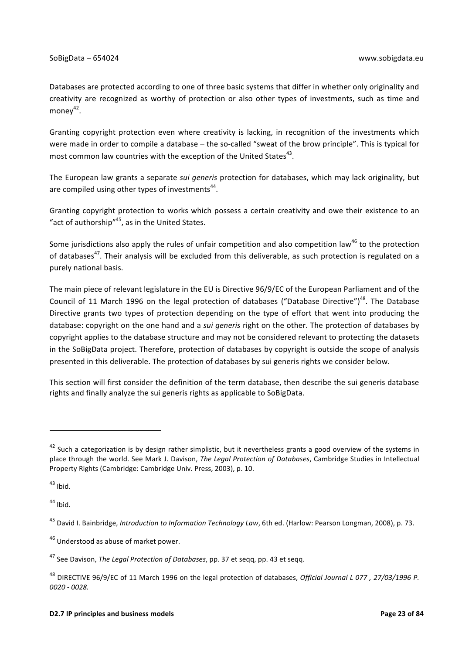Databases are protected according to one of three basic systems that differ in whether only originality and creativity are recognized as worthy of protection or also other types of investments, such as time and mone $y^{42}$ .

Granting copyright protection even where creativity is lacking, in recognition of the investments which were made in order to compile a database – the so-called "sweat of the brow principle". This is typical for most common law countries with the exception of the United States<sup>43</sup>.

The European law grants a separate sui generis protection for databases, which may lack originality, but are compiled using other types of investments<sup>44</sup>.

Granting copyright protection to works which possess a certain creativity and owe their existence to an "act of authorship" $45$ , as in the United States.

Some jurisdictions also apply the rules of unfair competition and also competition law<sup>46</sup> to the protection of databases<sup>47</sup>. Their analysis will be excluded from this deliverable, as such protection is regulated on a purely national basis.

The main piece of relevant legislature in the EU is Directive 96/9/EC of the European Parliament and of the Council of 11 March 1996 on the legal protection of databases ("Database Directive")<sup>48</sup>. The Database Directive grants two types of protection depending on the type of effort that went into producing the database: copyright on the one hand and a *sui generis* right on the other. The protection of databases by copyright applies to the database structure and may not be considered relevant to protecting the datasets in the SoBigData project. Therefore, protection of databases by copyright is outside the scope of analysis presented in this deliverable. The protection of databases by sui generis rights we consider below.

This section will first consider the definition of the term database, then describe the sui generis database rights and finally analyze the sui generis rights as applicable to SoBigData.

 $44$  Ibid.

 $46$  Understood as abuse of market power.

 $42$  Such a categorization is by design rather simplistic, but it nevertheless grants a good overview of the systems in place through the world. See Mark J. Davison, The Legal Protection of Databases, Cambridge Studies in Intellectual Property Rights (Cambridge: Cambridge Univ. Press, 2003), p. 10.

 $43$  Ibid.

<sup>&</sup>lt;sup>45</sup> David I. Bainbridge, *Introduction to Information Technology Law*, 6th ed. (Harlow: Pearson Longman, 2008), p. 73.

<sup>&</sup>lt;sup>47</sup> See Davison, *The Legal Protection of Databases*, pp. 37 et segg, pp. 43 et segg.

<sup>&</sup>lt;sup>48</sup> DIRECTIVE 96/9/EC of 11 March 1996 on the legal protection of databases, *Official Journal L 077*, 27/03/1996 P. *0020 - 0028.*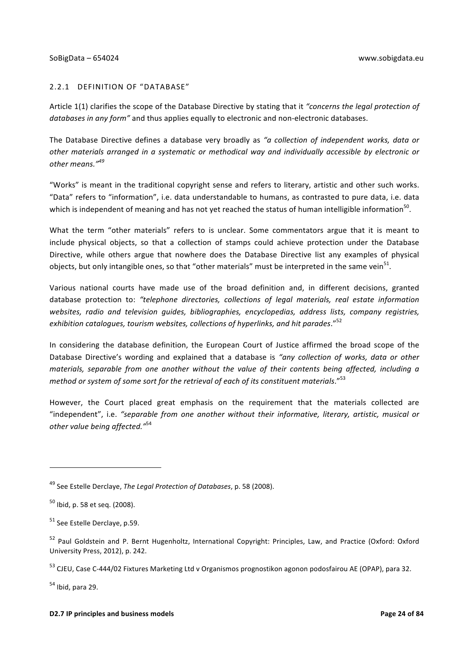# 2.2.1 DEFINITION OF "DATABASE"

Article 1(1) clarifies the scope of the Database Directive by stating that it "concerns the legal protection of *databases in any form"* and thus applies equally to electronic and non-electronic databases.

The Database Directive defines a database very broadly as "a collection of independent works, data or other materials arranged in a systematic or methodical way and individually accessible by electronic or *other means."<sup>49</sup>*

"Works" is meant in the traditional copyright sense and refers to literary, artistic and other such works. "Data" refers to "information", i.e. data understandable to humans, as contrasted to pure data, i.e. data which is independent of meaning and has not yet reached the status of human intelligible information<sup>50</sup>.

What the term "other materials" refers to is unclear. Some commentators argue that it is meant to include physical objects, so that a collection of stamps could achieve protection under the Database Directive, while others argue that nowhere does the Database Directive list any examples of physical objects, but only intangible ones, so that "other materials" must be interpreted in the same vein<sup>51</sup>.

Various national courts have made use of the broad definition and, in different decisions, granted database protection to: "telephone directories, collections of legal materials, real estate information websites, radio and television quides, bibliographies, encyclopedias, address lists, company registries, exhibition catalogues, tourism websites, collections of hyperlinks, and hit parades."<sup>52</sup>

In considering the database definition, the European Court of Justice affirmed the broad scope of the Database Directive's wording and explained that a database is "any collection of works, data or other *materials, separable from one another without the value of their contents being affected, including a* method or system of some sort for the retrieval of each of its constituent materials."<sup>53</sup>

However, the Court placed great emphasis on the requirement that the materials collected are "independent", i.e. "separable from one another without their informative, literary, artistic, musical or other value being affected."<sup>54</sup>

<u> 1989 - Jan Samuel Barbara, margaret e</u>

 $54$  Ibid, para 29.

<sup>&</sup>lt;sup>49</sup> See Estelle Derclaye, *The Legal Protection of Databases*, p. 58 (2008).

 $^{50}$  Ibid, p. 58 et seq. (2008).

 $51$  See Estelle Derclaye, p.59.

<sup>52</sup> Paul Goldstein and P. Bernt Hugenholtz, International Copyright: Principles, Law, and Practice (Oxford: Oxford University Press, 2012), p. 242.

<sup>&</sup>lt;sup>53</sup> CJEU, Case C-444/02 Fixtures Marketing Ltd v Organismos prognostikon agonon podosfairou AE (OPAP), para 32.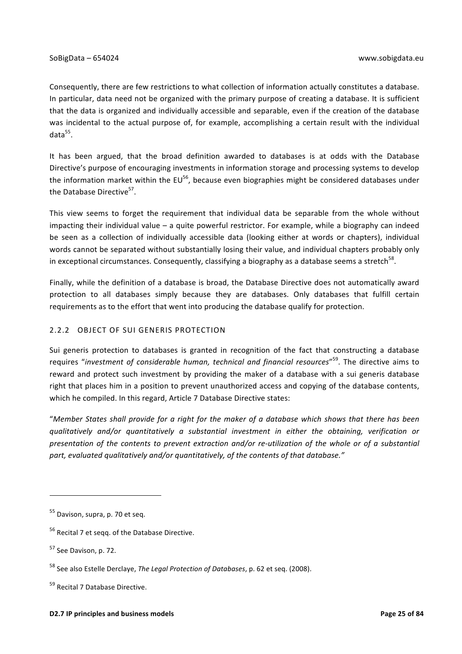Consequently, there are few restrictions to what collection of information actually constitutes a database. In particular, data need not be organized with the primary purpose of creating a database. It is sufficient that the data is organized and individually accessible and separable, even if the creation of the database was incidental to the actual purpose of, for example, accomplishing a certain result with the individual  $data<sup>55</sup>$ 

It has been argued, that the broad definition awarded to databases is at odds with the Database Directive's purpose of encouraging investments in information storage and processing systems to develop the information market within the  $EU^{56}$ , because even biographies might be considered databases under the Database Directive<sup>57</sup>.

This view seems to forget the requirement that individual data be separable from the whole without impacting their individual value  $-$  a quite powerful restrictor. For example, while a biography can indeed be seen as a collection of individually accessible data (looking either at words or chapters), individual words cannot be separated without substantially losing their value, and individual chapters probably only in exceptional circumstances. Consequently, classifying a biography as a database seems a stretch<sup>58</sup>.

Finally, while the definition of a database is broad, the Database Directive does not automatically award protection to all databases simply because they are databases. Only databases that fulfill certain requirements as to the effort that went into producing the database qualify for protection.

## 2.2.2 OBJECT OF SUI GENERIS PROTECTION

Sui generis protection to databases is granted in recognition of the fact that constructing a database requires "investment of considerable human, technical and financial resources"<sup>59</sup>. The directive aims to reward and protect such investment by providing the maker of a database with a sui generis database right that places him in a position to prevent unauthorized access and copying of the database contents, which he compiled. In this regard, Article 7 Database Directive states:

"Member States shall provide for a right for the maker of a database which shows that there has been *qualitatively and/or quantitatively a substantial investment in either the obtaining, verification or*  presentation of the contents to prevent extraction and/or re-utilization of the whole or of a substantial part, evaluated qualitatively and/or quantitatively, of the contents of that database."

 $55$  Davison, supra, p. 70 et seq.

 $56$  Recital 7 et seqq. of the Database Directive.

<sup>&</sup>lt;sup>57</sup> See Davison, p. 72.

<sup>&</sup>lt;sup>58</sup> See also Estelle Derclaye, The Legal Protection of Databases, p. 62 et seq. (2008).

<sup>59</sup> Recital 7 Database Directive.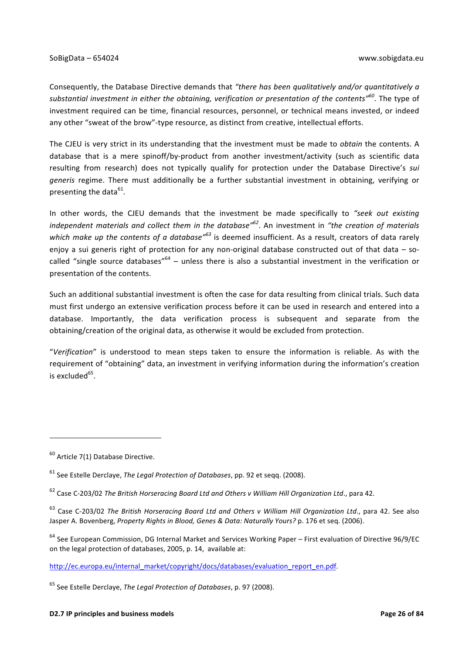Consequently, the Database Directive demands that "there has been qualitatively and/or quantitatively a substantial investment in either the obtaining, verification or presentation of the contents<sup>"60</sup>. The type of investment required can be time, financial resources, personnel, or technical means invested, or indeed any other "sweat of the brow"-type resource, as distinct from creative, intellectual efforts.

The CJEU is very strict in its understanding that the investment must be made to *obtain* the contents. A database that is a mere spinoff/by-product from another investment/activity (such as scientific data resulting from research) does not typically qualify for protection under the Database Directive's *sui generis* regime. There must additionally be a further substantial investment in obtaining, verifying or presenting the data $61$ .

In other words, the CJEU demands that the investment be made specifically to "seek out existing *independent materials and collect them in the database"<sup>62</sup>. An investment in "the creation of materials* which make up the contents of a database<sup>"63</sup> is deemed insufficient. As a result, creators of data rarely enjoy a sui generis right of protection for any non-original database constructed out of that data  $-$  socalled "single source databases"<sup>64</sup> – unless there is also a substantial investment in the verification or presentation of the contents.

Such an additional substantial investment is often the case for data resulting from clinical trials. Such data must first undergo an extensive verification process before it can be used in research and entered into a database. Importantly, the data verification process is subsequent and separate from the obtaining/creation of the original data, as otherwise it would be excluded from protection.

"Verification" is understood to mean steps taken to ensure the information is reliable. As with the requirement of "obtaining" data, an investment in verifying information during the information's creation is excluded $65$ .

 $60$  Article 7(1) Database Directive.

<sup>&</sup>lt;sup>61</sup> See Estelle Derclaye, *The Legal Protection of Databases*, pp. 92 et segg. (2008).

<sup>&</sup>lt;sup>62</sup> Case C-203/02 The British Horseracing Board Ltd and Others v William Hill Organization Ltd., para 42.

<sup>&</sup>lt;sup>63</sup> Case C-203/02 The British Horseracing Board Ltd and Others v William Hill Organization Ltd., para 42. See also Jasper A. Bovenberg, Property Rights in Blood, Genes & Data: Naturally Yours? p. 176 et seq. (2006).

<sup>64</sup> See European Commission, DG Internal Market and Services Working Paper – First evaluation of Directive 96/9/EC on the legal protection of databases, 2005, p. 14, available at:

http://ec.europa.eu/internal\_market/copyright/docs/databases/evaluation\_report\_en.pdf.

<sup>&</sup>lt;sup>65</sup> See Estelle Derclaye, *The Legal Protection of Databases*, p. 97 (2008).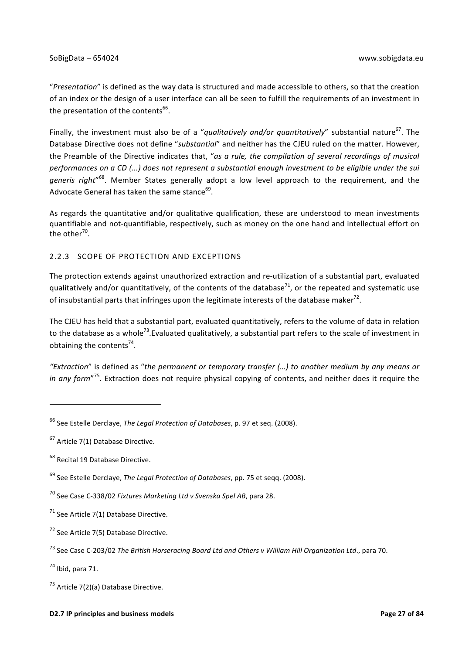"Presentation" is defined as the way data is structured and made accessible to others, so that the creation of an index or the design of a user interface can all be seen to fulfill the requirements of an investment in the presentation of the contents<sup>66</sup>.

Finally, the investment must also be of a "*qualitatively and/or quantitatively*" substantial nature<sup>67</sup>. The Database Directive does not define "substantial" and neither has the CJEU ruled on the matter. However, the Preamble of the Directive indicates that, "as a rule, the compilation of several recordings of musical *performances on a CD (...)* does not represent a substantial enough investment to be eligible under the sui generis right"<sup>68</sup>. Member States generally adopt a low level approach to the requirement, and the Advocate General has taken the same stance<sup>69</sup>.

As regards the quantitative and/or qualitative qualification, these are understood to mean investments quantifiable and not-quantifiable, respectively, such as money on the one hand and intellectual effort on the other $70$ .

# 2.2.3 SCOPE OF PROTECTION AND EXCEPTIONS

The protection extends against unauthorized extraction and re-utilization of a substantial part, evaluated qualitatively and/or quantitatively, of the contents of the database<sup>71</sup>, or the repeated and systematic use of insubstantial parts that infringes upon the legitimate interests of the database maker<sup>72</sup>.

The CJEU has held that a substantial part, evaluated quantitatively, refers to the volume of data in relation to the database as a whole<sup>73</sup>. Evaluated qualitatively, a substantial part refers to the scale of investment in obtaining the contents $74$ .

"Extraction" is defined as "the permanent or temporary transfer (...) to another medium by any means or *in* any form"<sup>75</sup>. Extraction does not require physical copying of contents, and neither does it require the

<sup>&</sup>lt;sup>66</sup> See Estelle Derclaye, *The Legal Protection of Databases*, p. 97 et seg. (2008).

 $67$  Article  $7(1)$  Database Directive.

<sup>&</sup>lt;sup>68</sup> Recital 19 Database Directive.

<sup>&</sup>lt;sup>69</sup> See Estelle Derclaye, *The Legal Protection of Databases*, pp. 75 et seqq. (2008).

<sup>&</sup>lt;sup>70</sup> See Case C-338/02 *Fixtures Marketing Ltd v Svenska Spel AB*, para 28.

 $71$  See Article 7(1) Database Directive.

 $72$  See Article 7(5) Database Directive.

<sup>&</sup>lt;sup>73</sup> See Case C-203/02 The British Horseracing Board Ltd and Others v William Hill Organization Ltd., para 70.

 $74$  Ibid, para 71.

 $75$  Article  $7(2)(a)$  Database Directive.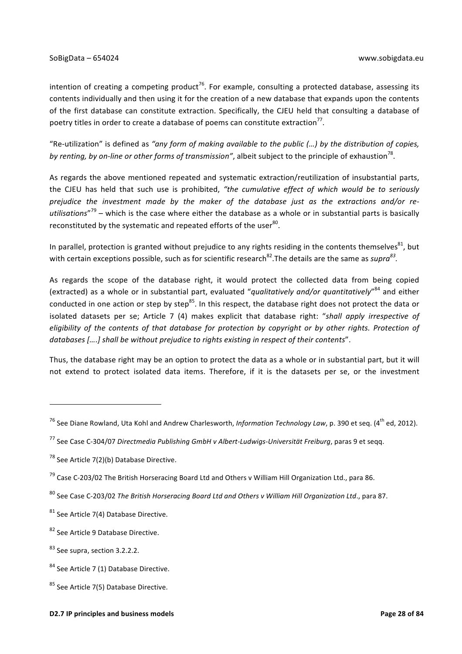intention of creating a competing product<sup>76</sup>. For example, consulting a protected database, assessing its contents individually and then using it for the creation of a new database that expands upon the contents of the first database can constitute extraction. Specifically, the CJEU held that consulting a database of poetry titles in order to create a database of poems can constitute extraction<sup>77</sup>.

"Re-utilization" is defined as "any form of making available to the public (...) by the distribution of copies, *by renting, by on-line or other forms of transmission"*, albeit subject to the principle of exhaustion<sup>78</sup>.

As regards the above mentioned repeated and systematic extraction/reutilization of insubstantial parts, the CJEU has held that such use is prohibited, "the cumulative effect of which would be to seriously prejudice the investment made by the maker of the database just as the extractions and/or reutilisations"<sup>79</sup> – which is the case where either the database as a whole or in substantial parts is basically reconstituted by the systematic and repeated efforts of the user<sup>80</sup>.

In parallel, protection is granted without prejudice to any rights residing in the contents themselves<sup>81</sup>, but with certain exceptions possible, such as for scientific research<sup>82</sup>. The details are the same as *supra*<sup>83</sup>.

As regards the scope of the database right, it would protect the collected data from being copied (extracted) as a whole or in substantial part, evaluated "qualitatively and/or quantitatively"<sup>84</sup> and either conducted in one action or step by step<sup>85</sup>. In this respect, the database right does not protect the data or isolated datasets per se; Article 7 (4) makes explicit that database right: "shall apply irrespective of *eligibility* of the contents of that database for protection by copyright or by other rights. Protection of databases [....] shall be without prejudice to rights existing in respect of their contents".

Thus, the database right may be an option to protect the data as a whole or in substantial part, but it will not extend to protect isolated data items. Therefore, if it is the datasets per se, or the investment

<sup>&</sup>lt;sup>76</sup> See Diane Rowland, Uta Kohl and Andrew Charlesworth, *Information Technology Law*, p. 390 et seg. (4<sup>th</sup> ed, 2012).

<sup>&</sup>lt;sup>77</sup> See Case C-304/07 Directmedia Publishing GmbH v Albert-Ludwigs-Universität Freiburg, paras 9 et segg.

 $78$  See Article  $7(2)(b)$  Database Directive.

 $^{79}$  Case C-203/02 The British Horseracing Board Ltd and Others v William Hill Organization Ltd., para 86.

<sup>&</sup>lt;sup>80</sup> See Case C-203/02 The British Horseracing Board Ltd and Others v William Hill Organization Ltd., para 87.

 $81$  See Article 7(4) Database Directive.

<sup>82</sup> See Article 9 Database Directive.

 $83$  See supra, section 3.2.2.2.

<sup>84</sup> See Article 7 (1) Database Directive.

<sup>85</sup> See Article 7(5) Database Directive.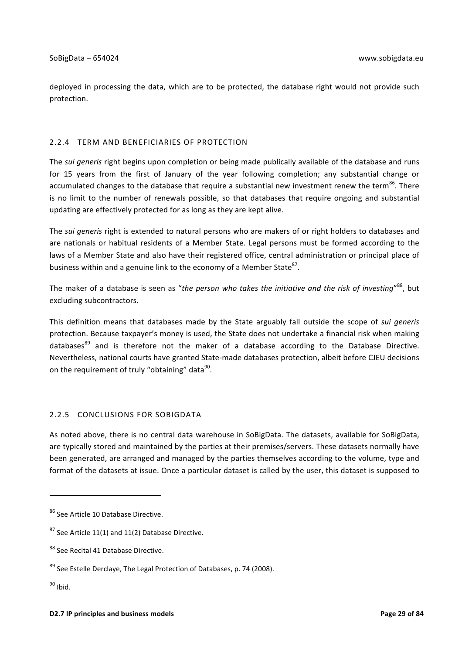deployed in processing the data, which are to be protected, the database right would not provide such protection. 

#### 2.2.4 TERM AND BENEFICIARIES OF PROTECTION

The *sui generis* right begins upon completion or being made publically available of the database and runs for 15 years from the first of January of the year following completion; any substantial change or accumulated changes to the database that require a substantial new investment renew the term<sup>86</sup>. There is no limit to the number of renewals possible, so that databases that require ongoing and substantial updating are effectively protected for as long as they are kept alive.

The *sui generis* right is extended to natural persons who are makers of or right holders to databases and are nationals or habitual residents of a Member State. Legal persons must be formed according to the laws of a Member State and also have their registered office, central administration or principal place of business within and a genuine link to the economy of a Member State<sup>87</sup>.

The maker of a database is seen as "the person who takes the initiative and the risk of investing"<sup>88</sup>, but excluding subcontractors.

This definition means that databases made by the State arguably fall outside the scope of *sui generis* protection. Because taxpayer's money is used, the State does not undertake a financial risk when making databases<sup>89</sup> and is therefore not the maker of a database according to the Database Directive. Nevertheless, national courts have granted State-made databases protection, albeit before CJEU decisions on the requirement of truly "obtaining" data $^{90}$ .

# 2.2.5 CONCLUSIONS FOR SOBIGDATA

As noted above, there is no central data warehouse in SoBigData. The datasets, available for SoBigData, are typically stored and maintained by the parties at their premises/servers. These datasets normally have been generated, are arranged and managed by the parties themselves according to the volume, type and format of the datasets at issue. Once a particular dataset is called by the user, this dataset is supposed to

<sup>86</sup> See Article 10 Database Directive.

 $87$  See Article 11(1) and 11(2) Database Directive.

<sup>88</sup> See Recital 41 Database Directive.

 $89$  See Estelle Derclaye, The Legal Protection of Databases, p. 74 (2008).

<sup>90</sup> Ibid.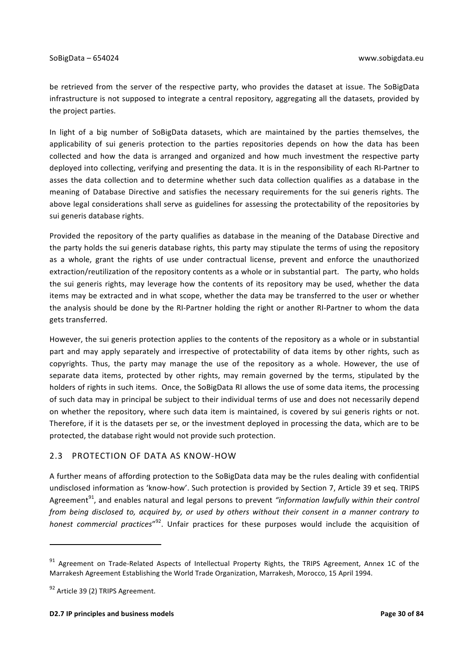be retrieved from the server of the respective party, who provides the dataset at issue. The SoBigData infrastructure is not supposed to integrate a central repository, aggregating all the datasets, provided by the project parties.

In light of a big number of SoBigData datasets, which are maintained by the parties themselves, the applicability of sui generis protection to the parties repositories depends on how the data has been collected and how the data is arranged and organized and how much investment the respective party deployed into collecting, verifying and presenting the data. It is in the responsibility of each RI-Partner to asses the data collection and to determine whether such data collection qualifies as a database in the meaning of Database Directive and satisfies the necessary requirements for the sui generis rights. The above legal considerations shall serve as guidelines for assessing the protectability of the repositories by sui generis database rights.

Provided the repository of the party qualifies as database in the meaning of the Database Directive and the party holds the sui generis database rights, this party may stipulate the terms of using the repository as a whole, grant the rights of use under contractual license, prevent and enforce the unauthorized extraction/reutilization of the repository contents as a whole or in substantial part. The party, who holds the sui generis rights, may leverage how the contents of its repository may be used, whether the data items may be extracted and in what scope, whether the data may be transferred to the user or whether the analysis should be done by the RI-Partner holding the right or another RI-Partner to whom the data gets transferred.

However, the sui generis protection applies to the contents of the repository as a whole or in substantial part and may apply separately and irrespective of protectability of data items by other rights, such as copyrights. Thus, the party may manage the use of the repository as a whole. However, the use of separate data items, protected by other rights, may remain governed by the terms, stipulated by the holders of rights in such items. Once, the SoBigData RI allows the use of some data items, the processing of such data may in principal be subject to their individual terms of use and does not necessarily depend on whether the repository, where such data item is maintained, is covered by sui generis rights or not. Therefore, if it is the datasets per se, or the investment deployed in processing the data, which are to be protected, the database right would not provide such protection.

### 2.3 PROTECTION OF DATA AS KNOW-HOW

A further means of affording protection to the SoBigData data may be the rules dealing with confidential undisclosed information as 'know-how'. Such protection is provided by Section 7, Article 39 et seq. TRIPS Agreement<sup>91</sup>, and enables natural and legal persons to prevent "information lawfully within their control *from* being disclosed to, acquired by, or used by others without their consent in a manner contrary to honest commercial practices"<sup>92</sup>. Unfair practices for these purposes would include the acquisition of

<sup>91</sup> Agreement on Trade-Related Aspects of Intellectual Property Rights, the TRIPS Agreement, Annex 1C of the Marrakesh Agreement Establishing the World Trade Organization, Marrakesh, Morocco, 15 April 1994.

<sup>92</sup> Article 39 (2) TRIPS Agreement.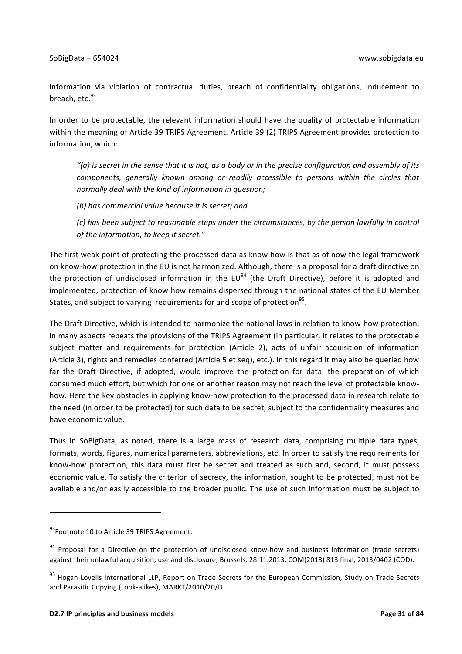information via violation of contractual duties, breach of confidentiality obligations, inducement to breach, etc.<sup>93</sup>

In order to be protectable, the relevant information should have the quality of protectable information within the meaning of Article 39 TRIPS Agreement. Article 39 (2) TRIPS Agreement provides protection to information, which:

"(a) is secret in the sense that it is not, as a body or in the precise configuration and assembly of its components, generally known among or readily accessible to persons within the circles that *normally deal with the kind of information in question;*

*(b)* has commercial value because it is secret; and

*(c)* has been subject to reasonable steps under the circumstances, by the person lawfully in control of the information, to keep it secret."

The first weak point of protecting the processed data as know-how is that as of now the legal framework on know-how protection in the EU is not harmonized. Although, there is a proposal for a draft directive on the protection of undisclosed information in the  $EU^{94}$  (the Draft Directive), before it is adopted and implemented, protection of know how remains dispersed through the national states of the EU Member States, and subject to varying requirements for and scope of protection<sup>95</sup>.

The Draft Directive, which is intended to harmonize the national laws in relation to know-how protection, in many aspects repeats the provisions of the TRIPS Agreement (in particular, it relates to the protectable subject matter and requirements for protection (Article 2), acts of unfair acquisition of information (Article 3), rights and remedies conferred (Article 5 et seq), etc.). In this regard it may also be queried how far the Draft Directive, if adopted, would improve the protection for data, the preparation of which consumed much effort, but which for one or another reason may not reach the level of protectable knowhow. Here the key obstacles in applying know-how protection to the processed data in research relate to the need (in order to be protected) for such data to be secret, subject to the confidentiality measures and have economic value.

Thus in SoBigData, as noted, there is a large mass of research data, comprising multiple data types, formats, words, figures, numerical parameters, abbreviations, etc. In order to satisfy the requirements for know-how protection, this data must first be secret and treated as such and, second, it must possess economic value. To satisfy the criterion of secrecy, the information, sought to be protected, must not be available and/or easily accessible to the broader public. The use of such information must be subject to

<sup>93&</sup>lt;sub>Footnote</sub> 10 to Article 39 TRIPS Agreement.

<sup>94</sup> Proposal for a Directive on the protection of undisclosed know-how and business information (trade secrets) against their unlawful acquisition, use and disclosure, Brussels, 28.11.2013, COM(2013) 813 final, 2013/0402 (COD).

<sup>95</sup> Hogan Lovells International LLP, Report on Trade Secrets for the European Commission, Study on Trade Secrets and Parasitic Copying (Look-alikes), MARKT/2010/20/D.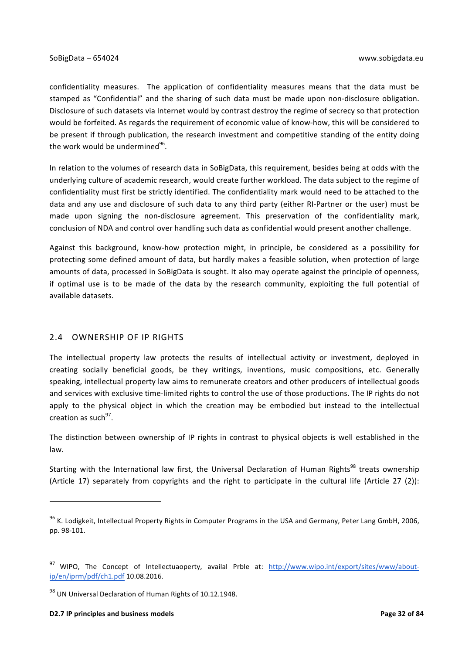confidentiality measures. The application of confidentiality measures means that the data must be stamped as "Confidential" and the sharing of such data must be made upon non-disclosure obligation. Disclosure of such datasets via Internet would by contrast destroy the regime of secrecy so that protection would be forfeited. As regards the requirement of economic value of know-how, this will be considered to be present if through publication, the research investment and competitive standing of the entity doing the work would be undermined $96$ .

In relation to the volumes of research data in SoBigData, this requirement, besides being at odds with the underlying culture of academic research, would create further workload. The data subject to the regime of confidentiality must first be strictly identified. The confidentiality mark would need to be attached to the data and any use and disclosure of such data to any third party (either RI-Partner or the user) must be made upon signing the non-disclosure agreement. This preservation of the confidentiality mark, conclusion of NDA and control over handling such data as confidential would present another challenge.

Against this background, know-how protection might, in principle, be considered as a possibility for protecting some defined amount of data, but hardly makes a feasible solution, when protection of large amounts of data, processed in SoBigData is sought. It also may operate against the principle of openness, if optimal use is to be made of the data by the research community, exploiting the full potential of available datasets.

### 2.4 OWNFRSHIP OF IP RIGHTS

The intellectual property law protects the results of intellectual activity or investment, deployed in creating socially beneficial goods, be they writings, inventions, music compositions, etc. Generally speaking, intellectual property law aims to remunerate creators and other producers of intellectual goods and services with exclusive time-limited rights to control the use of those productions. The IP rights do not apply to the physical object in which the creation may be embodied but instead to the intellectual creation as such  $97$ .

The distinction between ownership of IP rights in contrast to physical objects is well established in the law. 

Starting with the International law first, the Universal Declaration of Human Rights<sup>98</sup> treats ownership (Article 17) separately from copyrights and the right to participate in the cultural life (Article 27 (2)):

 $96$  K. Lodigkeit, Intellectual Property Rights in Computer Programs in the USA and Germany, Peter Lang GmbH, 2006, pp. 98-101.

<sup>97</sup> WIPO, The Concept of Intellectuaoperty, availal Prble at: http://www.wipo.int/export/sites/www/aboutip/en/iprm/pdf/ch1.pdf 10.08.2016. 

<sup>98</sup> UN Universal Declaration of Human Rights of 10.12.1948.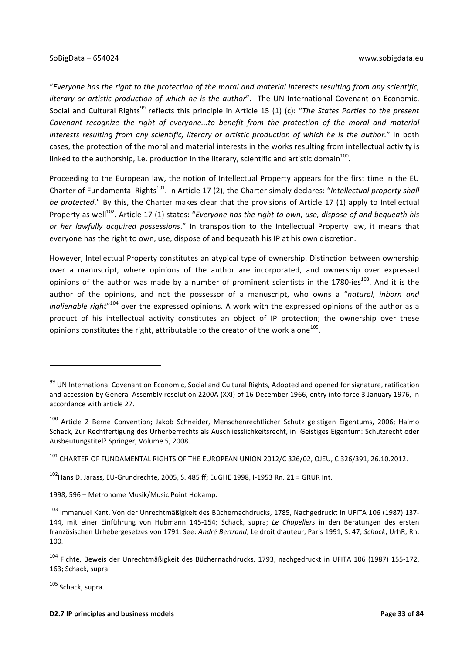"Everyone has the right to the protection of the moral and material interests resulting from any scientific, *literary or artistic production of which he is the author*". The UN International Covenant on Economic, Social and Cultural Rights<sup>99</sup> reflects this principle in Article 15 (1) (c): "*The States Parties to the present Covenant recognize the right of everyone...to benefit from the protection of the moral and material interests resulting from any scientific, literary or artistic production of which he is the author."* In both cases, the protection of the moral and material interests in the works resulting from intellectual activity is linked to the authorship, i.e. production in the literary, scientific and artistic domain<sup>100</sup>.

Proceeding to the European law, the notion of Intellectual Property appears for the first time in the EU Charter of Fundamental Rights<sup>101</sup>. In Article 17 (2), the Charter simply declares: "Intellectual property shall be protected." By this, the Charter makes clear that the provisions of Article 17 (1) apply to Intellectual Property as well<sup>102</sup>. Article 17 (1) states: "*Everyone has the right to own, use, dispose of and bequeath his* or her lawfully acquired possessions." In transposition to the Intellectual Property law, it means that everyone has the right to own, use, dispose of and bequeath his IP at his own discretion.

However, Intellectual Property constitutes an atypical type of ownership. Distinction between ownership over a manuscript, where opinions of the author are incorporated, and ownership over expressed opinions of the author was made by a number of prominent scientists in the 1780-ies<sup>103</sup>. And it is the author of the opinions, and not the possessor of a manuscript, who owns a "natural, inborn and *inalienable right*"<sup>104</sup> over the expressed opinions. A work with the expressed opinions of the author as a product of his intellectual activity constitutes an object of IP protection; the ownership over these opinions constitutes the right, attributable to the creator of the work alone<sup>105</sup>.

 $^{102}$ Hans D. Jarass, EU-Grundrechte, 2005, S. 485 ff; EuGHE 1998, I-1953 Rn. 21 = GRUR Int.

<u> 1989 - Jan Samuel Barbara, margaret e</u>

105 Schack, supra.

<sup>99</sup> UN International Covenant on Economic, Social and Cultural Rights, Adopted and opened for signature, ratification and accession by General Assembly resolution 2200A (XXI) of 16 December 1966, entry into force 3 January 1976, in accordance with article 27.

 $100$  Article 2 Berne Convention; Jakob Schneider, Menschenrechtlicher Schutz geistigen Eigentums, 2006; Haimo Schack, Zur Rechtfertigung des Urherberrechts als Auschliesslichkeitsrecht, in Geistiges Eigentum: Schutzrecht oder Ausbeutungstitel? Springer, Volume 5, 2008.

 $101$  CHARTER OF FUNDAMENTAL RIGHTS OF THE EUROPEAN UNION 2012/C 326/02, OJEU, C 326/391, 26.10.2012.

<sup>1998, 596 -</sup> Metronome Musik/Music Point Hokamp.

<sup>&</sup>lt;sup>103</sup> Immanuel Kant, Von der Unrechtmäßigkeit des Büchernachdrucks, 1785, Nachgedruckt in UFITA 106 (1987) 137-144, mit einer Einführung von Hubmann 145-154; Schack, supra; Le Chapeliers in den Beratungen des ersten französischen Urhebergesetzes von 1791, See: André Bertrand, Le droit d'auteur, Paris 1991, S. 47; Schack, UrhR, Rn. 100.

<sup>104</sup> Fichte, Beweis der Unrechtmäßigkeit des Büchernachdrucks, 1793, nachgedruckt in UFITA 106 (1987) 155-172, 163: Schack, supra.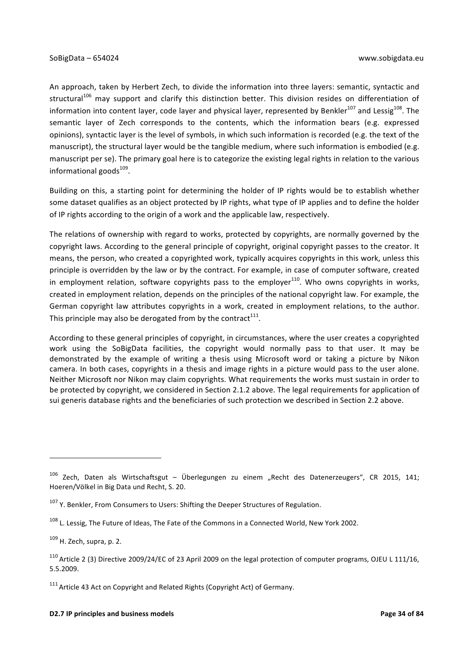An approach, taken by Herbert Zech, to divide the information into three layers: semantic, syntactic and structural<sup>106</sup> may support and clarify this distinction better. This division resides on differentiation of information into content layer, code layer and physical layer, represented by Benkler<sup>107</sup> and Lessig<sup>108</sup>. The semantic layer of Zech corresponds to the contents, which the information bears (e.g. expressed opinions), syntactic layer is the level of symbols, in which such information is recorded (e.g. the text of the manuscript), the structural layer would be the tangible medium, where such information is embodied (e.g. manuscript per se). The primary goal here is to categorize the existing legal rights in relation to the various informational goods $^{109}$ .

Building on this, a starting point for determining the holder of IP rights would be to establish whether some dataset qualifies as an object protected by IP rights, what type of IP applies and to define the holder of IP rights according to the origin of a work and the applicable law, respectively.

The relations of ownership with regard to works, protected by copyrights, are normally governed by the copyright laws. According to the general principle of copyright, original copyright passes to the creator. It means, the person, who created a copyrighted work, typically acquires copyrights in this work, unless this principle is overridden by the law or by the contract. For example, in case of computer software, created in employment relation, software copyrights pass to the employer<sup>110</sup>. Who owns copyrights in works, created in employment relation, depends on the principles of the national copyright law. For example, the German copyright law attributes copyrights in a work, created in employment relations, to the author. This principle may also be derogated from by the contract  $111$ .

According to these general principles of copyright, in circumstances, where the user creates a copyrighted work using the SoBigData facilities, the copyright would normally pass to that user. It may be demonstrated by the example of writing a thesis using Microsoft word or taking a picture by Nikon camera. In both cases, copyrights in a thesis and image rights in a picture would pass to the user alone. Neither Microsoft nor Nikon may claim copyrights. What requirements the works must sustain in order to be protected by copyright, we considered in Section 2.1.2 above. The legal requirements for application of sui generis database rights and the beneficiaries of such protection we described in Section 2.2 above.

 $106$  Zech, Daten als Wirtschaftsgut – Überlegungen zu einem "Recht des Datenerzeugers", CR 2015, 141; Hoeren/Völkel in Big Data und Recht, S. 20.

 $107$  Y. Benkler, From Consumers to Users: Shifting the Deeper Structures of Regulation.

 $108$  L. Lessig, The Future of Ideas, The Fate of the Commons in a Connected World, New York 2002.

 $109$  H. Zech, supra, p. 2.

 $110$  Article 2 (3) Directive 2009/24/EC of 23 April 2009 on the legal protection of computer programs, OJEU L 111/16, 5.5.2009. 

 $111$  Article 43 Act on Copyright and Related Rights (Copyright Act) of Germany.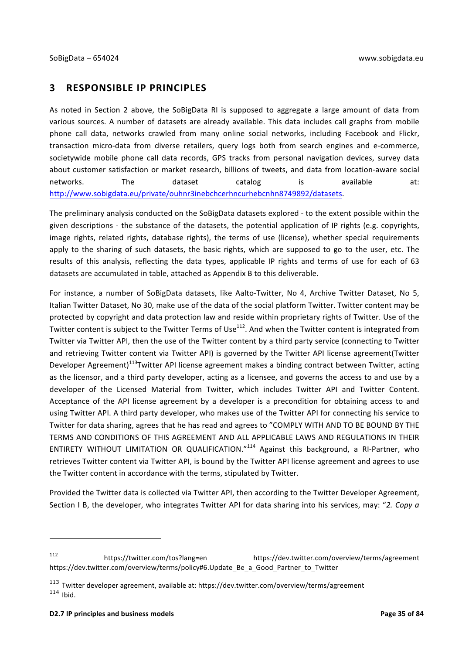# **3 RESPONSIBLE IP PRINCIPLES**

As noted in Section 2 above, the SoBigData RI is supposed to aggregate a large amount of data from various sources. A number of datasets are already available. This data includes call graphs from mobile phone call data, networks crawled from many online social networks, including Facebook and Flickr, transaction micro-data from diverse retailers, query logs both from search engines and e-commerce, societywide mobile phone call data records, GPS tracks from personal navigation devices, survey data about customer satisfaction or market research, billions of tweets, and data from location-aware social networks. The dataset catalog is available at: http://www.sobigdata.eu/private/ouhnr3inebchcerhncurhebcnhn8749892/datasets. 

The preliminary analysis conducted on the SoBigData datasets explored - to the extent possible within the given descriptions - the substance of the datasets, the potential application of IP rights (e.g. copyrights, image rights, related rights, database rights), the terms of use (license), whether special requirements apply to the sharing of such datasets, the basic rights, which are supposed to go to the user, etc. The results of this analysis, reflecting the data types, applicable IP rights and terms of use for each of 63 datasets are accumulated in table, attached as Appendix B to this deliverable.

For instance, a number of SoBigData datasets, like Aalto-Twitter, No 4, Archive Twitter Dataset, No 5, Italian Twitter Dataset, No 30, make use of the data of the social platform Twitter. Twitter content may be protected by copyright and data protection law and reside within proprietary rights of Twitter. Use of the Twitter content is subject to the Twitter Terms of Use<sup>112</sup>. And when the Twitter content is integrated from Twitter via Twitter API, then the use of the Twitter content by a third party service (connecting to Twitter and retrieving Twitter content via Twitter API) is governed by the Twitter API license agreement(Twitter Developer Agreement)<sup>113</sup>Twitter API license agreement makes a binding contract between Twitter, acting as the licensor, and a third party developer, acting as a licensee, and governs the access to and use by a developer of the Licensed Material from Twitter, which includes Twitter API and Twitter Content. Acceptance of the API license agreement by a developer is a precondition for obtaining access to and using Twitter API. A third party developer, who makes use of the Twitter API for connecting his service to Twitter for data sharing, agrees that he has read and agrees to "COMPLY WITH AND TO BE BOUND BY THE TERMS AND CONDITIONS OF THIS AGREEMENT AND ALL APPLICABLE LAWS AND REGULATIONS IN THEIR ENTIRETY WITHOUT LIMITATION OR QUALIFICATION."<sup>114</sup> Against this background, a RI-Partner, who retrieves Twitter content via Twitter API, is bound by the Twitter API license agreement and agrees to use the Twitter content in accordance with the terms, stipulated by Twitter.

Provided the Twitter data is collected via Twitter API, then according to the Twitter Developer Agreement, Section I B, the developer, who integrates Twitter API for data sharing into his services, may: "2. Copy a

<sup>112</sup> https://twitter.com/tos?lang=en https://dev.twitter.com/overview/terms/agreement https://dev.twitter.com/overview/terms/policy#6.Update\_Be\_a\_Good\_Partner\_to\_Twitter

 $113$  Twitter developer agreement, available at: https://dev.twitter.com/overview/terms/agreement  $114$  Ibid.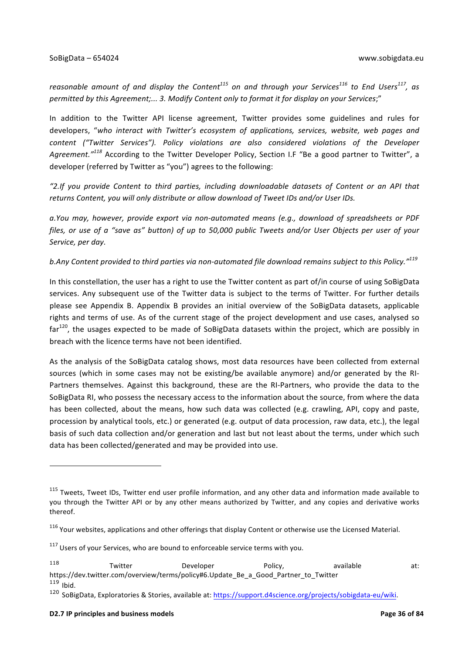*reasonable amount of and display the Content<sup>115</sup> on and through your Services<sup>116</sup> to End Users<sup>117</sup>, as* permitted by this Agreement;... 3. Modify Content only to format it for display on your Services;"

In addition to the Twitter API license agreement, Twitter provides some guidelines and rules for developers, "who interact with Twitter's ecosystem of applications, services, website, web pages and *content ("Twitter Services"). Policy violations are also considered violations of the Developer*  Agreement.<sup>"118</sup> According to the Twitter Developer Policy, Section I.F "Be a good partner to Twitter", a developer (referred by Twitter as "you") agrees to the following:

"2.If you provide Content to third parties, including downloadable datasets of Content or an API that returns Content, you will only distribute or allow download of Tweet IDs and/or User IDs.

a.You may, however, provide export via non-automated means (e.g., download of spreadsheets or PDF *files, or use of a "save as" button)* of up to 50,000 public Tweets and/or User Objects per user of your Service, per day.

*b.Any* Content provided to third parties via non-automated file download remains subject to this Policy."<sup>119</sup>

In this constellation, the user has a right to use the Twitter content as part of/in course of using SoBigData services. Any subsequent use of the Twitter data is subject to the terms of Twitter. For further details please see Appendix B. Appendix B provides an initial overview of the SoBigData datasets, applicable rights and terms of use. As of the current stage of the project development and use cases, analysed so  $far^{120}$ , the usages expected to be made of SoBigData datasets within the project, which are possibly in breach with the licence terms have not been identified.

As the analysis of the SoBigData catalog shows, most data resources have been collected from external sources (which in some cases may not be existing/be available anymore) and/or generated by the RI-Partners themselves. Against this background, these are the RI-Partners, who provide the data to the SoBigData RI, who possess the necessary access to the information about the source, from where the data has been collected, about the means, how such data was collected (e.g. crawling, API, copy and paste, procession by analytical tools, etc.) or generated (e.g. output of data procession, raw data, etc.), the legal basis of such data collection and/or generation and last but not least about the terms, under which such data has been collected/generated and may be provided into use.

 $115$  Tweets, Tweet IDs, Twitter end user profile information, and any other data and information made available to you through the Twitter API or by any other means authorized by Twitter, and any copies and derivative works thereof.

 $116$  Your websites, applications and other offerings that display Content or otherwise use the Licensed Material.

 $117$  Users of your Services, who are bound to enforceable service terms with you.

<sup>118 118</sup> Twitter Developer Policy, available at: https://dev.twitter.com/overview/terms/policy#6.Update\_Be\_a\_Good\_Partner\_to\_Twitter  $119$  Ihid.

<sup>120</sup> SoBigData, Exploratories & Stories, available at: https://support.d4science.org/projects/sobigdata-eu/wiki.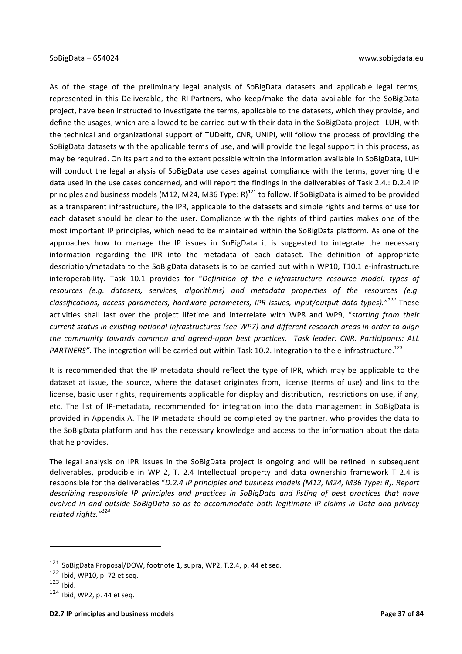As of the stage of the preliminary legal analysis of SoBigData datasets and applicable legal terms, represented in this Deliverable, the RI-Partners, who keep/make the data available for the SoBigData project, have been instructed to investigate the terms, applicable to the datasets, which they provide, and define the usages, which are allowed to be carried out with their data in the SoBigData project. LUH, with the technical and organizational support of TUDelft, CNR, UNIPI, will follow the process of providing the SoBigData datasets with the applicable terms of use, and will provide the legal support in this process, as may be required. On its part and to the extent possible within the information available in SoBigData, LUH will conduct the legal analysis of SoBigData use cases against compliance with the terms, governing the data used in the use cases concerned, and will report the findings in the deliverables of Task 2.4.: D.2.4 IP principles and business models (M12, M24, M36 Type: R)<sup>121</sup> to follow. If SoBigData is aimed to be provided as a transparent infrastructure, the IPR, applicable to the datasets and simple rights and terms of use for each dataset should be clear to the user. Compliance with the rights of third parties makes one of the most important IP principles, which need to be maintained within the SoBigData platform. As one of the approaches how to manage the IP issues in SoBigData it is suggested to integrate the necessary information regarding the IPR into the metadata of each dataset. The definition of appropriate description/metadata to the SoBigData datasets is to be carried out within WP10, T10.1 e-infrastructure interoperability. Task 10.1 provides for "Definition of the e-infrastructure resource model: types of resources (e.g. datasets, services, algorithms) and metadata properties of the resources (e.g. *classifications, access parameters, hardware parameters, IPR issues, input/output data types)."<sup>122</sup>* These activities shall last over the project lifetime and interrelate with WP8 and WP9, "starting from their *current status in existing national infrastructures (see WP7) and different research areas in order to align the community towards common and agreed-upon best practices. Task leader: CNR. Participants: ALL* PARTNERS". The integration will be carried out within Task 10.2. Integration to the e-infrastructure.<sup>123</sup>

It is recommended that the IP metadata should reflect the type of IPR, which may be applicable to the dataset at issue, the source, where the dataset originates from, license (terms of use) and link to the license, basic user rights, requirements applicable for display and distribution, restrictions on use, if any, etc. The list of IP-metadata, recommended for integration into the data management in SoBigData is provided in Appendix A. The IP metadata should be completed by the partner, who provides the data to the SoBigData platform and has the necessary knowledge and access to the information about the data that he provides.

The legal analysis on IPR issues in the SoBigData project is ongoing and will be refined in subsequent deliverables, producible in WP 2, T. 2.4 Intellectual property and data ownership framework T 2.4 is responsible for the deliverables "D.2.4 IP principles and business models (M12, M24, M36 Type: R). Report describing responsible IP principles and practices in SoBigData and listing of best practices that have *evolved* in and outside SoBigData so as to accommodate both legitimate IP claims in Data and privacy *related rights." 124*

 $121$  SoBigData Proposal/DOW, footnote 1, supra, WP2, T.2.4, p. 44 et seq.

 $122$  Ibid, WP10, p. 72 et seq.

 $123$  Ibid.

 $124$  Ibid, WP2, p. 44 et seq.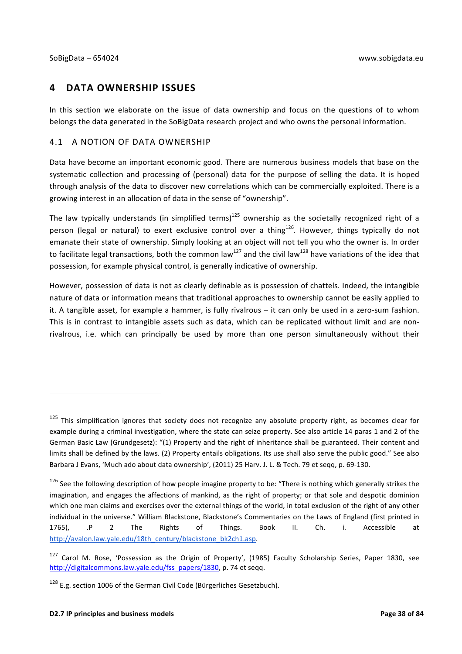# **4 DATA OWNERSHIP ISSUES**

In this section we elaborate on the issue of data ownership and focus on the questions of to whom belongs the data generated in the SoBigData research project and who owns the personal information.

#### 4.1 A NOTION OF DATA OWNERSHIP

Data have become an important economic good. There are numerous business models that base on the systematic collection and processing of (personal) data for the purpose of selling the data. It is hoped through analysis of the data to discover new correlations which can be commercially exploited. There is a growing interest in an allocation of data in the sense of "ownership".

The law typically understands (in simplified terms)<sup>125</sup> ownership as the societally recognized right of a person (legal or natural) to exert exclusive control over a thing<sup>126</sup>. However, things typically do not emanate their state of ownership. Simply looking at an object will not tell you who the owner is. In order to facilitate legal transactions, both the common law<sup>127</sup> and the civil law<sup>128</sup> have variations of the idea that possession, for example physical control, is generally indicative of ownership.

However, possession of data is not as clearly definable as is possession of chattels. Indeed, the intangible nature of data or information means that traditional approaches to ownership cannot be easily applied to it. A tangible asset, for example a hammer, is fully rivalrous – it can only be used in a zero-sum fashion. This is in contrast to intangible assets such as data, which can be replicated without limit and are nonrivalrous, i.e. which can principally be used by more than one person simultaneously without their

 

 $125$  This simplification ignores that society does not recognize any absolute property right, as becomes clear for example during a criminal investigation, where the state can seize property. See also article 14 paras 1 and 2 of the German Basic Law (Grundgesetz): "(1) Property and the right of inheritance shall be guaranteed. Their content and limits shall be defined by the laws. (2) Property entails obligations. Its use shall also serve the public good." See also Barbara J Evans, 'Much ado about data ownership', (2011) 25 Harv. J. L. & Tech. 79 et seqq, p. 69-130.

 $126$  See the following description of how people imagine property to be: "There is nothing which generally strikes the imagination, and engages the affections of mankind, as the right of property; or that sole and despotic dominion which one man claims and exercises over the external things of the world, in total exclusion of the right of any other individual in the universe." William Blackstone, Blackstone's Commentaries on the Laws of England (first printed in 1765), .P 2 The Rights of Things. Book II. Ch. i. Accessible at http://avalon.law.yale.edu/18th\_century/blackstone\_bk2ch1.asp.

 $127$  Carol M. Rose, 'Possession as the Origin of Property', (1985) Faculty Scholarship Series, Paper 1830, see http://digitalcommons.law.yale.edu/fss\_papers/1830, p. 74 et seqq.

 $128$  E.g. section 1006 of the German Civil Code (Bürgerliches Gesetzbuch).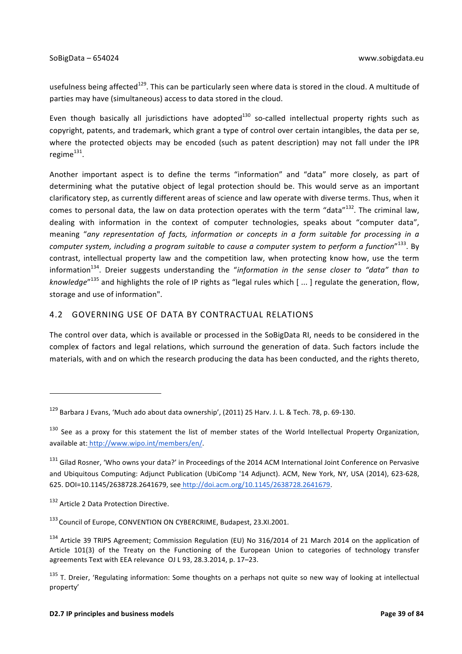usefulness being affected<sup>129</sup>. This can be particularly seen where data is stored in the cloud. A multitude of parties may have (simultaneous) access to data stored in the cloud.

Even though basically all jurisdictions have adopted<sup>130</sup> so-called intellectual property rights such as copyright, patents, and trademark, which grant a type of control over certain intangibles, the data per se, where the protected objects may be encoded (such as patent description) may not fall under the IPR regime $^{131}$ .

Another important aspect is to define the terms "information" and "data" more closely, as part of determining what the putative object of legal protection should be. This would serve as an important clarificatory step, as currently different areas of science and law operate with diverse terms. Thus, when it comes to personal data, the law on data protection operates with the term "data"<sup>132</sup>. The criminal law, dealing with information in the context of computer technologies, speaks about "computer data", meaning "any representation of facts, information or concepts in a form suitable for processing in a computer system, including a program suitable to cause a computer system to perform a function"  $^{133}$ . By contrast, intellectual property law and the competition law, when protecting know how, use the term information<sup>134</sup>. Dreier suggests understanding the "*information in the sense closer to "data" than to* knowledge"<sup>135</sup> and highlights the role of IP rights as "legal rules which [ ... ] regulate the generation, flow, storage and use of information".

#### 4.2 GOVERNING USE OF DATA BY CONTRACTUAL RELATIONS

The control over data, which is available or processed in the SoBigData RI, needs to be considered in the complex of factors and legal relations, which surround the generation of data. Such factors include the materials, with and on which the research producing the data has been conducted, and the rights thereto,

<sup>&</sup>lt;sup>129</sup> Barbara J Evans, 'Much ado about data ownership', (2011) 25 Harv. J. L. & Tech. 78, p. 69-130.

 $130$  See as a proxy for this statement the list of member states of the World Intellectual Property Organization, available at: http://www.wipo.int/members/en/.

<sup>&</sup>lt;sup>131</sup> Gilad Rosner, 'Who owns your data?' in Proceedings of the 2014 ACM International Joint Conference on Pervasive and Ubiquitous Computing: Adjunct Publication (UbiComp '14 Adjunct). ACM, New York, NY, USA (2014), 623-628, 625. DOI=10.1145/2638728.2641679, see http://doi.acm.org/10.1145/2638728.2641679.

<sup>132</sup> Article 2 Data Protection Directive.

<sup>&</sup>lt;sup>133</sup> Council of Europe, CONVENTION ON CYBERCRIME, Budapest, 23.XI.2001.

<sup>&</sup>lt;sup>134</sup> Article 39 TRIPS Agreement; Commission Regulation (EU) No 316/2014 of 21 March 2014 on the application of Article 101(3) of the Treaty on the Functioning of the European Union to categories of technology transfer agreements Text with EEA relevance OJ L 93, 28.3.2014, p. 17-23.

 $135$  T. Dreier, 'Regulating information: Some thoughts on a perhaps not quite so new way of looking at intellectual property'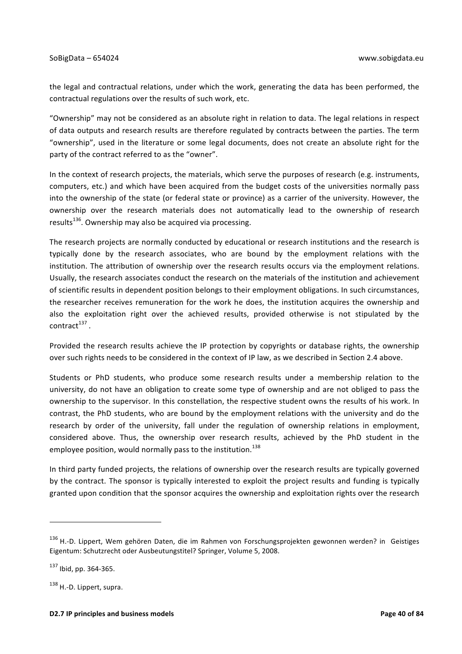the legal and contractual relations, under which the work, generating the data has been performed, the contractual regulations over the results of such work, etc.

"Ownership" may not be considered as an absolute right in relation to data. The legal relations in respect of data outputs and research results are therefore regulated by contracts between the parties. The term "ownership", used in the literature or some legal documents, does not create an absolute right for the party of the contract referred to as the "owner".

In the context of research projects, the materials, which serve the purposes of research (e.g. instruments, computers, etc.) and which have been acquired from the budget costs of the universities normally pass into the ownership of the state (or federal state or province) as a carrier of the university. However, the ownership over the research materials does not automatically lead to the ownership of research results<sup>136</sup>. Ownership may also be acquired via processing.

The research projects are normally conducted by educational or research institutions and the research is typically done by the research associates, who are bound by the employment relations with the institution. The attribution of ownership over the research results occurs via the employment relations. Usually, the research associates conduct the research on the materials of the institution and achievement of scientific results in dependent position belongs to their employment obligations. In such circumstances, the researcher receives remuneration for the work he does, the institution acquires the ownership and also the exploitation right over the achieved results, provided otherwise is not stipulated by the  $control<sup>137</sup>$ .

Provided the research results achieve the IP protection by copyrights or database rights, the ownership over such rights needs to be considered in the context of IP law, as we described in Section 2.4 above.

Students or PhD students, who produce some research results under a membership relation to the university, do not have an obligation to create some type of ownership and are not obliged to pass the ownership to the supervisor. In this constellation, the respective student owns the results of his work. In contrast, the PhD students, who are bound by the employment relations with the university and do the research by order of the university, fall under the regulation of ownership relations in employment, considered above. Thus, the ownership over research results, achieved by the PhD student in the employee position, would normally pass to the institution.<sup>138</sup>

In third party funded projects, the relations of ownership over the research results are typically governed by the contract. The sponsor is typically interested to exploit the project results and funding is typically granted upon condition that the sponsor acquires the ownership and exploitation rights over the research

 

 $136$  H.-D. Lippert, Wem gehören Daten, die im Rahmen von Forschungsprojekten gewonnen werden? in Geistiges Eigentum: Schutzrecht oder Ausbeutungstitel? Springer, Volume 5, 2008.

<sup>137</sup> Ibid, pp. 364-365.

<sup>138</sup> H.-D. Lippert, supra.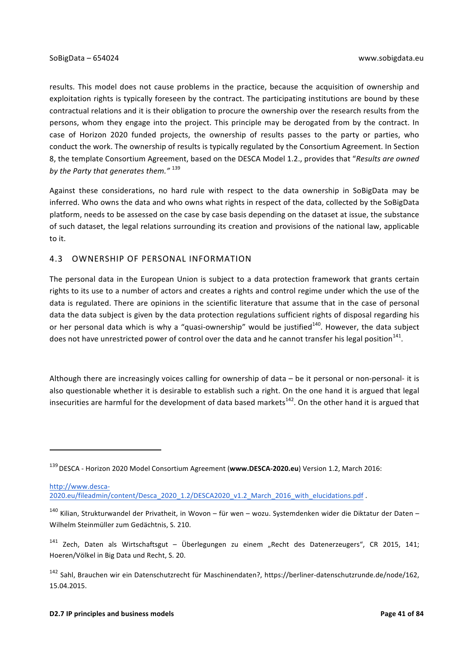results. This model does not cause problems in the practice, because the acquisition of ownership and exploitation rights is typically foreseen by the contract. The participating institutions are bound by these contractual relations and it is their obligation to procure the ownership over the research results from the persons, whom they engage into the project. This principle may be derogated from by the contract. In case of Horizon 2020 funded projects, the ownership of results passes to the party or parties, who conduct the work. The ownership of results is typically regulated by the Consortium Agreement. In Section 8, the template Consortium Agreement, based on the DESCA Model 1.2., provides that "*Results are owned* by the Party that generates them."<sup>139</sup>

Against these considerations, no hard rule with respect to the data ownership in SoBigData may be inferred. Who owns the data and who owns what rights in respect of the data, collected by the SoBigData platform, needs to be assessed on the case by case basis depending on the dataset at issue, the substance of such dataset, the legal relations surrounding its creation and provisions of the national law, applicable to it.

#### 4.3 OWNERSHIP OF PERSONAL INFORMATION

The personal data in the European Union is subject to a data protection framework that grants certain rights to its use to a number of actors and creates a rights and control regime under which the use of the data is regulated. There are opinions in the scientific literature that assume that in the case of personal data the data subject is given by the data protection regulations sufficient rights of disposal regarding his or her personal data which is why a "quasi-ownership" would be justified<sup>140</sup>. However, the data subject does not have unrestricted power of control over the data and he cannot transfer his legal position<sup>141</sup>.

Although there are increasingly voices calling for ownership of data  $-$  be it personal or non-personal- it is also questionable whether it is desirable to establish such a right. On the one hand it is argued that legal insecurities are harmful for the development of data based markets<sup>142</sup>. On the other hand it is argued that

http://www.desca-2020.eu/fileadmin/content/Desca\_2020\_1.2/DESCA2020\_v1.2\_March\_2016\_with\_elucidations.pdf .

<sup>&</sup>lt;sup>139</sup> DESCA - Horizon 2020 Model Consortium Agreement (www.DESCA-2020.eu) Version 1.2, March 2016:

 $140$  Kilian, Strukturwandel der Privatheit, in Wovon – für wen – wozu. Systemdenken wider die Diktatur der Daten – Wilhelm Steinmüller zum Gedächtnis, S. 210.

 $141$  Zech, Daten als Wirtschaftsgut – Überlegungen zu einem "Recht des Datenerzeugers", CR 2015, 141; Hoeren/Völkel in Big Data und Recht, S. 20.

<sup>&</sup>lt;sup>142</sup> Sahl, Brauchen wir ein Datenschutzrecht für Maschinendaten?, https://berliner-datenschutzrunde.de/node/162, 15.04.2015.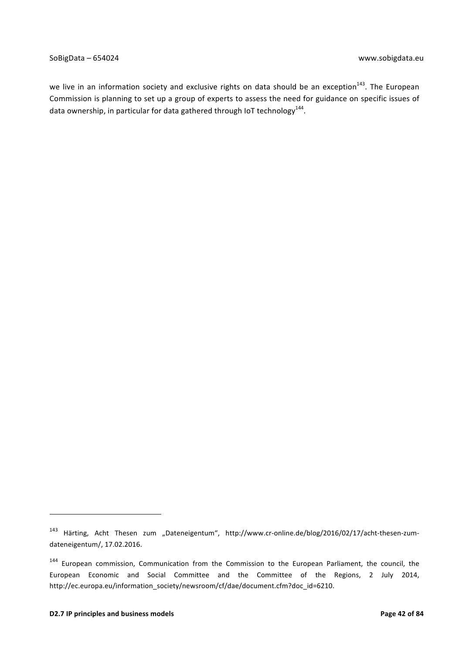we live in an information society and exclusive rights on data should be an exception<sup>143</sup>. The European Commission is planning to set up a group of experts to assess the need for guidance on specific issues of data ownership, in particular for data gathered through IoT technology<sup>144</sup>.

 $143$  Härting, Acht Thesen zum "Dateneigentum", http://www.cr-online.de/blog/2016/02/17/acht-thesen-zumdateneigentum/, 17.02.2016.

 $144$  European commission, Communication from the Commission to the European Parliament, the council, the European Economic and Social Committee and the Committee of the Regions, 2 July 2014, http://ec.europa.eu/information\_society/newsroom/cf/dae/document.cfm?doc\_id=6210.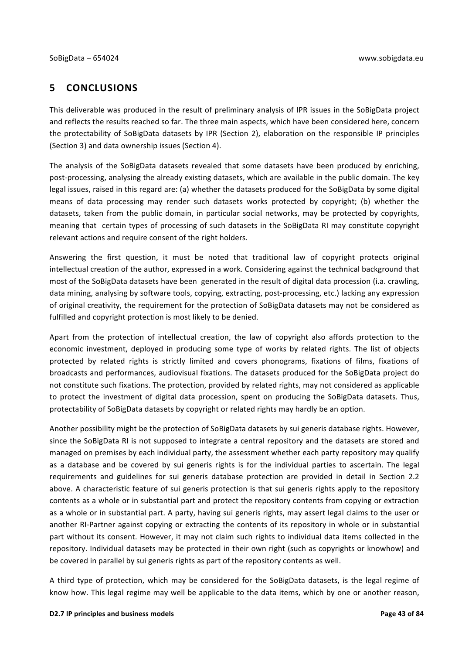# **5 CONCLUSIONS**

This deliverable was produced in the result of preliminary analysis of IPR issues in the SoBigData project and reflects the results reached so far. The three main aspects, which have been considered here, concern the protectability of SoBigData datasets by IPR (Section 2), elaboration on the responsible IP principles (Section 3) and data ownership issues (Section 4).

The analysis of the SoBigData datasets revealed that some datasets have been produced by enriching, post-processing, analysing the already existing datasets, which are available in the public domain. The key legal issues, raised in this regard are: (a) whether the datasets produced for the SoBigData by some digital means of data processing may render such datasets works protected by copyright; (b) whether the datasets, taken from the public domain, in particular social networks, may be protected by copyrights, meaning that certain types of processing of such datasets in the SoBigData RI may constitute copyright relevant actions and require consent of the right holders.

Answering the first question, it must be noted that traditional law of copyright protects original intellectual creation of the author, expressed in a work. Considering against the technical background that most of the SoBigData datasets have been generated in the result of digital data procession (i.a. crawling, data mining, analysing by software tools, copying, extracting, post-processing, etc.) lacking any expression of original creativity, the requirement for the protection of SoBigData datasets may not be considered as fulfilled and copyright protection is most likely to be denied.

Apart from the protection of intellectual creation, the law of copyright also affords protection to the economic investment, deployed in producing some type of works by related rights. The list of objects protected by related rights is strictly limited and covers phonograms, fixations of films, fixations of broadcasts and performances, audiovisual fixations. The datasets produced for the SoBigData project do not constitute such fixations. The protection, provided by related rights, may not considered as applicable to protect the investment of digital data procession, spent on producing the SoBigData datasets. Thus, protectability of SoBigData datasets by copyright or related rights may hardly be an option.

Another possibility might be the protection of SoBigData datasets by sui generis database rights. However, since the SoBigData RI is not supposed to integrate a central repository and the datasets are stored and managed on premises by each individual party, the assessment whether each party repository may qualify as a database and be covered by sui generis rights is for the individual parties to ascertain. The legal requirements and guidelines for sui generis database protection are provided in detail in Section 2.2 above. A characteristic feature of sui generis protection is that sui generis rights apply to the repository contents as a whole or in substantial part and protect the repository contents from copying or extraction as a whole or in substantial part. A party, having sui generis rights, may assert legal claims to the user or another RI-Partner against copying or extracting the contents of its repository in whole or in substantial part without its consent. However, it may not claim such rights to individual data items collected in the repository. Individual datasets may be protected in their own right (such as copyrights or knowhow) and be covered in parallel by sui generis rights as part of the repository contents as well.

A third type of protection, which may be considered for the SoBigData datasets, is the legal regime of know how. This legal regime may well be applicable to the data items, which by one or another reason,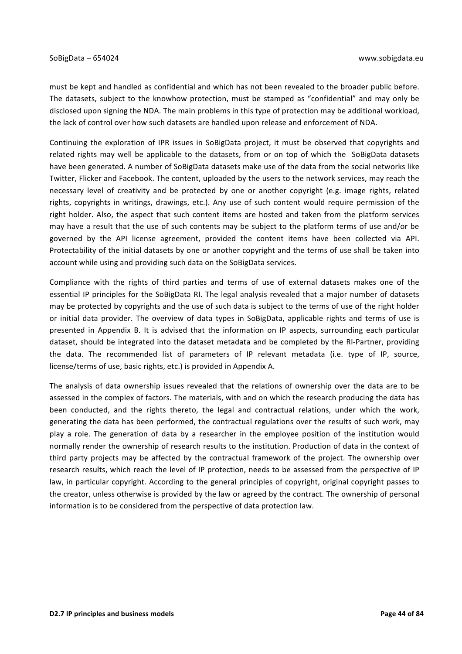must be kept and handled as confidential and which has not been revealed to the broader public before. The datasets, subject to the knowhow protection, must be stamped as "confidential" and may only be disclosed upon signing the NDA. The main problems in this type of protection may be additional workload, the lack of control over how such datasets are handled upon release and enforcement of NDA.

Continuing the exploration of IPR issues in SoBigData project, it must be observed that copyrights and related rights may well be applicable to the datasets, from or on top of which the SoBigData datasets have been generated. A number of SoBigData datasets make use of the data from the social networks like Twitter, Flicker and Facebook. The content, uploaded by the users to the network services, may reach the necessary level of creativity and be protected by one or another copyright (e.g. image rights, related rights, copyrights in writings, drawings, etc.). Any use of such content would require permission of the right holder. Also, the aspect that such content items are hosted and taken from the platform services may have a result that the use of such contents may be subject to the platform terms of use and/or be governed by the API license agreement, provided the content items have been collected via API. Protectability of the initial datasets by one or another copyright and the terms of use shall be taken into account while using and providing such data on the SoBigData services.

Compliance with the rights of third parties and terms of use of external datasets makes one of the essential IP principles for the SoBigData RI. The legal analysis revealed that a major number of datasets may be protected by copyrights and the use of such data is subject to the terms of use of the right holder or initial data provider. The overview of data types in SoBigData, applicable rights and terms of use is presented in Appendix B. It is advised that the information on IP aspects, surrounding each particular dataset, should be integrated into the dataset metadata and be completed by the RI-Partner, providing the data. The recommended list of parameters of IP relevant metadata (i.e. type of IP, source, license/terms of use, basic rights, etc.) is provided in Appendix A.

The analysis of data ownership issues revealed that the relations of ownership over the data are to be assessed in the complex of factors. The materials, with and on which the research producing the data has been conducted, and the rights thereto, the legal and contractual relations, under which the work, generating the data has been performed, the contractual regulations over the results of such work, may play a role. The generation of data by a researcher in the employee position of the institution would normally render the ownership of research results to the institution. Production of data in the context of third party projects may be affected by the contractual framework of the project. The ownership over research results, which reach the level of IP protection, needs to be assessed from the perspective of IP law, in particular copyright. According to the general principles of copyright, original copyright passes to the creator, unless otherwise is provided by the law or agreed by the contract. The ownership of personal information is to be considered from the perspective of data protection law.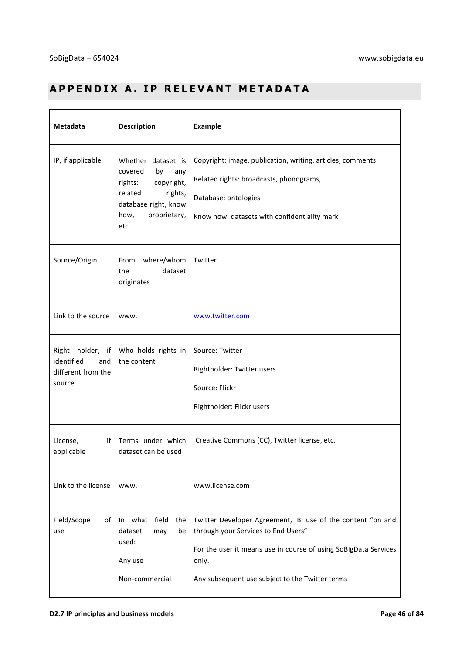# **APPENDIX A. IP RELEVANT METADATA**

| Metadata                                                              | <b>Description</b>                                                                                                                                | <b>Example</b>                                                                                                                                                                                                                    |  |  |
|-----------------------------------------------------------------------|---------------------------------------------------------------------------------------------------------------------------------------------------|-----------------------------------------------------------------------------------------------------------------------------------------------------------------------------------------------------------------------------------|--|--|
| IP, if applicable                                                     | Whether dataset is<br>covered<br>by<br>any<br>rights:<br>copyright,<br>related<br>rights,<br>database right, know<br>how,<br>proprietary,<br>etc. | Copyright: image, publication, writing, articles, comments<br>Related rights: broadcasts, phonograms,<br>Database: ontologies<br>Know how: datasets with confidentiality mark                                                     |  |  |
| Source/Origin<br>where/whom<br>From<br>dataset<br>the<br>originates   |                                                                                                                                                   | Twitter                                                                                                                                                                                                                           |  |  |
| Link to the source<br>www.                                            |                                                                                                                                                   | www.twitter.com                                                                                                                                                                                                                   |  |  |
| Right holder, if<br>identified<br>and<br>different from the<br>source | Who holds rights in<br>the content                                                                                                                | Source: Twitter<br>Rightholder: Twitter users<br>Source: Flickr<br>Rightholder: Flickr users                                                                                                                                      |  |  |
| License,<br>if I<br>applicable                                        | Terms under which<br>dataset can be used                                                                                                          | Creative Commons (CC), Twitter license, etc.                                                                                                                                                                                      |  |  |
| Link to the license                                                   | www.                                                                                                                                              | www.license.com                                                                                                                                                                                                                   |  |  |
| Field/Scope<br>of I<br>use                                            | In what field<br>the<br>dataset<br>be<br>may<br>used:<br>Any use<br>Non-commercial                                                                | Twitter Developer Agreement, IB: use of the content "on and<br>through your Services to End Users"<br>For the user it means use in course of using SoBIgData Services<br>only.<br>Any subsequent use subject to the Twitter terms |  |  |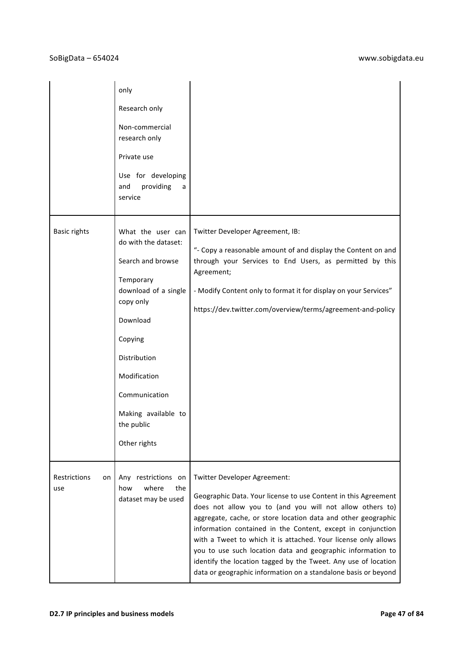|                           | only<br>Research only<br>Non-commercial<br>research only<br>Private use<br>Use for developing<br>and<br>providing<br>a<br>service                                                                                                             |                                                                                                                                                                                                                                                                                                                                                                                                                                                                                                                                                                 |
|---------------------------|-----------------------------------------------------------------------------------------------------------------------------------------------------------------------------------------------------------------------------------------------|-----------------------------------------------------------------------------------------------------------------------------------------------------------------------------------------------------------------------------------------------------------------------------------------------------------------------------------------------------------------------------------------------------------------------------------------------------------------------------------------------------------------------------------------------------------------|
| <b>Basic rights</b>       | What the user can<br>do with the dataset:<br>Search and browse<br>Temporary<br>download of a single<br>copy only<br>Download<br>Copying<br>Distribution<br>Modification<br>Communication<br>Making available to<br>the public<br>Other rights | Twitter Developer Agreement, IB:<br>"- Copy a reasonable amount of and display the Content on and<br>through your Services to End Users, as permitted by this<br>Agreement;<br>- Modify Content only to format it for display on your Services"<br>https://dev.twitter.com/overview/terms/agreement-and-policy                                                                                                                                                                                                                                                  |
| Restrictions<br>on<br>use | Any restrictions on<br>where<br>the<br>how<br>dataset may be used                                                                                                                                                                             | Twitter Developer Agreement:<br>Geographic Data. Your license to use Content in this Agreement<br>does not allow you to (and you will not allow others to)<br>aggregate, cache, or store location data and other geographic<br>information contained in the Content, except in conjunction<br>with a Tweet to which it is attached. Your license only allows<br>you to use such location data and geographic information to<br>identify the location tagged by the Tweet. Any use of location<br>data or geographic information on a standalone basis or beyond |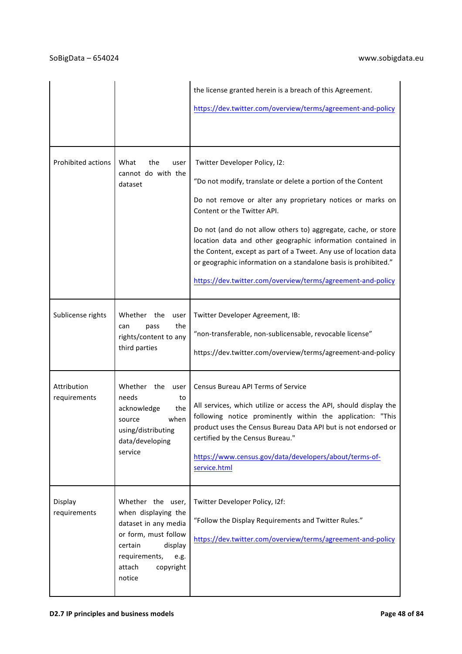|                             |                                                                                                                                                                          | the license granted herein is a breach of this Agreement.<br>https://dev.twitter.com/overview/terms/agreement-and-policy                                                                                                                                                                                                                                                                                                                                                                                                          |
|-----------------------------|--------------------------------------------------------------------------------------------------------------------------------------------------------------------------|-----------------------------------------------------------------------------------------------------------------------------------------------------------------------------------------------------------------------------------------------------------------------------------------------------------------------------------------------------------------------------------------------------------------------------------------------------------------------------------------------------------------------------------|
| Prohibited actions          | What<br>the<br>user<br>cannot do with the<br>dataset                                                                                                                     | Twitter Developer Policy, I2:<br>"Do not modify, translate or delete a portion of the Content<br>Do not remove or alter any proprietary notices or marks on<br>Content or the Twitter API.<br>Do not (and do not allow others to) aggregate, cache, or store<br>location data and other geographic information contained in<br>the Content, except as part of a Tweet. Any use of location data<br>or geographic information on a standalone basis is prohibited."<br>https://dev.twitter.com/overview/terms/agreement-and-policy |
| Sublicense rights           | Whether<br>the<br>user<br>the<br>pass<br>can<br>rights/content to any<br>third parties                                                                                   | Twitter Developer Agreement, IB:<br>"non-transferable, non-sublicensable, revocable license"<br>https://dev.twitter.com/overview/terms/agreement-and-policy                                                                                                                                                                                                                                                                                                                                                                       |
| Attribution<br>requirements | Whether<br>the<br>user<br>needs<br>to<br>acknowledge<br>the<br>when<br>source<br>using/distributing<br>data/developing<br>service                                        | Census Bureau API Terms of Service<br>All services, which utilize or access the API, should display the<br>following notice prominently within the application: "This<br>product uses the Census Bureau Data API but is not endorsed or<br>certified by the Census Bureau."<br>https://www.census.gov/data/developers/about/terms-of-<br>service.html                                                                                                                                                                             |
| Display<br>requirements     | Whether the user,<br>when displaying the<br>dataset in any media<br>or form, must follow<br>certain<br>display<br>requirements,<br>e.g.<br>attach<br>copyright<br>notice | Twitter Developer Policy, I2f:<br>"Follow the Display Requirements and Twitter Rules."<br>https://dev.twitter.com/overview/terms/agreement-and-policy                                                                                                                                                                                                                                                                                                                                                                             |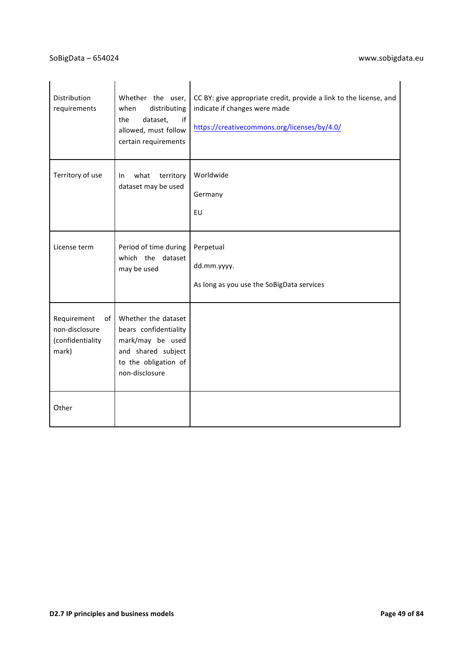| Distribution<br>requirements                                     | Whether the user,<br>distributing<br>when<br>dataset,<br>if<br>the<br>allowed, must follow                                       | CC BY: give appropriate credit, provide a link to the license, and<br>indicate if changes were made<br>https://creativecommons.org/licenses/by/4.0/ |
|------------------------------------------------------------------|----------------------------------------------------------------------------------------------------------------------------------|-----------------------------------------------------------------------------------------------------------------------------------------------------|
| Territory of use                                                 | certain requirements<br>what<br>territory<br>In.<br>dataset may be used                                                          | Worldwide<br>Germany                                                                                                                                |
|                                                                  |                                                                                                                                  | EU                                                                                                                                                  |
| License term                                                     | Period of time during<br>which the dataset<br>may be used                                                                        | Perpetual<br>dd.mm.yyyy.<br>As long as you use the SoBigData services                                                                               |
| Requirement<br>of<br>non-disclosure<br>(confidentiality<br>mark) | Whether the dataset<br>bears confidentiality<br>mark/may be used<br>and shared subject<br>to the obligation of<br>non-disclosure |                                                                                                                                                     |
| Other                                                            |                                                                                                                                  |                                                                                                                                                     |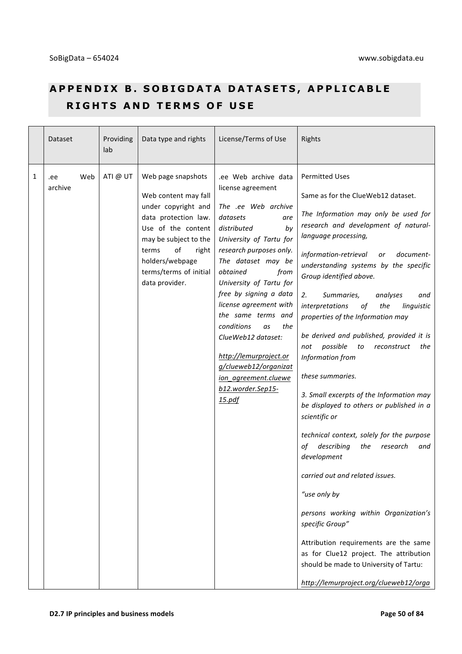# **APPENDIX B. SOBIGDATA DATASETS, APPLICABLE RIGHTS AND TERMS OF USE**

|   | Dataset               | Providing<br>lab | Data type and rights                                                                                                                                                                                                            | License/Terms of Use                                                                                                                                                                                                                                                                                                                                                                                                                                                     | Rights                                                                                                                                                                                                                                                                                                                                                                                                                                                                                                                                                                                                                                                                                                                                                                                                                                                                                                                                                                                                                                                 |
|---|-----------------------|------------------|---------------------------------------------------------------------------------------------------------------------------------------------------------------------------------------------------------------------------------|--------------------------------------------------------------------------------------------------------------------------------------------------------------------------------------------------------------------------------------------------------------------------------------------------------------------------------------------------------------------------------------------------------------------------------------------------------------------------|--------------------------------------------------------------------------------------------------------------------------------------------------------------------------------------------------------------------------------------------------------------------------------------------------------------------------------------------------------------------------------------------------------------------------------------------------------------------------------------------------------------------------------------------------------------------------------------------------------------------------------------------------------------------------------------------------------------------------------------------------------------------------------------------------------------------------------------------------------------------------------------------------------------------------------------------------------------------------------------------------------------------------------------------------------|
| 1 | Web<br>.ee<br>archive | ATI @ UT         | Web page snapshots<br>Web content may fall<br>under copyright and<br>data protection law.<br>Use of the content<br>may be subject to the<br>of<br>terms<br>right<br>holders/webpage<br>terms/terms of initial<br>data provider. | .ee Web archive data<br>license agreement<br>The .ee Web archive<br>datasets<br>are<br>distributed<br>by<br>University of Tartu for<br>research purposes only.<br>The dataset may be<br>obtained<br>from<br>University of Tartu for<br>free by signing a data<br>license agreement with<br>the same terms and<br>conditions<br>the<br>as<br>ClueWeb12 dataset:<br>http://lemurproject.or<br>g/clueweb12/organizat<br>ion_agreement.cluewe<br>b12.worder.Sep15-<br>15.pdf | <b>Permitted Uses</b><br>Same as for the ClueWeb12 dataset.<br>The Information may only be used for<br>research and development of natural-<br>language processing,<br>information-retrieval<br>document-<br>or<br>understanding systems by the specific<br>Group identified above.<br>2.<br>Summaries,<br>analyses<br>and<br>interpretations<br>of<br>the<br>linguistic<br>properties of the Information may<br>be derived and published, provided it is<br>possible<br>to<br>reconstruct<br>the<br>not<br>Information from<br>these summaries.<br>3. Small excerpts of the Information may<br>be displayed to others or published in a<br>scientific or<br>technical context, solely for the purpose<br>of describing<br>the<br>research<br>and<br>development<br>carried out and related issues.<br>"use only by<br>persons working within Organization's<br>specific Group"<br>Attribution requirements are the same<br>as for Clue12 project. The attribution<br>should be made to University of Tartu:<br>http://lemurproject.org/clueweb12/orga |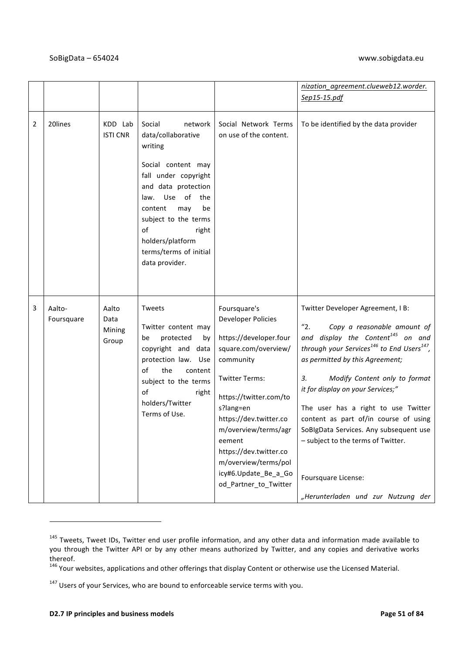|   |                      |                                  |                                                                                                                                                                                                                                                                                 |                                                                                                                                                                                                                                                                                                                                         | nization agreement.clueweb12.worder.<br>Sep15-15.pdf                                                                                                                                                                                                                                                                                                                                                                                                                                                                                       |
|---|----------------------|----------------------------------|---------------------------------------------------------------------------------------------------------------------------------------------------------------------------------------------------------------------------------------------------------------------------------|-----------------------------------------------------------------------------------------------------------------------------------------------------------------------------------------------------------------------------------------------------------------------------------------------------------------------------------------|--------------------------------------------------------------------------------------------------------------------------------------------------------------------------------------------------------------------------------------------------------------------------------------------------------------------------------------------------------------------------------------------------------------------------------------------------------------------------------------------------------------------------------------------|
| 2 | 20lines              | KDD Lab<br><b>ISTI CNR</b>       | Social<br>network<br>data/collaborative<br>writing<br>Social content may<br>fall under copyright<br>and data protection<br>Use of<br>the<br>law.<br>content<br>be<br>may<br>subject to the terms<br>of<br>right<br>holders/platform<br>terms/terms of initial<br>data provider. | Social Network Terms<br>on use of the content.                                                                                                                                                                                                                                                                                          | To be identified by the data provider                                                                                                                                                                                                                                                                                                                                                                                                                                                                                                      |
| 3 | Aalto-<br>Foursquare | Aalto<br>Data<br>Mining<br>Group | Tweets<br>Twitter content may<br>protected<br>by<br>be<br>copyright and data<br>protection law. Use<br>of<br>the<br>content<br>subject to the terms<br>of<br>right<br>holders/Twitter<br>Terms of Use.                                                                          | Foursquare's<br><b>Developer Policies</b><br>https://developer.four<br>square.com/overview/<br>community<br><b>Twitter Terms:</b><br>https://twitter.com/to<br>s?lang=en<br>https://dev.twitter.co<br>m/overview/terms/agr<br>eement<br>https://dev.twitter.co<br>m/overview/terms/pol<br>icy#6.Update_Be_a_Go<br>od Partner to Twitter | Twitter Developer Agreement, I B:<br>"2.<br>Copy a reasonable amount of<br>and display the Content <sup>145</sup> on and<br>through your Services <sup>146</sup> to End Users <sup>147</sup> ,<br>as permitted by this Agreement;<br>Modify Content only to format<br>3.<br>it for display on your Services;"<br>The user has a right to use Twitter<br>content as part of/in course of using<br>SoBIgData Services. Any subsequent use<br>- subject to the terms of Twitter.<br>Foursquare License:<br>"Herunterladen und zur Nutzung der |

 $145$  Tweets, Tweet IDs, Twitter end user profile information, and any other data and information made available to you through the Twitter API or by any other means authorized by Twitter, and any copies and derivative works thereof.

 $^{146}$  Your websites, applications and other offerings that display Content or otherwise use the Licensed Material.

 $147$  Users of your Services, who are bound to enforceable service terms with you.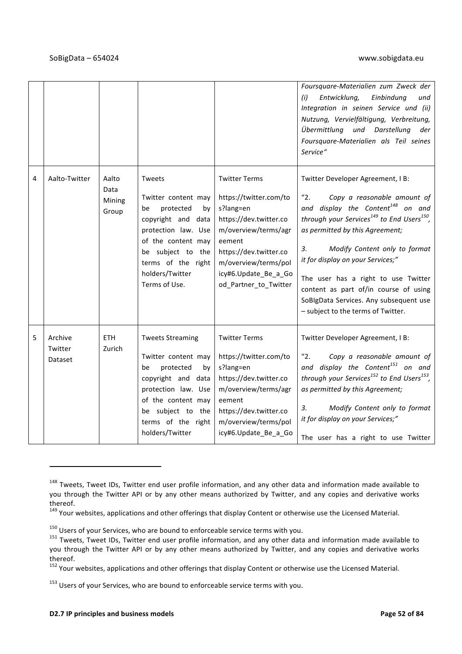|   |                               |                                  |                                                                                                                                                                                                                 |                                                                                                                                                                                                                            | Foursquare-Materialien zum Zweck der<br>Entwicklung,<br>Einbindung<br>(i)<br>und<br>Integration in seinen Service und (ii)<br>Nutzung, Vervielfältigung, Verbreitung,<br>Übermittlung<br>und Darstellung<br>der<br>Foursquare-Materialien als Teil seines<br>Service"                                                                                                                                                                                                         |
|---|-------------------------------|----------------------------------|-----------------------------------------------------------------------------------------------------------------------------------------------------------------------------------------------------------------|----------------------------------------------------------------------------------------------------------------------------------------------------------------------------------------------------------------------------|-------------------------------------------------------------------------------------------------------------------------------------------------------------------------------------------------------------------------------------------------------------------------------------------------------------------------------------------------------------------------------------------------------------------------------------------------------------------------------|
| 4 | Aalto-Twitter                 | Aalto<br>Data<br>Mining<br>Group | <b>Tweets</b><br>Twitter content may<br>protected<br>by<br>be<br>copyright and data<br>protection law. Use<br>of the content may<br>be subject to the<br>terms of the right<br>holders/Twitter<br>Terms of Use. | <b>Twitter Terms</b><br>https://twitter.com/to<br>s?lang=en<br>https://dev.twitter.co<br>m/overview/terms/agr<br>eement<br>https://dev.twitter.co<br>m/overview/terms/pol<br>icy#6.Update_Be_a_Go<br>od_Partner_to_Twitter | Twitter Developer Agreement, I B:<br>"2.<br>Copy a reasonable amount of<br>and display the Content <sup>148</sup> on and<br>through your Services <sup>149</sup> to End Users <sup>150</sup> ,<br>as permitted by this Agreement;<br>3.<br>Modify Content only to format<br>it for display on your Services;"<br>The user has a right to use Twitter<br>content as part of/in course of using<br>SoBIgData Services. Any subsequent use<br>- subject to the terms of Twitter. |
| 5 | Archive<br>Twitter<br>Dataset | <b>ETH</b><br>Zurich             | <b>Tweets Streaming</b><br>Twitter content may<br>protected<br>be<br>by<br>copyright and data<br>protection law. Use<br>of the content may<br>be subject to the<br>terms of the right<br>holders/Twitter        | <b>Twitter Terms</b><br>https://twitter.com/to<br>s?lang=en<br>https://dev.twitter.co<br>m/overview/terms/agr<br>eement<br>https://dev.twitter.co<br>m/overview/terms/pol<br>icy#6.Update Be a Go                          | Twitter Developer Agreement, I B:<br>"2.<br>Copy a reasonable amount of<br>and display the Content <sup>151</sup> on and<br>through your Services <sup>152</sup> to End Users <sup>153</sup> ,<br>as permitted by this Agreement;<br>3.<br>Modify Content only to format<br>it for display on your Services;"<br>The user has a right to use Twitter                                                                                                                          |

 $148$  Tweets, Tweet IDs, Twitter end user profile information, and any other data and information made available to you through the Twitter API or by any other means authorized by Twitter, and any copies and derivative works thereof.

<sup>149</sup> Your websites, applications and other offerings that display Content or otherwise use the Licensed Material.

<sup>&</sup>lt;sup>150</sup> Users of your Services, who are bound to enforceable service terms with you.<br><sup>151</sup> Tweets, Tweet IDs, Twitter end user profile information, and any other data and information made available to you through the Twitter API or by any other means authorized by Twitter, and any copies and derivative works thereof.

 $152$  Your websites, applications and other offerings that display Content or otherwise use the Licensed Material.

 $153$  Users of your Services, who are bound to enforceable service terms with you.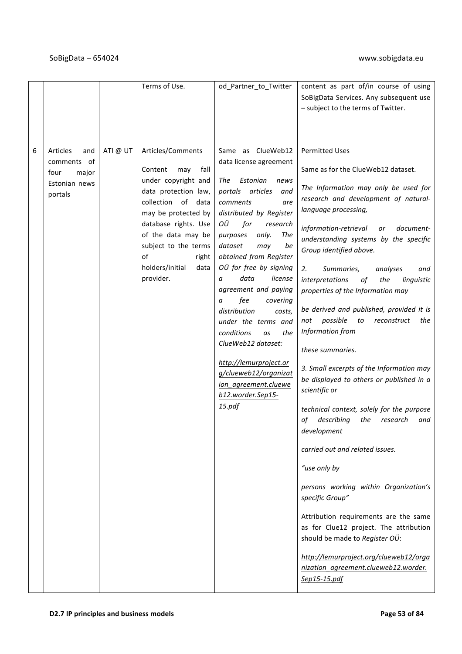|   |                                                                             |          | Terms of Use.                                                                                                                                                                                                                                                        | od_Partner_to_Twitter                                                                                                                                                                                                                                                                                                                                                                                                                                                                                                                                                   | content as part of/in course of using<br>SoBIgData Services. Any subsequent use<br>- subject to the terms of Twitter.                                                                                                                                                                                                                                                                                                                                                                                                                                                                                                                                                                                                                                                                                                                                                                                                                                                                                                                                                                                     |
|---|-----------------------------------------------------------------------------|----------|----------------------------------------------------------------------------------------------------------------------------------------------------------------------------------------------------------------------------------------------------------------------|-------------------------------------------------------------------------------------------------------------------------------------------------------------------------------------------------------------------------------------------------------------------------------------------------------------------------------------------------------------------------------------------------------------------------------------------------------------------------------------------------------------------------------------------------------------------------|-----------------------------------------------------------------------------------------------------------------------------------------------------------------------------------------------------------------------------------------------------------------------------------------------------------------------------------------------------------------------------------------------------------------------------------------------------------------------------------------------------------------------------------------------------------------------------------------------------------------------------------------------------------------------------------------------------------------------------------------------------------------------------------------------------------------------------------------------------------------------------------------------------------------------------------------------------------------------------------------------------------------------------------------------------------------------------------------------------------|
| 6 | Articles<br>and<br>comments of<br>major<br>four<br>Estonian news<br>portals | ATI @ UT | Articles/Comments<br>Content<br>may<br>fall<br>under copyright and<br>data protection law,<br>collection of data<br>may be protected by<br>database rights. Use<br>of the data may be<br>subject to the terms<br>of<br>right<br>holders/initial<br>data<br>provider. | Same as ClueWeb12<br>data license agreement<br>Estonian<br>The<br>news<br>portals<br>articles<br>and<br>comments<br>are<br>distributed by Register<br>ΟÜ<br>for<br>research<br>only.<br>purposes<br>The<br>dataset<br>be<br>may<br>obtained from Register<br>OÜ for free by signing<br>data<br>license<br>a<br>agreement and paying<br>fee<br>covering<br>a<br>distribution<br>costs,<br>under the terms and<br>conditions<br>the<br>as<br>ClueWeb12 dataset:<br>http://lemurproject.or<br>g/clueweb12/organizat<br>ion_agreement.cluewe<br>b12.worder.Sep15-<br>15.pdf | <b>Permitted Uses</b><br>Same as for the ClueWeb12 dataset.<br>The Information may only be used for<br>research and development of natural-<br>language processing,<br>information-retrieval<br>document-<br>or<br>understanding systems by the specific<br>Group identified above.<br>2.<br>Summaries,<br>analyses<br>and<br>interpretations<br>the<br>linguistic<br>οf<br>properties of the Information may<br>be derived and published, provided it is<br>possible<br>reconstruct<br>not<br>to<br>the<br>Information from<br>these summaries.<br>3. Small excerpts of the Information may<br>be displayed to others or published in a<br>scientific or<br>technical context, solely for the purpose<br>describing<br>οf<br>the<br>research<br>and<br>development<br>carried out and related issues.<br>"use only by<br>persons working within Organization's<br>specific Group"<br>Attribution requirements are the same<br>as for Clue12 project. The attribution<br>should be made to Register OÜ:<br>http://lemurproject.org/clueweb12/orga<br>nization_agreement.clueweb12.worder.<br>Sep15-15.pdf |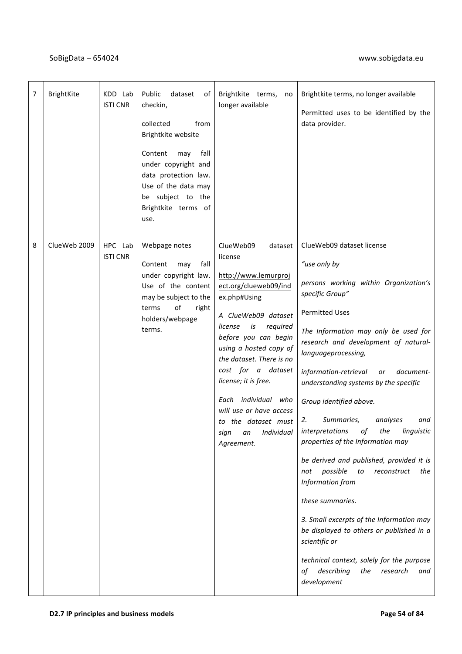| 7 | BrightKite   | KDD Lab<br><b>ISTI CNR</b> | Public<br>dataset<br>of<br>checkin,<br>collected<br>from<br>Brightkite website<br>Content may<br>fall<br>under copyright and<br>data protection law.<br>Use of the data may<br>be subject to the<br>Brightkite terms of<br>use. | Brightkite terms,<br>no<br>longer available                                                                                                                                                                                                                                                                                                                                                         | Brightkite terms, no longer available<br>Permitted uses to be identified by the<br>data provider.                                                                                                                                                                                                                                                                                                                                                                                                                                                                                                                                                                                                                                                                                                                         |
|---|--------------|----------------------------|---------------------------------------------------------------------------------------------------------------------------------------------------------------------------------------------------------------------------------|-----------------------------------------------------------------------------------------------------------------------------------------------------------------------------------------------------------------------------------------------------------------------------------------------------------------------------------------------------------------------------------------------------|---------------------------------------------------------------------------------------------------------------------------------------------------------------------------------------------------------------------------------------------------------------------------------------------------------------------------------------------------------------------------------------------------------------------------------------------------------------------------------------------------------------------------------------------------------------------------------------------------------------------------------------------------------------------------------------------------------------------------------------------------------------------------------------------------------------------------|
| 8 | ClueWeb 2009 | HPC Lab<br><b>ISTI CNR</b> | Webpage notes<br>may<br>fall<br>Content<br>under copyright law.<br>Use of the content<br>may be subject to the<br>of<br>terms<br>right<br>holders/webpage<br>terms.                                                             | ClueWeb09<br>dataset<br>license<br>http://www.lemurproj<br>ect.org/clueweb09/ind<br>ex.php#Using<br>A ClueWeb09 dataset<br>required<br>license<br>is<br>before you can begin<br>using a hosted copy of<br>the dataset. There is no<br>cost for a dataset<br>license; it is free.<br>Each individual who<br>will use or have access<br>to the dataset must<br>Individual<br>sign<br>an<br>Agreement. | ClueWeb09 dataset license<br>"use only by<br>persons working within Organization's<br>specific Group"<br><b>Permitted Uses</b><br>The Information may only be used for<br>research and development of natural-<br>languageprocessing,<br>information-retrieval<br>document-<br>or<br>understanding systems by the specific<br>Group identified above.<br>Summaries,<br>analyses<br>2.<br>and<br>interpretations of the linguistic<br>properties of the Information may<br>be derived and published, provided it is<br>possible<br>reconstruct<br>the<br>not<br>to<br>Information from<br>these summaries.<br>3. Small excerpts of the Information may<br>be displayed to others or published in a<br>scientific or<br>technical context, solely for the purpose<br>of describing<br>the<br>research<br>and<br>development |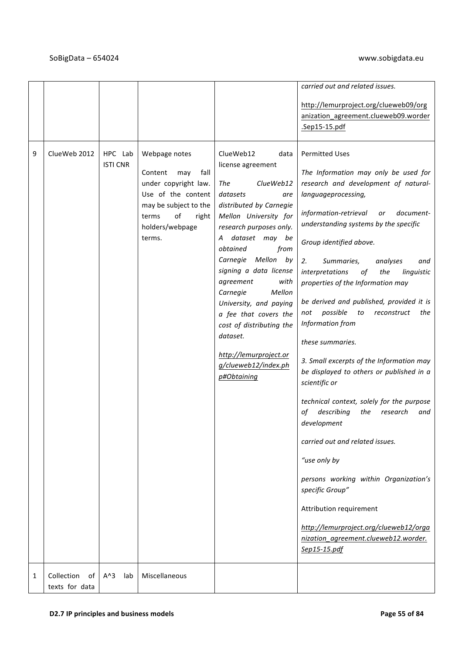|   |                                      |                            |                                                                                                                                                                     |                                                                                                                                                                                                                                                                                                                                                                                                                                                           | carried out and related issues.<br>http://lemurproject.org/clueweb09/org<br>anization_agreement.clueweb09.worder<br>.Sep15-15.pdf                                                                                                                                                                                                                                                                                                                                                                                                                                                                                                                                                                                                                                                                                                                                                                                                                                        |
|---|--------------------------------------|----------------------------|---------------------------------------------------------------------------------------------------------------------------------------------------------------------|-----------------------------------------------------------------------------------------------------------------------------------------------------------------------------------------------------------------------------------------------------------------------------------------------------------------------------------------------------------------------------------------------------------------------------------------------------------|--------------------------------------------------------------------------------------------------------------------------------------------------------------------------------------------------------------------------------------------------------------------------------------------------------------------------------------------------------------------------------------------------------------------------------------------------------------------------------------------------------------------------------------------------------------------------------------------------------------------------------------------------------------------------------------------------------------------------------------------------------------------------------------------------------------------------------------------------------------------------------------------------------------------------------------------------------------------------|
| 9 | ClueWeb 2012                         | HPC Lab<br><b>ISTI CNR</b> | Webpage notes<br>Content<br>fall<br>may<br>under copyright law.<br>Use of the content<br>may be subject to the<br>of<br>terms<br>right<br>holders/webpage<br>terms. | ClueWeb12<br>data<br>license agreement<br>The<br>ClueWeb12<br>datasets<br>are<br>distributed by Carnegie<br>Mellon University for<br>research purposes only.<br>dataset may be<br>obtained<br>from<br>Carnegie Mellon by<br>signing a data license<br>agreement<br>with<br>Carnegie<br>Mellon<br>University, and paying<br>a fee that covers the<br>cost of distributing the<br>dataset.<br>http://lemurproject.or<br>g/clueweb12/index.ph<br>p#Obtaining | <b>Permitted Uses</b><br>The Information may only be used for<br>research and development of natural-<br>languageprocessing,<br>information-retrieval<br>document-<br>or<br>understanding systems by the specific<br>Group identified above.<br>2.<br>Summaries,<br>analyses<br>and<br>interpretations<br>the<br>linguistic<br>оf<br>properties of the Information may<br>be derived and published, provided it is<br>possible<br>not<br>to<br>reconstruct<br>the<br>Information from<br>these summaries.<br>3. Small excerpts of the Information may<br>be displayed to others or published in a<br>scientific or<br>technical context, solely for the purpose<br>describing<br>the<br>research<br>οf<br>and<br>development<br>carried out and related issues.<br>"use only by<br>persons working within Organization's<br>specific Group"<br>Attribution requirement<br>http://lemurproject.org/clueweb12/orga<br>nization_agreement.clueweb12.worder.<br>Sep15-15.pdf |
| 1 | Collection<br>of I<br>texts for data | $A^{\wedge}3$<br>lab       | Miscellaneous                                                                                                                                                       |                                                                                                                                                                                                                                                                                                                                                                                                                                                           |                                                                                                                                                                                                                                                                                                                                                                                                                                                                                                                                                                                                                                                                                                                                                                                                                                                                                                                                                                          |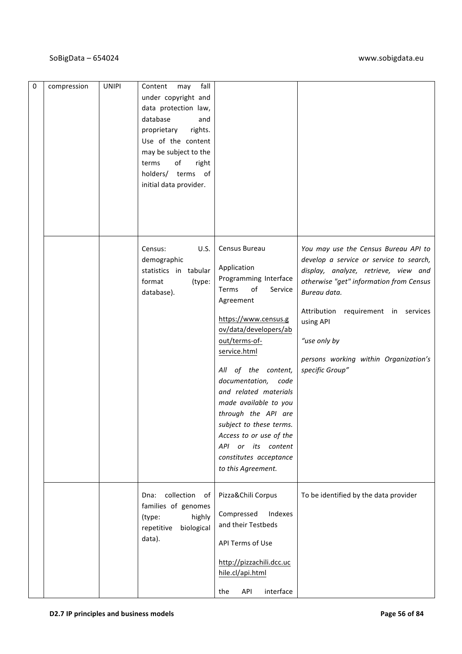| 0 | compression | <b>UNIPI</b> | fall<br>Content<br>may<br>under copyright and<br>data protection law,<br>database<br>and<br>proprietary<br>rights.<br>Use of the content<br>may be subject to the<br>terms<br>of<br>right<br>holders/ terms of<br>initial data provider. |                                                                                                                                                                                                                                                                                                                                                                                                                                             |                                                                                                                                                                                                                                                                                                                    |
|---|-------------|--------------|------------------------------------------------------------------------------------------------------------------------------------------------------------------------------------------------------------------------------------------|---------------------------------------------------------------------------------------------------------------------------------------------------------------------------------------------------------------------------------------------------------------------------------------------------------------------------------------------------------------------------------------------------------------------------------------------|--------------------------------------------------------------------------------------------------------------------------------------------------------------------------------------------------------------------------------------------------------------------------------------------------------------------|
|   |             |              | Census:<br>U.S.<br>demographic<br>statistics in tabular<br>format<br>(type:<br>database).                                                                                                                                                | Census Bureau<br>Application<br>Programming Interface<br>of<br>Service<br><b>Terms</b><br>Agreement<br>https://www.census.g<br>ov/data/developers/ab<br>out/terms-of-<br>service.html<br>All of the content,<br>documentation,<br>code<br>and related materials<br>made available to you<br>through the API are<br>subject to these terms.<br>Access to or use of the<br>API or its content<br>constitutes acceptance<br>to this Agreement. | You may use the Census Bureau API to<br>develop a service or service to search,<br>display, analyze, retrieve, view and<br>otherwise "get" information from Census<br>Bureau data.<br>Attribution requirement in services<br>using API<br>"use only by<br>persons working within Organization's<br>specific Group" |
|   |             |              | collection<br>0f<br>Dna:<br>families of genomes<br>(type:<br>highly<br>biological<br>repetitive<br>data).                                                                                                                                | Pizza&Chili Corpus<br>Compressed<br>Indexes<br>and their Testbeds<br>API Terms of Use<br>http://pizzachili.dcc.uc<br>hile.cl/api.html<br>API<br>interface<br>the                                                                                                                                                                                                                                                                            | To be identified by the data provider                                                                                                                                                                                                                                                                              |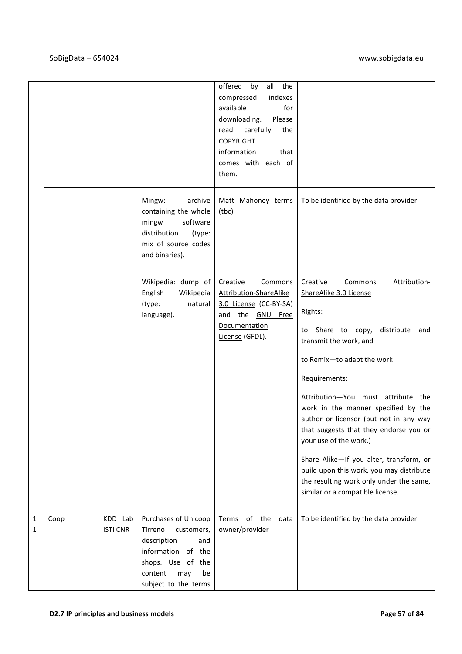|                              |      |                            |                                                                                                                                                                | offered by<br>all the<br>indexes<br>compressed<br>available<br>for<br>downloading.<br>Please<br>carefully<br>read<br>the<br><b>COPYRIGHT</b><br>information<br>that<br>comes with each of<br>them. |                                                                                                                                                                                                                                                                                                                                                                                                                                                                                                                                                                 |
|------------------------------|------|----------------------------|----------------------------------------------------------------------------------------------------------------------------------------------------------------|----------------------------------------------------------------------------------------------------------------------------------------------------------------------------------------------------|-----------------------------------------------------------------------------------------------------------------------------------------------------------------------------------------------------------------------------------------------------------------------------------------------------------------------------------------------------------------------------------------------------------------------------------------------------------------------------------------------------------------------------------------------------------------|
|                              |      |                            | archive<br>Mingw:<br>containing the whole<br>mingw<br>software<br>distribution<br>(type:<br>mix of source codes<br>and binaries).                              | Matt Mahoney terms<br>(tbc)                                                                                                                                                                        | To be identified by the data provider                                                                                                                                                                                                                                                                                                                                                                                                                                                                                                                           |
|                              |      |                            | Wikipedia: dump of<br>English<br>Wikipedia<br>(type:<br>natural<br>language).                                                                                  | Creative<br>Commons<br>Attribution-ShareAlike<br>3.0 License (CC-BY-SA)<br>and the GNU Free<br>Documentation<br>License (GFDL).                                                                    | Commons<br>Attribution-<br>Creative<br>ShareAlike 3.0 License<br>Rights:<br>Share-to copy,<br>distribute<br>and<br>to<br>transmit the work, and<br>to Remix-to adapt the work<br>Requirements:<br>Attribution-You must attribute the<br>work in the manner specified by the<br>author or licensor (but not in any way<br>that suggests that they endorse you or<br>your use of the work.)<br>Share Alike-If you alter, transform, or<br>build upon this work, you may distribute<br>the resulting work only under the same,<br>similar or a compatible license. |
| $\mathbf{1}$<br>$\mathbf{1}$ | Coop | KDD Lab<br><b>ISTI CNR</b> | Purchases of Unicoop<br>Tirreno<br>customers,<br>description<br>and<br>information of the<br>shops. Use of the<br>content<br>may<br>be<br>subject to the terms | Terms of the<br>data<br>owner/provider                                                                                                                                                             | To be identified by the data provider                                                                                                                                                                                                                                                                                                                                                                                                                                                                                                                           |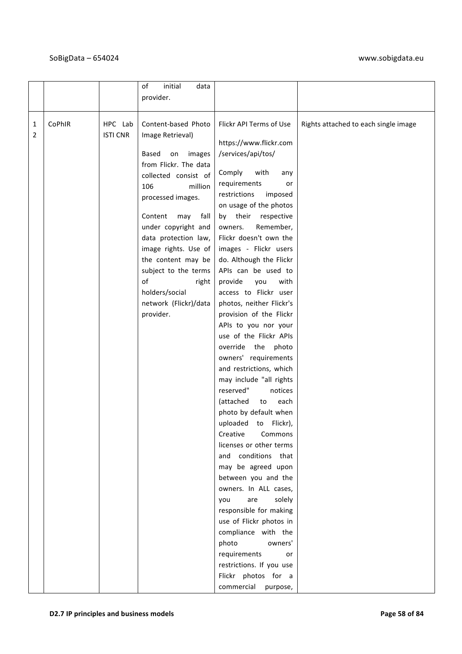|   |        |                 | initial<br>of<br>data  |                          |                                      |
|---|--------|-----------------|------------------------|--------------------------|--------------------------------------|
|   |        |                 | provider.              |                          |                                      |
|   |        |                 |                        |                          |                                      |
| 1 | CoPhIR | HPC Lab         | Content-based Photo    | Flickr API Terms of Use  | Rights attached to each single image |
| 2 |        | <b>ISTI CNR</b> | Image Retrieval)       |                          |                                      |
|   |        |                 |                        | https://www.flickr.com   |                                      |
|   |        |                 | Based<br>images<br>on  | /services/api/tos/       |                                      |
|   |        |                 | from Flickr. The data  |                          |                                      |
|   |        |                 | collected consist of   | Comply<br>with<br>any    |                                      |
|   |        |                 | million<br>106         | requirements<br>or       |                                      |
|   |        |                 | processed images.      | restrictions<br>imposed  |                                      |
|   |        |                 |                        | on usage of the photos   |                                      |
|   |        |                 | Content<br>may<br>fall | by their<br>respective   |                                      |
|   |        |                 | under copyright and    | owners.<br>Remember,     |                                      |
|   |        |                 | data protection law,   | Flickr doesn't own the   |                                      |
|   |        |                 | image rights. Use of   | images - Flickr users    |                                      |
|   |        |                 | the content may be     | do. Although the Flickr  |                                      |
|   |        |                 | subject to the terms   | APIs can be used to      |                                      |
|   |        |                 | of<br>right            | provide<br>you<br>with   |                                      |
|   |        |                 |                        |                          |                                      |
|   |        |                 | holders/social         | access to Flickr user    |                                      |
|   |        |                 | network (Flickr)/data  | photos, neither Flickr's |                                      |
|   |        |                 | provider.              | provision of the Flickr  |                                      |
|   |        |                 |                        | APIs to you nor your     |                                      |
|   |        |                 |                        | use of the Flickr APIs   |                                      |
|   |        |                 |                        | override the photo       |                                      |
|   |        |                 |                        | owners' requirements     |                                      |
|   |        |                 |                        | and restrictions, which  |                                      |
|   |        |                 |                        | may include "all rights  |                                      |
|   |        |                 |                        | reserved"<br>notices     |                                      |
|   |        |                 |                        | (attached<br>to<br>each  |                                      |
|   |        |                 |                        | photo by default when    |                                      |
|   |        |                 |                        | uploaded to Flickr),     |                                      |
|   |        |                 |                        | Creative<br>Commons      |                                      |
|   |        |                 |                        | licenses or other terms  |                                      |
|   |        |                 |                        | and conditions that      |                                      |
|   |        |                 |                        | may be agreed upon       |                                      |
|   |        |                 |                        | between you and the      |                                      |
|   |        |                 |                        | owners. In ALL cases,    |                                      |
|   |        |                 |                        | are<br>solely<br>you     |                                      |
|   |        |                 |                        | responsible for making   |                                      |
|   |        |                 |                        | use of Flickr photos in  |                                      |
|   |        |                 |                        | compliance with the      |                                      |
|   |        |                 |                        | photo<br>owners'         |                                      |
|   |        |                 |                        | requirements             |                                      |
|   |        |                 |                        | or                       |                                      |
|   |        |                 |                        | restrictions. If you use |                                      |
|   |        |                 |                        | Flickr photos for a      |                                      |
|   |        |                 |                        | commercial purpose,      |                                      |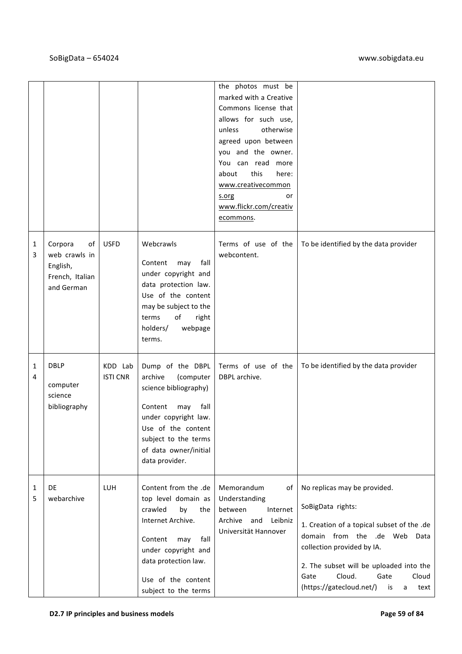|                   |                                                                             |                            |                                                                                                                                                                                                                 | the photos must be<br>marked with a Creative<br>Commons license that<br>allows for such use,<br>unless<br>otherwise<br>agreed upon between<br>you and the owner.<br>You can read more<br>this<br>about<br>here:<br>www.creativecommon<br>s.org<br>or<br>www.flickr.com/creativ<br>ecommons. |                                                                                                                                                                                                                                                                                            |
|-------------------|-----------------------------------------------------------------------------|----------------------------|-----------------------------------------------------------------------------------------------------------------------------------------------------------------------------------------------------------------|---------------------------------------------------------------------------------------------------------------------------------------------------------------------------------------------------------------------------------------------------------------------------------------------|--------------------------------------------------------------------------------------------------------------------------------------------------------------------------------------------------------------------------------------------------------------------------------------------|
| $\mathbf{1}$<br>3 | Corpora<br>of<br>web crawls in<br>English,<br>French, Italian<br>and German | <b>USFD</b>                | Webcrawls<br>Content<br>may<br>fall<br>under copyright and<br>data protection law.<br>Use of the content<br>may be subject to the<br>of<br>right<br>terms<br>holders/<br>webpage<br>terms.                      | Terms of use of the<br>webcontent.                                                                                                                                                                                                                                                          | To be identified by the data provider                                                                                                                                                                                                                                                      |
| $\mathbf{1}$<br>4 | <b>DBLP</b><br>computer<br>science<br>bibliography                          | KDD Lab<br><b>ISTI CNR</b> | Dump of the DBPL<br>archive<br>(computer<br>science bibliography)<br>Content<br>may<br>fall<br>under copyright law.<br>Use of the content<br>subject to the terms<br>of data owner/initial<br>data provider.    | Terms of use of the<br>DBPL archive.                                                                                                                                                                                                                                                        | To be identified by the data provider                                                                                                                                                                                                                                                      |
| $\mathbf{1}$<br>5 | <b>DE</b><br>webarchive                                                     | LUH                        | Content from the .de<br>top level domain as<br>crawled<br>by<br>the<br>Internet Archive.<br>Content<br>may<br>fall<br>under copyright and<br>data protection law.<br>Use of the content<br>subject to the terms | Memorandum<br>of<br>Understanding<br>Internet<br>between<br>Archive and<br>Leibniz<br>Universität Hannover                                                                                                                                                                                  | No replicas may be provided.<br>SoBigData rights:<br>1. Creation of a topical subset of the .de<br>domain from the .de Web Data<br>collection provided by IA.<br>2. The subset will be uploaded into the<br>Cloud.<br>Gate<br>Cloud<br>Gate<br>(https://gatecloud.net/)<br>text<br>is<br>a |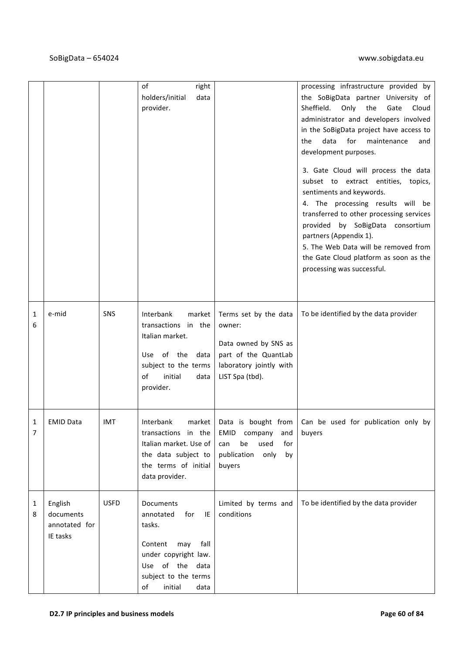|                                |                                                   |             | of<br>right<br>holders/initial<br>data<br>provider.                                                                                                                 |                                                                                                                               | processing infrastructure provided by<br>the SoBigData partner University of<br>Sheffield.<br>Only<br>the<br>Gate<br>Cloud<br>administrator and developers involved<br>in the SoBigData project have access to<br>data<br>for<br>maintenance<br>the<br>and<br>development purposes.<br>3. Gate Cloud will process the data<br>subset to extract entities, topics,<br>sentiments and keywords.<br>4. The processing results will be<br>transferred to other processing services<br>provided by SoBigData consortium<br>partners (Appendix 1).<br>5. The Web Data will be removed from<br>the Gate Cloud platform as soon as the<br>processing was successful. |
|--------------------------------|---------------------------------------------------|-------------|---------------------------------------------------------------------------------------------------------------------------------------------------------------------|-------------------------------------------------------------------------------------------------------------------------------|--------------------------------------------------------------------------------------------------------------------------------------------------------------------------------------------------------------------------------------------------------------------------------------------------------------------------------------------------------------------------------------------------------------------------------------------------------------------------------------------------------------------------------------------------------------------------------------------------------------------------------------------------------------|
| $\mathbf{1}$<br>6              | e-mid                                             | SNS         | Interbank<br>market<br>transactions in the<br>Italian market.<br>Use of the<br>data<br>subject to the terms<br>of<br>initial<br>data<br>provider.                   | Terms set by the data<br>owner:<br>Data owned by SNS as<br>part of the QuantLab<br>laboratory jointly with<br>LIST Spa (tbd). | To be identified by the data provider                                                                                                                                                                                                                                                                                                                                                                                                                                                                                                                                                                                                                        |
| $\mathbf{1}$<br>$\overline{7}$ | <b>EMID Data</b>                                  | <b>IMT</b>  | Interbank<br>transactions in the<br>Italian market. Use of<br>the data subject to<br>the terms of initial<br>data provider.                                         | EMID company<br>and<br>used<br>can<br>be<br>for<br>publication<br>only<br>by<br>buyers                                        | market   Data is bought from $\vert$ Can be used for publication only by<br>buyers                                                                                                                                                                                                                                                                                                                                                                                                                                                                                                                                                                           |
| 1<br>8                         | English<br>documents<br>annotated for<br>IE tasks | <b>USFD</b> | Documents<br>annotated<br>for<br>IE<br>tasks.<br>fall<br>Content<br>may<br>under copyright law.<br>Use of the data<br>subject to the terms<br>оf<br>initial<br>data | Limited by terms and<br>conditions                                                                                            | To be identified by the data provider                                                                                                                                                                                                                                                                                                                                                                                                                                                                                                                                                                                                                        |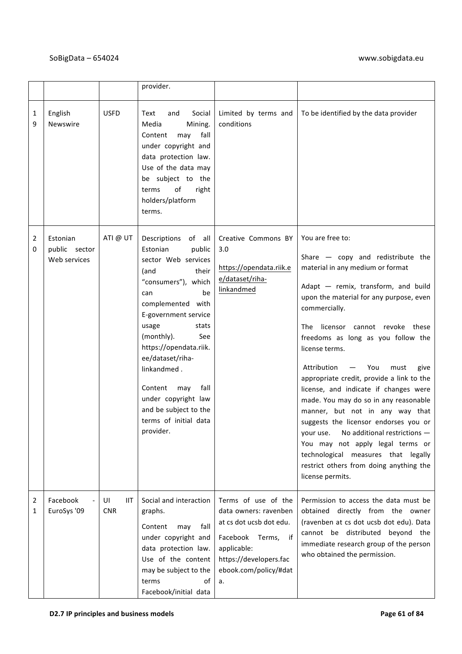|        |                                           |                        | provider.                                                                                                                                                                                                                                                                                                                                                                              |                                                                                                                                                                          |                                                                                                                                                                                                                                                                                                                                                                                                                                                                                                                                                                                                                                                                                                                                                       |
|--------|-------------------------------------------|------------------------|----------------------------------------------------------------------------------------------------------------------------------------------------------------------------------------------------------------------------------------------------------------------------------------------------------------------------------------------------------------------------------------|--------------------------------------------------------------------------------------------------------------------------------------------------------------------------|-------------------------------------------------------------------------------------------------------------------------------------------------------------------------------------------------------------------------------------------------------------------------------------------------------------------------------------------------------------------------------------------------------------------------------------------------------------------------------------------------------------------------------------------------------------------------------------------------------------------------------------------------------------------------------------------------------------------------------------------------------|
| 1<br>9 | English<br><b>Newswire</b>                | <b>USFD</b>            | Text<br>Social<br>and<br>Media<br>Mining.<br>Content<br>may<br>fall<br>under copyright and<br>data protection law.<br>Use of the data may<br>be subject to the<br>οf<br>terms<br>right<br>holders/platform<br>terms.                                                                                                                                                                   | Limited by terms and<br>conditions                                                                                                                                       | To be identified by the data provider                                                                                                                                                                                                                                                                                                                                                                                                                                                                                                                                                                                                                                                                                                                 |
| 2<br>0 | Estonian<br>public sector<br>Web services | ATI @ UT               | Descriptions of all<br>Estonian<br>public<br>sector Web services<br>their<br>(and<br>"consumers"), which<br>be<br>can<br>complemented with<br>E-government service<br>usage<br>stats<br>(monthly).<br>See<br>https://opendata.riik.<br>ee/dataset/riha-<br>linkandmed.<br>Content<br>may<br>fall<br>under copyright law<br>and be subject to the<br>terms of initial data<br>provider. | Creative Commons BY<br>3.0<br>https://opendata.riik.e<br>e/dataset/riha-<br>linkandmed                                                                                   | You are free to:<br>Share $-$ copy and redistribute the<br>material in any medium or format<br>Adapt - remix, transform, and build<br>upon the material for any purpose, even<br>commercially.<br>The licensor cannot revoke these<br>freedoms as long as you follow the<br>license terms.<br>Attribution<br>You<br>must<br>give<br>$\qquad \qquad$<br>appropriate credit, provide a link to the<br>license, and indicate if changes were<br>made. You may do so in any reasonable<br>manner, but not in any way that<br>suggests the licensor endorses you or<br>No additional restrictions -<br>your use.<br>You may not apply legal terms or<br>technological measures that legally<br>restrict others from doing anything the<br>license permits. |
| 2<br>1 | Facebook<br>EuroSys '09                   | UI<br>ШT<br><b>CNR</b> | Social and interaction<br>graphs.<br>Content<br>fall<br>may<br>under copyright and<br>data protection law.<br>Use of the content<br>may be subject to the<br>terms<br>of<br>Facebook/initial data                                                                                                                                                                                      | Terms of use of the<br>data owners: ravenben<br>at cs dot ucsb dot edu.<br>if<br>Facebook Terms,<br>applicable:<br>https://developers.fac<br>ebook.com/policy/#dat<br>a. | Permission to access the data must be<br>obtained directly from the owner<br>(ravenben at cs dot ucsb dot edu). Data<br>cannot be distributed beyond the<br>immediate research group of the person<br>who obtained the permission.                                                                                                                                                                                                                                                                                                                                                                                                                                                                                                                    |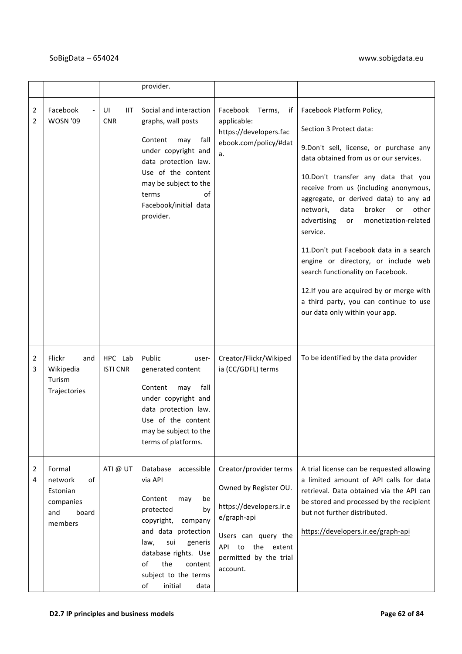|        |                                                                             |                            | provider.                                                                                                                                                                                                                                               |                                                                                                                                                                             |                                                                                                                                                                                                                                                                                                                                                                                                                                                                                                                                                                                                                       |
|--------|-----------------------------------------------------------------------------|----------------------------|---------------------------------------------------------------------------------------------------------------------------------------------------------------------------------------------------------------------------------------------------------|-----------------------------------------------------------------------------------------------------------------------------------------------------------------------------|-----------------------------------------------------------------------------------------------------------------------------------------------------------------------------------------------------------------------------------------------------------------------------------------------------------------------------------------------------------------------------------------------------------------------------------------------------------------------------------------------------------------------------------------------------------------------------------------------------------------------|
| 2<br>2 | Facebook<br><b>WOSN '09</b>                                                 | UI<br>IIТ<br><b>CNR</b>    | Social and interaction<br>graphs, wall posts<br>Content<br>fall<br>may<br>under copyright and<br>data protection law.<br>Use of the content<br>may be subject to the<br>terms<br>of<br>Facebook/initial data<br>provider.                               | Facebook<br>Terms,<br>if<br>applicable:<br>https://developers.fac<br>ebook.com/policy/#dat<br>a.                                                                            | Facebook Platform Policy,<br>Section 3 Protect data:<br>9.Don't sell, license, or purchase any<br>data obtained from us or our services.<br>10.Don't transfer any data that you<br>receive from us (including anonymous,<br>aggregate, or derived data) to any ad<br>network,<br>data<br>broker<br>other<br>or<br>advertising<br>monetization-related<br>or<br>service.<br>11.Don't put Facebook data in a search<br>engine or directory, or include web<br>search functionality on Facebook.<br>12. If you are acquired by or merge with<br>a third party, you can continue to use<br>our data only within your app. |
| 2<br>3 | Flickr<br>and<br>Wikipedia<br>Turism<br>Trajectories                        | HPC Lab<br><b>ISTI CNR</b> | Public<br>user-<br>generated content<br>Content<br>may<br>fall<br>under copyright and<br>data protection law.<br>Use of the content<br>may be subject to the<br>terms of platforms.                                                                     | Creator/Flickr/Wikiped<br>ia (CC/GDFL) terms                                                                                                                                | To be identified by the data provider                                                                                                                                                                                                                                                                                                                                                                                                                                                                                                                                                                                 |
| 2<br>4 | Formal<br>of<br>network<br>Estonian<br>companies<br>and<br>board<br>members | ATI @ UT                   | Database<br>accessible<br>via API<br>Content<br>be<br>may<br>protected<br>by<br>copyright,<br>company<br>and data protection<br>law,<br>sui<br>generis<br>database rights. Use<br>of<br>the<br>content<br>subject to the terms<br>initial<br>of<br>data | Creator/provider terms<br>Owned by Register OU.<br>https://developers.ir.e<br>e/graph-api<br>Users can query the<br>API to the extent<br>permitted by the trial<br>account. | A trial license can be requested allowing<br>a limited amount of API calls for data<br>retrieval. Data obtained via the API can<br>be stored and processed by the recipient<br>but not further distributed.<br>https://developers.ir.ee/graph-api                                                                                                                                                                                                                                                                                                                                                                     |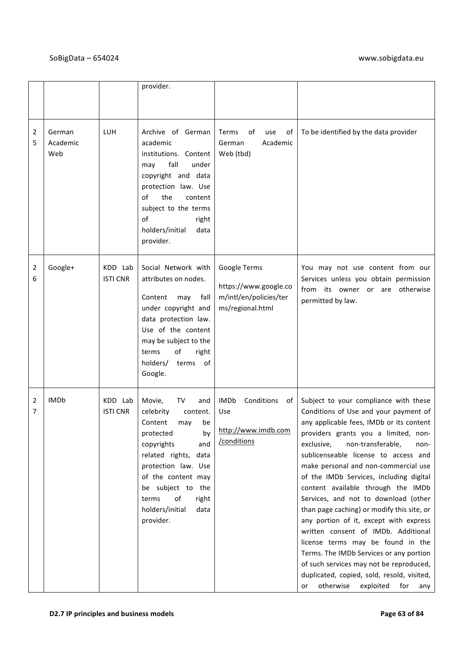|        |                           |                            | provider.                                                                                                                                                                                                                                                                 |                                                                                     |                                                                                                                                                                                                                                                                                                                                                                                                                                                                                                                                                                                                                                                                                                                                                                              |
|--------|---------------------------|----------------------------|---------------------------------------------------------------------------------------------------------------------------------------------------------------------------------------------------------------------------------------------------------------------------|-------------------------------------------------------------------------------------|------------------------------------------------------------------------------------------------------------------------------------------------------------------------------------------------------------------------------------------------------------------------------------------------------------------------------------------------------------------------------------------------------------------------------------------------------------------------------------------------------------------------------------------------------------------------------------------------------------------------------------------------------------------------------------------------------------------------------------------------------------------------------|
| 2<br>5 | German<br>Academic<br>Web | LUH                        | Archive of German<br>academic<br>institutions. Content<br>fall<br>under<br>may<br>copyright and data<br>protection law. Use<br>the<br>of<br>content<br>subject to the terms<br>of<br>right<br>holders/initial<br>data<br>provider.                                        | Terms<br>of<br>use<br>of<br>Academic<br>German<br>Web (tbd)                         | To be identified by the data provider                                                                                                                                                                                                                                                                                                                                                                                                                                                                                                                                                                                                                                                                                                                                        |
| 2<br>6 | Google+                   | KDD Lab<br><b>ISTI CNR</b> | Social Network with<br>attributes on nodes.<br>may<br>Content<br>fall<br>under copyright and<br>data protection law.<br>Use of the content<br>may be subject to the<br>of<br>terms<br>right<br>holders/<br>terms of<br>Google.                                            | Google Terms<br>https://www.google.co<br>m/intl/en/policies/ter<br>ms/regional.html | You may not use content from our<br>Services unless you obtain permission<br>from its owner or are otherwise<br>permitted by law.                                                                                                                                                                                                                                                                                                                                                                                                                                                                                                                                                                                                                                            |
| 2<br>7 | <b>IMDb</b>               | KDD Lab<br><b>ISTI CNR</b> | Movie,<br>TV<br>and<br>celebrity<br>content.<br>Content<br>be<br>may<br>protected<br>by<br>and<br>copyrights<br>related rights,<br>data<br>protection law. Use<br>of the content may<br>be subject to the<br>of<br>right<br>terms<br>holders/initial<br>data<br>provider. | <b>IMDb</b><br>Conditions<br>οf<br>Use<br>http://www.imdb.com<br>/conditions        | Subject to your compliance with these<br>Conditions of Use and your payment of<br>any applicable fees, IMDb or its content<br>providers grants you a limited, non-<br>exclusive,<br>non-transferable,<br>non-<br>sublicenseable license to access and<br>make personal and non-commercial use<br>of the IMDb Services, including digital<br>content available through the IMDb<br>Services, and not to download (other<br>than page caching) or modify this site, or<br>any portion of it, except with express<br>written consent of IMDb. Additional<br>license terms may be found in the<br>Terms. The IMDb Services or any portion<br>of such services may not be reproduced,<br>duplicated, copied, sold, resold, visited,<br>otherwise<br>exploited<br>for<br>or<br>any |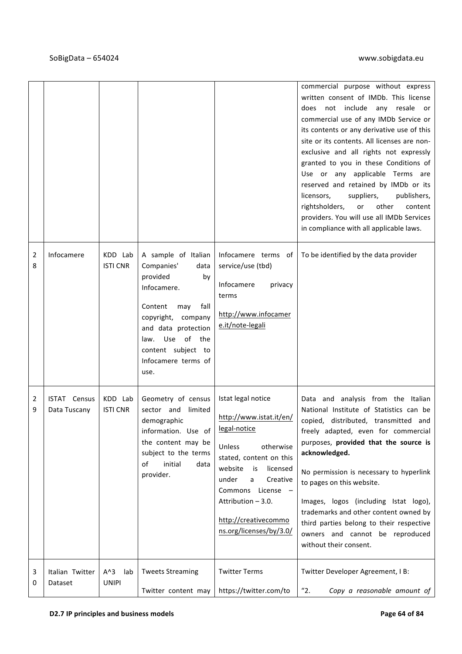|                     |                              |                                      |                                                                                                                                                                                                                              |                                                                                                                                                                                                                                                                      | commercial purpose without express<br>written consent of IMDb. This license<br>does not include any resale or<br>commercial use of any IMDb Service or<br>its contents or any derivative use of this<br>site or its contents. All licenses are non-<br>exclusive and all rights not expressly<br>granted to you in these Conditions of<br>Use or any applicable Terms are<br>reserved and retained by IMDb or its<br>licensors,<br>suppliers,<br>publishers,<br>rightsholders,<br>other<br>or<br>content<br>providers. You will use all IMDb Services<br>in compliance with all applicable laws. |
|---------------------|------------------------------|--------------------------------------|------------------------------------------------------------------------------------------------------------------------------------------------------------------------------------------------------------------------------|----------------------------------------------------------------------------------------------------------------------------------------------------------------------------------------------------------------------------------------------------------------------|--------------------------------------------------------------------------------------------------------------------------------------------------------------------------------------------------------------------------------------------------------------------------------------------------------------------------------------------------------------------------------------------------------------------------------------------------------------------------------------------------------------------------------------------------------------------------------------------------|
| $\overline{2}$<br>8 | Infocamere                   | KDD Lab<br><b>ISTI CNR</b>           | A sample of Italian<br>Companies'<br>data<br>provided<br>by<br>Infocamere.<br>Content<br>fall<br>may<br>copyright, company<br>and data protection<br>Use of the<br>law.<br>content subject to<br>Infocamere terms of<br>use. | Infocamere terms of<br>service/use (tbd)<br>Infocamere<br>privacy<br>terms<br>http://www.infocamer<br>e.it/note-legali                                                                                                                                               | To be identified by the data provider                                                                                                                                                                                                                                                                                                                                                                                                                                                                                                                                                            |
| 2<br>9              | ISTAT Census<br>Data Tuscany | KDD Lab<br><b>ISTI CNR</b>           | Geometry of census<br>sector and limited<br>demographic<br>information. Use of<br>the content may be<br>subject to the terms<br>of<br>initial<br>data<br>provider.                                                           | Istat legal notice<br>http://www.istat.it/en/<br>legal-notice<br>Unless<br>otherwise<br>stated, content on this<br>website<br>is<br>licensed<br>under<br>Creative<br>a<br>Commons License -<br>Attribution - 3.0.<br>http://creativecommo<br>ns.org/licenses/by/3.0/ | Data and analysis from the Italian<br>National Institute of Statistics can be<br>copied, distributed, transmitted and<br>freely adapted, even for commercial<br>purposes, provided that the source is<br>acknowledged.<br>No permission is necessary to hyperlink<br>to pages on this website.<br>Images, logos (including Istat logo),<br>trademarks and other content owned by<br>third parties belong to their respective<br>owners and cannot be reproduced<br>without their consent.                                                                                                        |
| 3<br>0              | Italian Twitter<br>Dataset   | $A^{\wedge}3$<br>lab<br><b>UNIPI</b> | <b>Tweets Streaming</b><br>Twitter content may                                                                                                                                                                               | <b>Twitter Terms</b><br>https://twitter.com/to                                                                                                                                                                                                                       | Twitter Developer Agreement, I B:<br>"2.<br>Copy a reasonable amount of                                                                                                                                                                                                                                                                                                                                                                                                                                                                                                                          |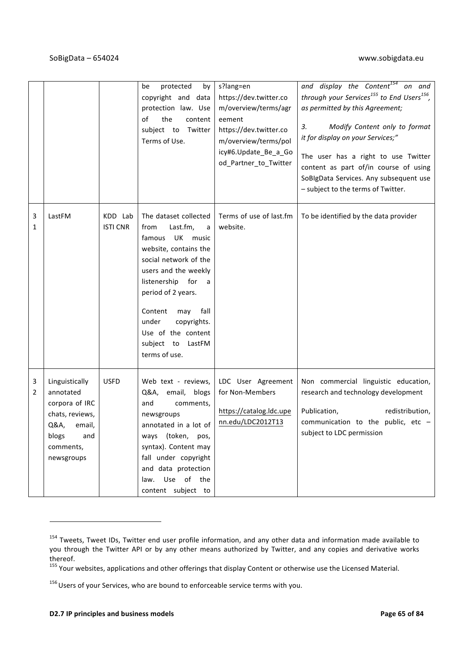|                  |                                                                                                                            |                            | protected<br>by<br>be<br>copyright and data<br>protection law. Use<br>of<br>the<br>content<br>subject to Twitter<br>Terms of Use.                                                                                                                                                                     | s?lang=en<br>https://dev.twitter.co<br>m/overview/terms/agr<br>eement<br>https://dev.twitter.co<br>m/overview/terms/pol<br>icy#6.Update_Be_a_Go<br>od_Partner_to_Twitter | and display the Content <sup>154</sup> on and<br>through your Services <sup>155</sup> to End Users <sup>156</sup> ,<br>as permitted by this Agreement;<br>3.<br>Modify Content only to format<br>it for display on your Services;"<br>The user has a right to use Twitter<br>content as part of/in course of using<br>SoBIgData Services. Any subsequent use<br>- subject to the terms of Twitter. |
|------------------|----------------------------------------------------------------------------------------------------------------------------|----------------------------|-------------------------------------------------------------------------------------------------------------------------------------------------------------------------------------------------------------------------------------------------------------------------------------------------------|--------------------------------------------------------------------------------------------------------------------------------------------------------------------------|----------------------------------------------------------------------------------------------------------------------------------------------------------------------------------------------------------------------------------------------------------------------------------------------------------------------------------------------------------------------------------------------------|
| 3<br>1           | LastFM                                                                                                                     | KDD Lab<br><b>ISTI CNR</b> | The dataset collected<br>Last.fm,<br>from<br>a<br>UK music<br>famous<br>website, contains the<br>social network of the<br>users and the weekly<br>listenership for a<br>period of 2 years.<br>Content<br>may fall<br>under<br>copyrights.<br>Use of the content<br>subject to LastFM<br>terms of use. | Terms of use of last.fm<br>website.                                                                                                                                      | To be identified by the data provider                                                                                                                                                                                                                                                                                                                                                              |
| $\mathsf 3$<br>2 | Linguistically<br>annotated<br>corpora of IRC<br>chats, reviews,<br>Q&A, email,<br>blogs<br>and<br>comments,<br>newsgroups | <b>USFD</b>                | Web text - reviews,<br>Q&A, email, blogs<br>and<br>comments,<br>newsgroups<br>annotated in a lot of<br>ways (token, pos,<br>syntax). Content may<br>fall under copyright<br>and data protection<br>law. Use of the<br>content subject to                                                              | LDC User Agreement<br>for Non-Members<br>https://catalog.ldc.upe<br>nn.edu/LDC2012T13                                                                                    | Non commercial linguistic education,<br>research and technology development<br>Publication,<br>redistribution,<br>communication to the public, etc $-$<br>subject to LDC permission                                                                                                                                                                                                                |

 $154$  Tweets, Tweet IDs, Twitter end user profile information, and any other data and information made available to you through the Twitter API or by any other means authorized by Twitter, and any copies and derivative works thereof.

 $155$  Your websites, applications and other offerings that display Content or otherwise use the Licensed Material.

 $156$  Users of your Services, who are bound to enforceable service terms with you.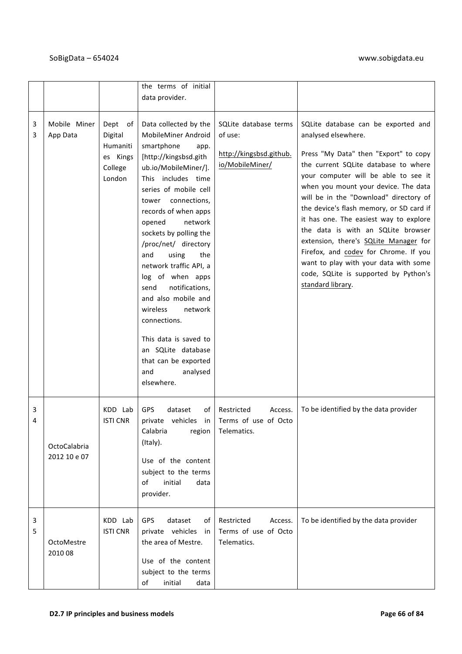|                     |                              |                                                                 | the terms of initial                                                                                                                                                                                                                                                                                                                                                                                                                                                                                                                                            |                                                                                |                                                                                                                                                                                                                                                                                                                                                                                                                                                                                                                                                                                            |
|---------------------|------------------------------|-----------------------------------------------------------------|-----------------------------------------------------------------------------------------------------------------------------------------------------------------------------------------------------------------------------------------------------------------------------------------------------------------------------------------------------------------------------------------------------------------------------------------------------------------------------------------------------------------------------------------------------------------|--------------------------------------------------------------------------------|--------------------------------------------------------------------------------------------------------------------------------------------------------------------------------------------------------------------------------------------------------------------------------------------------------------------------------------------------------------------------------------------------------------------------------------------------------------------------------------------------------------------------------------------------------------------------------------------|
|                     |                              |                                                                 | data provider.                                                                                                                                                                                                                                                                                                                                                                                                                                                                                                                                                  |                                                                                |                                                                                                                                                                                                                                                                                                                                                                                                                                                                                                                                                                                            |
| 3<br>3              | Mobile Miner<br>App Data     | Dept of<br>Digital<br>Humaniti<br>es Kings<br>College<br>London | Data collected by the<br>MobileMiner Android<br>smartphone<br>app.<br>[http://kingsbsd.gith<br>ub.io/MobileMiner/].<br>This includes time<br>series of mobile cell<br>connections,<br>tower<br>records of when apps<br>network<br>opened<br>sockets by polling the<br>/proc/net/ directory<br>using<br>and<br>the<br>network traffic API, a<br>log of when apps<br>notifications,<br>send<br>and also mobile and<br>wireless<br>network<br>connections.<br>This data is saved to<br>an SQLite database<br>that can be exported<br>analysed<br>and<br>elsewhere. | SQLite database terms<br>of use:<br>http://kingsbsd.github.<br>io/MobileMiner/ | SQLite database can be exported and<br>analysed elsewhere.<br>Press "My Data" then "Export" to copy<br>the current SQLite database to where<br>your computer will be able to see it<br>when you mount your device. The data<br>will be in the "Download" directory of<br>the device's flash memory, or SD card if<br>it has one. The easiest way to explore<br>the data is with an SQLite browser<br>extension, there's SQLite Manager for<br>Firefox, and codev for Chrome. If you<br>want to play with your data with some<br>code, SQLite is supported by Python's<br>standard library. |
| $\overline{3}$<br>4 | OctoCalabria<br>2012 10 e 07 | KDD Lab<br><b>ISTI CNR</b>                                      | <b>GPS</b><br>dataset<br>οf<br>private vehicles<br>in.<br>Calabria<br>region<br>(Italy).<br>Use of the content<br>subject to the terms<br>of<br>initial<br>data<br>provider.                                                                                                                                                                                                                                                                                                                                                                                    | Restricted<br>Access.<br>Terms of use of Octo<br>Telematics.                   | To be identified by the data provider                                                                                                                                                                                                                                                                                                                                                                                                                                                                                                                                                      |
| $\overline{3}$<br>5 | OctoMestre<br>2010 08        | KDD Lab<br><b>ISTI CNR</b>                                      | <b>GPS</b><br>dataset<br>of<br>private vehicles<br>in<br>the area of Mestre.<br>Use of the content<br>subject to the terms<br>initial<br>оf<br>data                                                                                                                                                                                                                                                                                                                                                                                                             | Restricted<br>Access.<br>Terms of use of Octo<br>Telematics.                   | To be identified by the data provider                                                                                                                                                                                                                                                                                                                                                                                                                                                                                                                                                      |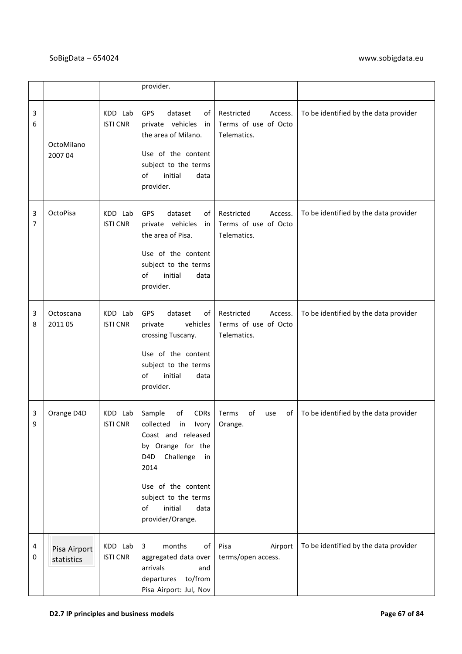|                   |                            |                            | provider.                                                                                                                                                                                                                                    |                                                              |                                       |
|-------------------|----------------------------|----------------------------|----------------------------------------------------------------------------------------------------------------------------------------------------------------------------------------------------------------------------------------------|--------------------------------------------------------------|---------------------------------------|
| 3<br>6            | OctoMilano<br>200704       | KDD Lab<br><b>ISTI CNR</b> | <b>GPS</b><br>dataset<br>οf<br>private vehicles<br>in<br>the area of Milano.<br>Use of the content<br>subject to the terms<br>of<br>initial<br>data<br>provider.                                                                             | Restricted<br>Access.<br>Terms of use of Octo<br>Telematics. | To be identified by the data provider |
| $\mathbf{3}$<br>7 | OctoPisa                   | KDD Lab<br><b>ISTI CNR</b> | <b>GPS</b><br>dataset<br>of<br>private vehicles<br>in<br>the area of Pisa.<br>Use of the content<br>subject to the terms<br>of<br>initial<br>data<br>provider.                                                                               | Restricted<br>Access.<br>Terms of use of Octo<br>Telematics. | To be identified by the data provider |
| 3<br>8            | Octoscana<br>201105        | KDD Lab<br><b>ISTI CNR</b> | <b>GPS</b><br>dataset<br>of<br>vehicles<br>private<br>crossing Tuscany.<br>Use of the content<br>subject to the terms<br>of<br>initial<br>data<br>provider.                                                                                  | Restricted<br>Access.<br>Terms of use of Octo<br>Telematics. | To be identified by the data provider |
| 3<br>9            | Orange D4D                 | KDD Lab<br><b>ISTI CNR</b> | Sample<br><b>CDRs</b><br>οf<br>collected<br>in<br>Ivory<br>Coast and released<br>by Orange for the<br>Challenge<br>D <sub>4</sub> D<br>in<br>2014<br>Use of the content<br>subject to the terms<br>initial<br>of<br>data<br>provider/Orange. | Terms<br>of<br>use<br>οf<br>Orange.                          | To be identified by the data provider |
| 4<br>0            | Pisa Airport<br>statistics | KDD Lab<br><b>ISTI CNR</b> | months<br>of<br>3<br>aggregated data over<br>arrivals<br>and<br>departures to/from<br>Pisa Airport: Jul, Nov                                                                                                                                 | Pisa<br>Airport<br>terms/open access.                        | To be identified by the data provider |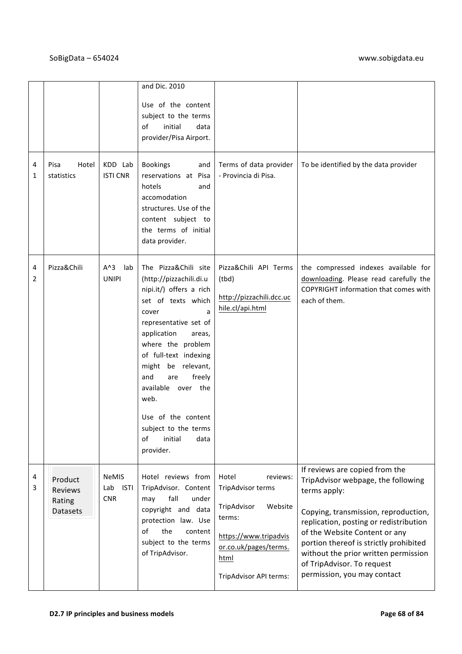|        |                                                        |                                                  | and Dic. 2010<br>Use of the content<br>subject to the terms<br>initial<br>of<br>data<br>provider/Pisa Airport.                                                                                                                                                                                                                                                                 |                                                                                                                                                                |                                                                                                                                                                                                                                                                                                                                                        |
|--------|--------------------------------------------------------|--------------------------------------------------|--------------------------------------------------------------------------------------------------------------------------------------------------------------------------------------------------------------------------------------------------------------------------------------------------------------------------------------------------------------------------------|----------------------------------------------------------------------------------------------------------------------------------------------------------------|--------------------------------------------------------------------------------------------------------------------------------------------------------------------------------------------------------------------------------------------------------------------------------------------------------------------------------------------------------|
| 4<br>1 | Pisa<br>Hotel<br>statistics                            | KDD Lab<br><b>ISTI CNR</b>                       | <b>Bookings</b><br>and<br>reservations at Pisa<br>hotels<br>and<br>accomodation<br>structures. Use of the<br>content subject to<br>the terms of initial<br>data provider.                                                                                                                                                                                                      | Terms of data provider<br>- Provincia di Pisa.                                                                                                                 | To be identified by the data provider                                                                                                                                                                                                                                                                                                                  |
| 4<br>2 | Pizza&Chili                                            | $A^3$<br>lab<br><b>UNIPI</b>                     | The Pizza&Chili site<br>(http://pizzachili.di.u<br>nipi.it/) offers a rich<br>set of texts which<br>cover<br>a<br>representative set of<br>application<br>areas,<br>where the problem<br>of full-text indexing<br>might be relevant,<br>and<br>freely<br>are<br>available over the<br>web.<br>Use of the content<br>subject to the terms<br>of<br>initial<br>data<br>provider. | Pizza&Chili API Terms<br>(tbd)<br>http://pizzachili.dcc.uc<br>hile.cl/api.html                                                                                 | the compressed indexes available for<br>downloading. Please read carefully the<br>COPYRIGHT information that comes with<br>each of them.                                                                                                                                                                                                               |
| 4<br>3 | Product<br><b>Reviews</b><br>Rating<br><b>Datasets</b> | <b>NeMIS</b><br>Lab<br><b>ISTI</b><br><b>CNR</b> | Hotel reviews from<br>TripAdvisor. Content<br>fall<br>under<br>may<br>copyright and data<br>protection law. Use<br>the<br>οf<br>content<br>subject to the terms<br>of TripAdvisor.                                                                                                                                                                                             | Hotel<br>reviews:<br>TripAdvisor terms<br>TripAdvisor<br>Website<br>terms:<br>https://www.tripadvis<br>or.co.uk/pages/terms.<br>html<br>TripAdvisor API terms: | If reviews are copied from the<br>TripAdvisor webpage, the following<br>terms apply:<br>Copying, transmission, reproduction,<br>replication, posting or redistribution<br>of the Website Content or any<br>portion thereof is strictly prohibited<br>without the prior written permission<br>of TripAdvisor. To request<br>permission, you may contact |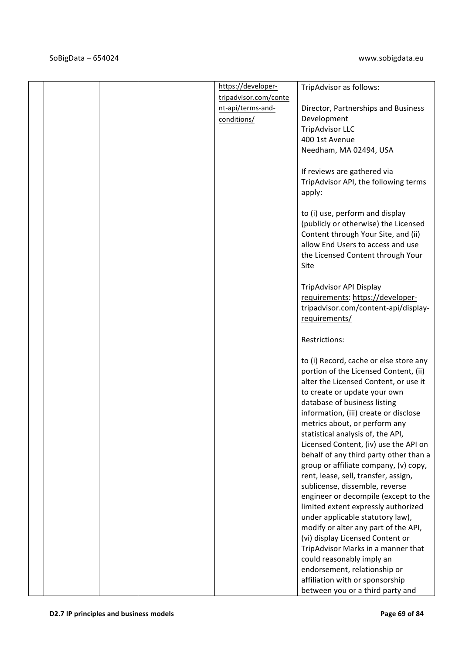|  |  | https://developer-    | TripAdvisor as follows:                                                                                                                                                                                                                                                                                                                                                                                                                                                                                                                                                                                                                                                                                                                            |
|--|--|-----------------------|----------------------------------------------------------------------------------------------------------------------------------------------------------------------------------------------------------------------------------------------------------------------------------------------------------------------------------------------------------------------------------------------------------------------------------------------------------------------------------------------------------------------------------------------------------------------------------------------------------------------------------------------------------------------------------------------------------------------------------------------------|
|  |  | tripadvisor.com/conte |                                                                                                                                                                                                                                                                                                                                                                                                                                                                                                                                                                                                                                                                                                                                                    |
|  |  | nt-api/terms-and-     | Director, Partnerships and Business                                                                                                                                                                                                                                                                                                                                                                                                                                                                                                                                                                                                                                                                                                                |
|  |  | conditions/           | Development                                                                                                                                                                                                                                                                                                                                                                                                                                                                                                                                                                                                                                                                                                                                        |
|  |  |                       | <b>TripAdvisor LLC</b>                                                                                                                                                                                                                                                                                                                                                                                                                                                                                                                                                                                                                                                                                                                             |
|  |  |                       | 400 1st Avenue                                                                                                                                                                                                                                                                                                                                                                                                                                                                                                                                                                                                                                                                                                                                     |
|  |  |                       | Needham, MA 02494, USA                                                                                                                                                                                                                                                                                                                                                                                                                                                                                                                                                                                                                                                                                                                             |
|  |  |                       |                                                                                                                                                                                                                                                                                                                                                                                                                                                                                                                                                                                                                                                                                                                                                    |
|  |  |                       | If reviews are gathered via<br>TripAdvisor API, the following terms<br>apply:                                                                                                                                                                                                                                                                                                                                                                                                                                                                                                                                                                                                                                                                      |
|  |  |                       | to (i) use, perform and display<br>(publicly or otherwise) the Licensed<br>Content through Your Site, and (ii)<br>allow End Users to access and use<br>the Licensed Content through Your<br>Site                                                                                                                                                                                                                                                                                                                                                                                                                                                                                                                                                   |
|  |  |                       | TripAdvisor API Display<br>requirements: https://developer-<br>tripadvisor.com/content-api/display-<br>requirements/                                                                                                                                                                                                                                                                                                                                                                                                                                                                                                                                                                                                                               |
|  |  |                       | Restrictions:                                                                                                                                                                                                                                                                                                                                                                                                                                                                                                                                                                                                                                                                                                                                      |
|  |  |                       | to (i) Record, cache or else store any<br>portion of the Licensed Content, (ii)<br>alter the Licensed Content, or use it<br>to create or update your own<br>database of business listing<br>information, (iii) create or disclose<br>metrics about, or perform any<br>statistical analysis of, the API,<br>Licensed Content, (iv) use the API on<br>behalf of any third party other than a<br>group or affiliate company, (v) copy,<br>rent, lease, sell, transfer, assign,<br>sublicense, dissemble, reverse<br>engineer or decompile (except to the<br>limited extent expressly authorized<br>under applicable statutory law),<br>modify or alter any part of the API,<br>(vi) display Licensed Content or<br>TripAdvisor Marks in a manner that |
|  |  |                       | could reasonably imply an<br>endorsement, relationship or<br>affiliation with or sponsorship                                                                                                                                                                                                                                                                                                                                                                                                                                                                                                                                                                                                                                                       |
|  |  |                       | between you or a third party and                                                                                                                                                                                                                                                                                                                                                                                                                                                                                                                                                                                                                                                                                                                   |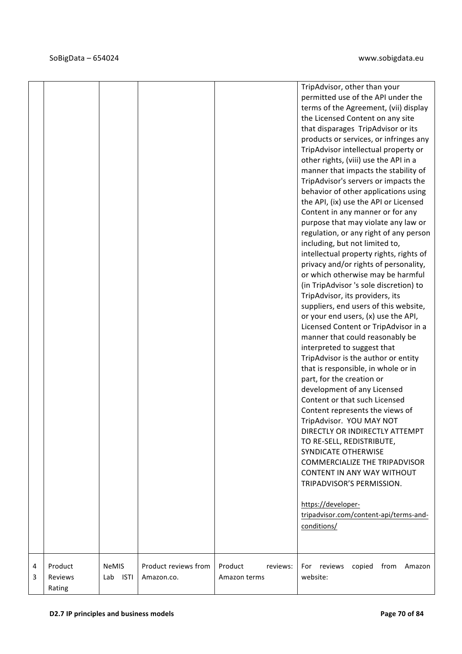| 4 | Product                  | <b>NeMIS</b> | Product reviews from | Product<br>reviews: | TripAdvisor, other than your<br>permitted use of the API under the<br>terms of the Agreement, (vii) display<br>the Licensed Content on any site<br>that disparages TripAdvisor or its<br>products or services, or infringes any<br>TripAdvisor intellectual property or<br>other rights, (viii) use the API in a<br>manner that impacts the stability of<br>TripAdvisor's servers or impacts the<br>behavior of other applications using<br>the API, (ix) use the API or Licensed<br>Content in any manner or for any<br>purpose that may violate any law or<br>regulation, or any right of any person<br>including, but not limited to,<br>intellectual property rights, rights of<br>privacy and/or rights of personality,<br>or which otherwise may be harmful<br>(in TripAdvisor 's sole discretion) to<br>TripAdvisor, its providers, its<br>suppliers, end users of this website,<br>or your end users, (x) use the API,<br>Licensed Content or TripAdvisor in a<br>manner that could reasonably be<br>interpreted to suggest that<br>TripAdvisor is the author or entity<br>that is responsible, in whole or in<br>part, for the creation or<br>development of any Licensed<br>Content or that such Licensed<br>Content represents the views of<br>TripAdvisor. YOU MAY NOT<br>DIRECTLY OR INDIRECTLY ATTEMPT<br>TO RE-SELL, REDISTRIBUTE,<br>SYNDICATE OTHERWISE<br><b>COMMERCIALIZE THE TRIPADVISOR</b><br><b>CONTENT IN ANY WAY WITHOUT</b><br>TRIPADVISOR'S PERMISSION.<br>https://developer-<br>tripadvisor.com/content-api/terms-and-<br>conditions/<br>For reviews<br>copied from Amazon |
|---|--------------------------|--------------|----------------------|---------------------|--------------------------------------------------------------------------------------------------------------------------------------------------------------------------------------------------------------------------------------------------------------------------------------------------------------------------------------------------------------------------------------------------------------------------------------------------------------------------------------------------------------------------------------------------------------------------------------------------------------------------------------------------------------------------------------------------------------------------------------------------------------------------------------------------------------------------------------------------------------------------------------------------------------------------------------------------------------------------------------------------------------------------------------------------------------------------------------------------------------------------------------------------------------------------------------------------------------------------------------------------------------------------------------------------------------------------------------------------------------------------------------------------------------------------------------------------------------------------------------------------------------------------------------------------------------------------------------------------------|
| 3 | <b>Reviews</b><br>Rating | Lab ISTI     | Amazon.co.           | Amazon terms        | website:                                                                                                                                                                                                                                                                                                                                                                                                                                                                                                                                                                                                                                                                                                                                                                                                                                                                                                                                                                                                                                                                                                                                                                                                                                                                                                                                                                                                                                                                                                                                                                                               |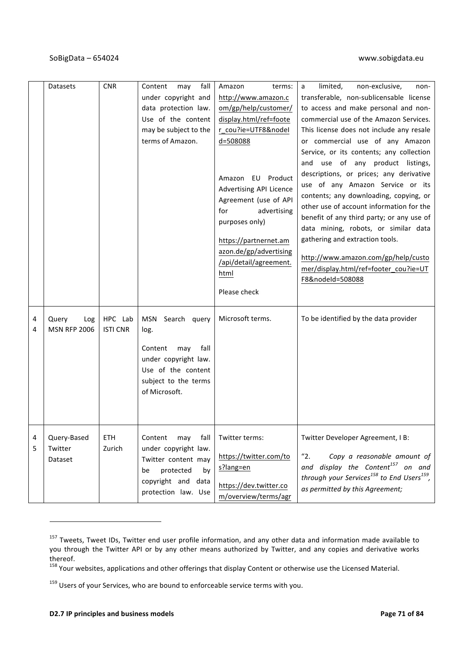|        | Datasets                            | <b>CNR</b>                 | Content<br>fall<br>may<br>under copyright and<br>data protection law.<br>Use of the content<br>may be subject to the<br>terms of Amazon.     | Amazon<br>terms:<br>http://www.amazon.c<br>om/gp/help/customer/<br>display.html/ref=foote<br>r_cou?ie=UTF8&nodel<br>d=508088<br>Amazon EU Product<br>Advertising API Licence<br>Agreement (use of API<br>advertising<br>for<br>purposes only)<br>https://partnernet.am<br>azon.de/gp/advertising<br>/api/detail/agreement.<br>html<br>Please check | limited,<br>non-exclusive,<br>a<br>non-<br>transferable, non-sublicensable license<br>to access and make personal and non-<br>commercial use of the Amazon Services.<br>This license does not include any resale<br>or commercial use of any Amazon<br>Service, or its contents; any collection<br>and use of any product listings,<br>descriptions, or prices; any derivative<br>use of any Amazon Service or its<br>contents; any downloading, copying, or<br>other use of account information for the<br>benefit of any third party; or any use of<br>data mining, robots, or similar data<br>gathering and extraction tools.<br>http://www.amazon.com/gp/help/custo<br>mer/display.html/ref=footer_cou?ie=UT<br>F8&nodeId=508088 |
|--------|-------------------------------------|----------------------------|----------------------------------------------------------------------------------------------------------------------------------------------|----------------------------------------------------------------------------------------------------------------------------------------------------------------------------------------------------------------------------------------------------------------------------------------------------------------------------------------------------|--------------------------------------------------------------------------------------------------------------------------------------------------------------------------------------------------------------------------------------------------------------------------------------------------------------------------------------------------------------------------------------------------------------------------------------------------------------------------------------------------------------------------------------------------------------------------------------------------------------------------------------------------------------------------------------------------------------------------------------|
| 4<br>4 | Query<br>Log<br><b>MSN RFP 2006</b> | HPC Lab<br><b>ISTI CNR</b> | Search query<br>MSN<br>log.<br>Content<br>fall<br>may<br>under copyright law.<br>Use of the content<br>subject to the terms<br>of Microsoft. | Microsoft terms.                                                                                                                                                                                                                                                                                                                                   | To be identified by the data provider                                                                                                                                                                                                                                                                                                                                                                                                                                                                                                                                                                                                                                                                                                |
| 4<br>5 | Query-Based<br>Twitter<br>Dataset   | ETH<br>Zurich              | Content<br>may<br>fall<br>under copyright law.<br>Twitter content may<br>protected<br>by<br>be<br>copyright and data<br>protection law. Use  | Twitter terms:<br>https://twitter.com/to<br>s?lang=en<br>https://dev.twitter.co<br>m/overview/terms/agr                                                                                                                                                                                                                                            | Twitter Developer Agreement, I B:<br>"2.<br>Copy a reasonable amount of<br>and display the Content <sup>157</sup> on and<br>through your Services <sup>158</sup> to End Users <sup>159</sup> ,<br>as permitted by this Agreement;                                                                                                                                                                                                                                                                                                                                                                                                                                                                                                    |

<sup>&</sup>lt;sup>157</sup> Tweets, Tweet IDs, Twitter end user profile information, and any other data and information made available to you through the Twitter API or by any other means authorized by Twitter, and any copies and derivative works thereof.

 $^{158}$  Your websites, applications and other offerings that display Content or otherwise use the Licensed Material.

 $159$  Users of your Services, who are bound to enforceable service terms with you.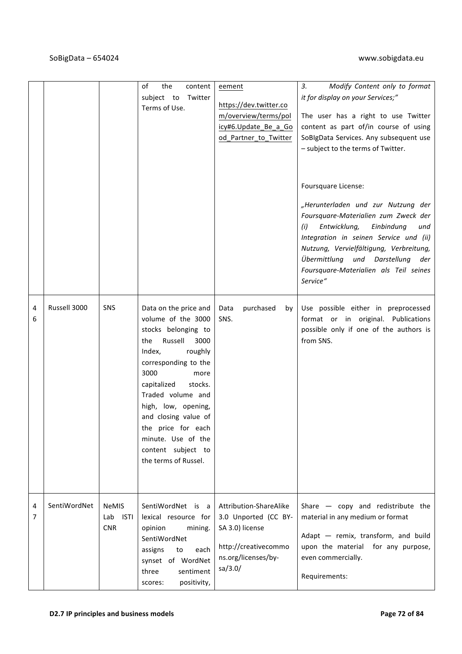|        |              |                                                  | the<br>content<br>of<br>subject to Twitter<br>Terms of Use.                                                                                                                                                                                                                                                                                       | eement<br>https://dev.twitter.co<br>m/overview/terms/pol<br>icy#6.Update_Be_a_Go<br>od_Partner_to_Twitter                   | 3.<br>Modify Content only to format<br>it for display on your Services;"<br>The user has a right to use Twitter<br>content as part of/in course of using<br>SoBIgData Services. Any subsequent use<br>- subject to the terms of Twitter.<br>Foursquare License:<br>"Herunterladen und zur Nutzung der<br>Foursquare-Materialien zum Zweck der<br>Entwicklung,<br>Einbindung<br>(i)<br>und<br>Integration in seinen Service und (ii)<br>Nutzung, Vervielfältigung, Verbreitung,<br>Übermittlung und Darstellung der<br>Foursquare-Materialien als Teil seines<br>Service" |
|--------|--------------|--------------------------------------------------|---------------------------------------------------------------------------------------------------------------------------------------------------------------------------------------------------------------------------------------------------------------------------------------------------------------------------------------------------|-----------------------------------------------------------------------------------------------------------------------------|--------------------------------------------------------------------------------------------------------------------------------------------------------------------------------------------------------------------------------------------------------------------------------------------------------------------------------------------------------------------------------------------------------------------------------------------------------------------------------------------------------------------------------------------------------------------------|
| 4<br>6 | Russell 3000 | SNS                                              | Data on the price and<br>volume of the 3000<br>stocks belonging to<br>Russell<br>3000<br>the<br>Index,<br>roughly<br>corresponding to the<br>3000<br>more<br>capitalized<br>stocks.<br>Traded volume and<br>high, low, opening,<br>and closing value of<br>the price for each<br>minute. Use of the<br>content subject to<br>the terms of Russel. | Data<br>purchased<br>by<br>SNS.                                                                                             | Use possible either in preprocessed<br>format or in original. Publications<br>possible only if one of the authors is<br>from SNS.                                                                                                                                                                                                                                                                                                                                                                                                                                        |
| 4<br>7 | SentiWordNet | <b>NeMIS</b><br>Lab<br><b>ISTI</b><br><b>CNR</b> | SentiWordNet is a<br>lexical resource for<br>opinion<br>mining.<br>SentiWordNet<br>assigns<br>each<br>to<br>synset of WordNet<br>three<br>sentiment<br>positivity,<br>scores:                                                                                                                                                                     | Attribution-ShareAlike<br>3.0 Unported (CC BY-<br>SA 3.0) license<br>http://creativecommo<br>ns.org/licenses/by-<br>sa/3.0/ | Share $-$ copy and redistribute the<br>material in any medium or format<br>Adapt - remix, transform, and build<br>upon the material for any purpose,<br>even commercially.<br>Requirements:                                                                                                                                                                                                                                                                                                                                                                              |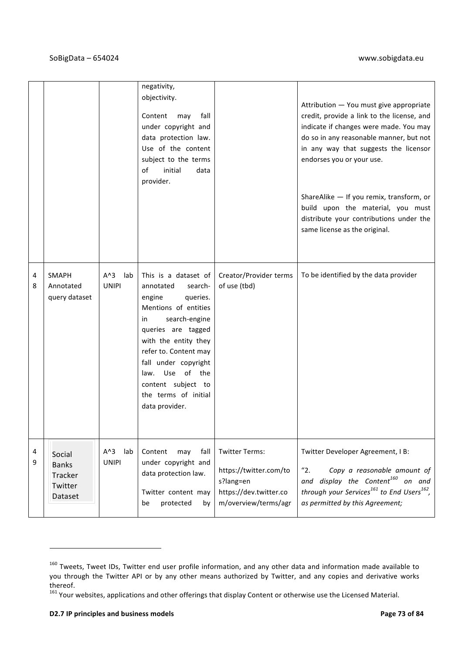|        |                                                         |                                      | negativity,<br>objectivity.<br>Content<br>may<br>fall<br>under copyright and<br>data protection law.<br>Use of the content<br>subject to the terms<br>of<br>initial<br>data<br>provider.                                                                                                            |                                                                                                                | Attribution - You must give appropriate<br>credit, provide a link to the license, and<br>indicate if changes were made. You may<br>do so in any reasonable manner, but not<br>in any way that suggests the licensor<br>endorses you or your use.<br>ShareAlike - If you remix, transform, or<br>build upon the material, you must<br>distribute your contributions under the<br>same license as the original. |
|--------|---------------------------------------------------------|--------------------------------------|-----------------------------------------------------------------------------------------------------------------------------------------------------------------------------------------------------------------------------------------------------------------------------------------------------|----------------------------------------------------------------------------------------------------------------|---------------------------------------------------------------------------------------------------------------------------------------------------------------------------------------------------------------------------------------------------------------------------------------------------------------------------------------------------------------------------------------------------------------|
| 4<br>8 | <b>SMAPH</b><br>Annotated<br>query dataset              | $A^3$<br>lab<br><b>UNIPI</b>         | This is a dataset of<br>annotated<br>search-<br>engine<br>queries.<br>Mentions of entities<br>search-engine<br>in<br>queries are tagged<br>with the entity they<br>refer to. Content may<br>fall under copyright<br>law. Use of the<br>content subject to<br>the terms of initial<br>data provider. | Creator/Provider terms<br>of use (tbd)                                                                         | To be identified by the data provider                                                                                                                                                                                                                                                                                                                                                                         |
| 4<br>9 | Social<br><b>Banks</b><br>Tracker<br>Twitter<br>Dataset | $A^{\wedge}3$<br>lab<br><b>UNIPI</b> | Content<br>may<br>fall<br>under copyright and<br>data protection law.<br>Twitter content may<br>protected<br>be<br>by                                                                                                                                                                               | <b>Twitter Terms:</b><br>https://twitter.com/to<br>s?lang=en<br>https://dev.twitter.co<br>m/overview/terms/agr | Twitter Developer Agreement, I B:<br>"2.<br>Copy a reasonable amount of<br>and display the Content <sup>160</sup> on and<br>through your Services <sup>161</sup> to End Users <sup>162</sup> ,<br>as permitted by this Agreement;                                                                                                                                                                             |

<u> 1989 - Johann Stein, fransk politiker (d. 1989)</u>

 $160$  Tweets, Tweet IDs, Twitter end user profile information, and any other data and information made available to you through the Twitter API or by any other means authorized by Twitter, and any copies and derivative works thereof.

 $^{161}$  Your websites, applications and other offerings that display Content or otherwise use the Licensed Material.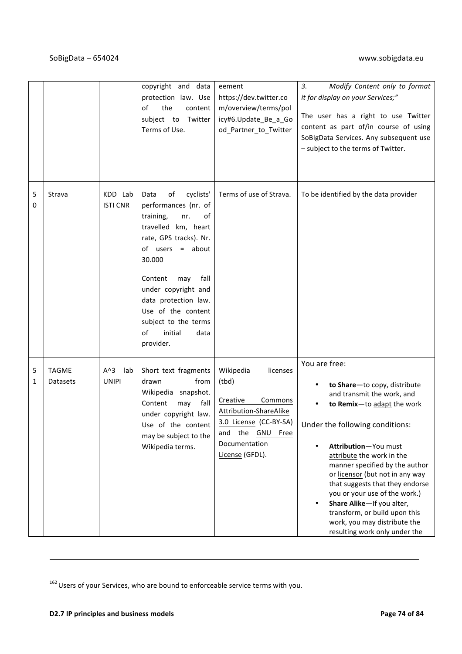|        |                                 |                                      | copyright and data<br>protection law. Use<br>the<br>οf<br>content<br>subject to Twitter<br>Terms of Use.                                                                                                                                                                                                              | eement<br>https://dev.twitter.co<br>m/overview/terms/pol<br>icy#6.Update_Be_a_Go<br>od_Partner_to_Twitter                                                                  | 3.<br>Modify Content only to format<br>it for display on your Services;"<br>The user has a right to use Twitter<br>content as part of/in course of using<br>SoBIgData Services. Any subsequent use<br>- subject to the terms of Twitter.                                                                                                                                                                                                                                  |
|--------|---------------------------------|--------------------------------------|-----------------------------------------------------------------------------------------------------------------------------------------------------------------------------------------------------------------------------------------------------------------------------------------------------------------------|----------------------------------------------------------------------------------------------------------------------------------------------------------------------------|---------------------------------------------------------------------------------------------------------------------------------------------------------------------------------------------------------------------------------------------------------------------------------------------------------------------------------------------------------------------------------------------------------------------------------------------------------------------------|
| 5<br>0 | Strava                          | KDD Lab<br><b>ISTI CNR</b>           | cyclists'<br>Data<br>of<br>performances (nr. of<br>training,<br>nr.<br>of<br>travelled km, heart<br>rate, GPS tracks). Nr.<br>of users = about<br>30.000<br>Content<br>may<br>fall<br>under copyright and<br>data protection law.<br>Use of the content<br>subject to the terms<br>of<br>initial<br>data<br>provider. | Terms of use of Strava.                                                                                                                                                    | To be identified by the data provider                                                                                                                                                                                                                                                                                                                                                                                                                                     |
| 5<br>1 | <b>TAGME</b><br><b>Datasets</b> | $A^{\wedge}3$<br>lab<br><b>UNIPI</b> | Short text fragments<br>from<br>drawn<br>Wikipedia snapshot.<br>may fall<br>Content<br>under copyright law.<br>Use of the content<br>may be subject to the<br>Wikipedia terms.                                                                                                                                        | Wikipedia<br>licenses<br>(tbd)<br>Creative<br>Commons<br>Attribution-ShareAlike<br>3.0 License (CC-BY-SA)<br>the<br>GNU<br>and<br>Free<br>Documentation<br>License (GFDL). | You are free:<br>to Share-to copy, distribute<br>and transmit the work, and<br>to Remix-to adapt the work<br>Under the following conditions:<br>Attribution-You must<br>attribute the work in the<br>manner specified by the author<br>or licensor (but not in any way<br>that suggests that they endorse<br>you or your use of the work.)<br>Share Alike-If you alter,<br>transform, or build upon this<br>work, you may distribute the<br>resulting work only under the |

<u> 1989 - Andrea San Andrea San Andrea San Andrea San Andrea San Andrea San Andrea San Andrea San Andrea San An</u>

 $162$  Users of your Services, who are bound to enforceable service terms with you.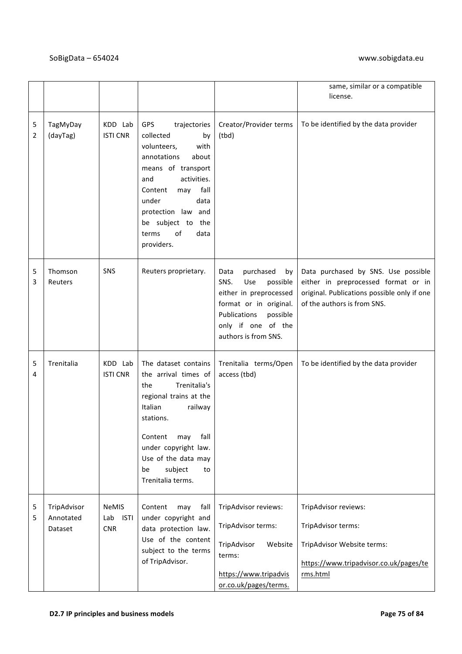# SoBigData – 654024 www.sobigdata.eu

|        |                                     |                                           |                                                                                                                                                                                                                                                                  |                                                                                                                                                                                  | same, similar or a compatible<br>license.                                                                                                                |
|--------|-------------------------------------|-------------------------------------------|------------------------------------------------------------------------------------------------------------------------------------------------------------------------------------------------------------------------------------------------------------------|----------------------------------------------------------------------------------------------------------------------------------------------------------------------------------|----------------------------------------------------------------------------------------------------------------------------------------------------------|
| 5<br>2 | TagMyDay<br>(dayTag)                | KDD Lab<br><b>ISTI CNR</b>                | <b>GPS</b><br>trajectories<br>collected<br>by<br>with<br>volunteers,<br>annotations<br>about<br>means of transport<br>activities.<br>and<br>Content<br>may fall<br>under<br>data<br>protection law and<br>be subject to the<br>of<br>terms<br>data<br>providers. | Creator/Provider terms<br>(tbd)                                                                                                                                                  | To be identified by the data provider                                                                                                                    |
| 5<br>3 | Thomson<br>Reuters                  | SNS                                       | Reuters proprietary.                                                                                                                                                                                                                                             | purchased<br>Data<br>by<br>SNS.<br>Use<br>possible<br>either in preprocessed<br>format or in original.<br>Publications<br>possible<br>only if one of the<br>authors is from SNS. | Data purchased by SNS. Use possible<br>either in preprocessed format or in<br>original. Publications possible only if one<br>of the authors is from SNS. |
| 5<br>4 | Trenitalia                          | KDD Lab<br><b>ISTI CNR</b>                | The dataset contains<br>the arrival times of<br>Trenitalia's<br>the<br>regional trains at the<br>Italian<br>railway<br>stations.<br>fall<br>Content<br>may<br>under copyright law.<br>Use of the data may<br>subject<br>be<br>to<br>Trenitalia terms.            | Trenitalia terms/Open<br>access (tbd)                                                                                                                                            | To be identified by the data provider                                                                                                                    |
| 5<br>5 | TripAdvisor<br>Annotated<br>Dataset | NeMIS<br>Lab<br><b>ISTI</b><br><b>CNR</b> | fall<br>Content<br>may<br>under copyright and<br>data protection law.<br>Use of the content<br>subject to the terms<br>of TripAdvisor.                                                                                                                           | TripAdvisor reviews:<br>TripAdvisor terms:<br>TripAdvisor<br>Website<br>terms:<br>https://www.tripadvis<br>or.co.uk/pages/terms.                                                 | TripAdvisor reviews:<br>TripAdvisor terms:<br>TripAdvisor Website terms:<br>https://www.tripadvisor.co.uk/pages/te<br>rms.html                           |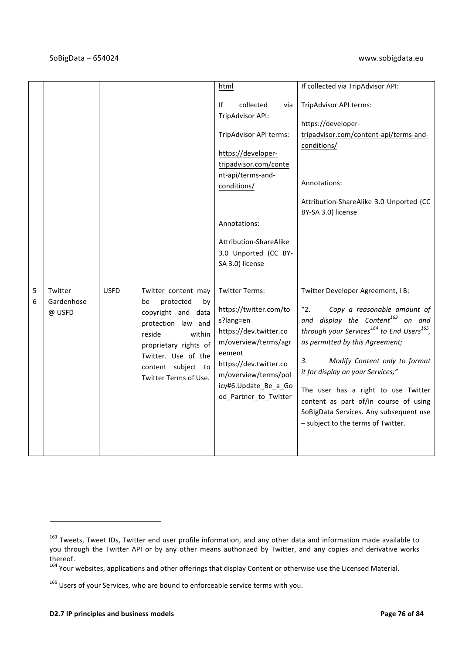|        |                                 |             |                                                                                                                                                                                                             | html                                                                                                                                                                                                                                         | If collected via TripAdvisor API:                                                                                                                                                                                                                                                                                                                                                                                                                                             |
|--------|---------------------------------|-------------|-------------------------------------------------------------------------------------------------------------------------------------------------------------------------------------------------------------|----------------------------------------------------------------------------------------------------------------------------------------------------------------------------------------------------------------------------------------------|-------------------------------------------------------------------------------------------------------------------------------------------------------------------------------------------------------------------------------------------------------------------------------------------------------------------------------------------------------------------------------------------------------------------------------------------------------------------------------|
|        |                                 |             |                                                                                                                                                                                                             | lf<br>collected<br>via<br>TripAdvisor API:<br>TripAdvisor API terms:<br>https://developer-<br>tripadvisor.com/conte<br>nt-api/terms-and-<br>conditions/<br>Annotations:<br>Attribution-ShareAlike<br>3.0 Unported (CC BY-<br>SA 3.0) license | TripAdvisor API terms:<br>https://developer-<br>tripadvisor.com/content-api/terms-and-<br>conditions/<br>Annotations:<br>Attribution-ShareAlike 3.0 Unported (CC<br>BY-SA 3.0) license                                                                                                                                                                                                                                                                                        |
| 5<br>6 | Twitter<br>Gardenhose<br>@ USFD | <b>USFD</b> | Twitter content may<br>protected<br>be<br>by<br>copyright and data<br>protection law and<br>reside<br>within<br>proprietary rights of<br>Twitter. Use of the<br>content subject to<br>Twitter Terms of Use. | <b>Twitter Terms:</b><br>https://twitter.com/to<br>s?lang=en<br>https://dev.twitter.co<br>m/overview/terms/agr<br>eement<br>https://dev.twitter.co<br>m/overview/terms/pol<br>icy#6.Update_Be_a_Go<br>od_Partner_to_Twitter                  | Twitter Developer Agreement, I B:<br>"2.<br>Copy a reasonable amount of<br>and display the Content <sup>163</sup> on and<br>through your Services <sup>164</sup> to End Users <sup>165</sup> ,<br>as permitted by this Agreement;<br>3.<br>Modify Content only to format<br>it for display on your Services;"<br>The user has a right to use Twitter<br>content as part of/in course of using<br>SoBIgData Services. Any subsequent use<br>- subject to the terms of Twitter. |

<u> 1989 - Johann Stein, fransk politiker (d. 1989)</u>

 $163$  Tweets, Tweet IDs, Twitter end user profile information, and any other data and information made available to you through the Twitter API or by any other means authorized by Twitter, and any copies and derivative works thereof.

 $164$  Your websites, applications and other offerings that display Content or otherwise use the Licensed Material.

 $165$  Users of your Services, who are bound to enforceable service terms with you.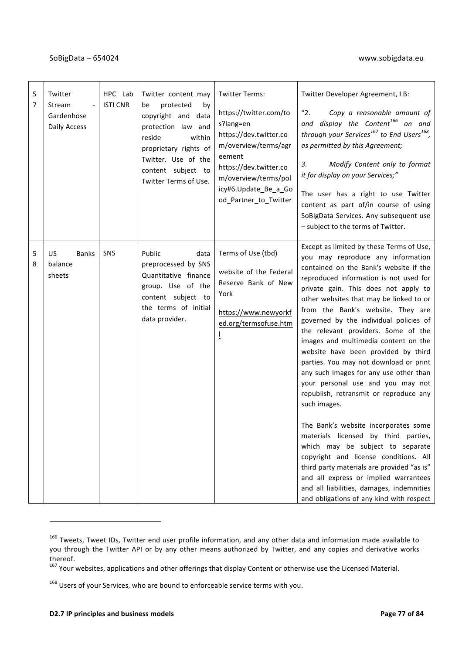| 5<br>7 | Twitter<br>Stream<br>Gardenhose<br>Daily Access | HPC Lab<br><b>ISTI CNR</b> | Twitter content may<br>protected<br>be<br>by<br>copyright and data<br>protection law and<br>reside<br>within<br>proprietary rights of<br>Twitter. Use of the<br>content subject to<br>Twitter Terms of Use. | <b>Twitter Terms:</b><br>https://twitter.com/to<br>s?lang=en<br>https://dev.twitter.co<br>m/overview/terms/agr<br>eement<br>https://dev.twitter.co<br>m/overview/terms/pol<br>icy#6.Update_Be_a_Go<br>od_Partner_to_Twitter | Twitter Developer Agreement, I B:<br>"2.<br>Copy a reasonable amount of<br>and display the Content <sup>166</sup> on and<br>through your Services <sup>167</sup> to End Users <sup>168</sup> ,<br>as permitted by this Agreement;<br>3.<br>Modify Content only to format<br>it for display on your Services;"<br>The user has a right to use Twitter<br>content as part of/in course of using<br>SoBIgData Services. Any subsequent use<br>- subject to the terms of Twitter.                                                                                                                                                                                                                                                                                                                                                                                                                                                                                                             |
|--------|-------------------------------------------------|----------------------------|-------------------------------------------------------------------------------------------------------------------------------------------------------------------------------------------------------------|-----------------------------------------------------------------------------------------------------------------------------------------------------------------------------------------------------------------------------|-------------------------------------------------------------------------------------------------------------------------------------------------------------------------------------------------------------------------------------------------------------------------------------------------------------------------------------------------------------------------------------------------------------------------------------------------------------------------------------------------------------------------------------------------------------------------------------------------------------------------------------------------------------------------------------------------------------------------------------------------------------------------------------------------------------------------------------------------------------------------------------------------------------------------------------------------------------------------------------------|
| 5<br>8 | US.<br><b>Banks</b><br>balance<br>sheets        | SNS                        | Public<br>data<br>preprocessed by SNS<br>Quantitative finance<br>group. Use of the<br>content subject to<br>the terms of initial<br>data provider.                                                          | Terms of Use (tbd)<br>website of the Federal<br>Reserve Bank of New<br>York<br>https://www.newyorkf<br>ed.org/termsofuse.htm                                                                                                | Except as limited by these Terms of Use,<br>you may reproduce any information<br>contained on the Bank's website if the<br>reproduced information is not used for<br>private gain. This does not apply to<br>other websites that may be linked to or<br>from the Bank's website. They are<br>governed by the individual policies of<br>the relevant providers. Some of the<br>images and multimedia content on the<br>website have been provided by third<br>parties. You may not download or print<br>any such images for any use other than<br>your personal use and you may not<br>republish, retransmit or reproduce any<br>such images.<br>The Bank's website incorporates some<br>materials licensed by third parties,<br>which may be subject to separate<br>copyright and license conditions. All<br>third party materials are provided "as is"<br>and all express or implied warrantees<br>and all liabilities, damages, indemnities<br>and obligations of any kind with respect |

 $166$  Tweets, Tweet IDs, Twitter end user profile information, and any other data and information made available to you through the Twitter API or by any other means authorized by Twitter, and any copies and derivative works thereof.

<u> 1989 - Johann Stein, fransk politiker (d. 1989)</u>

 $^{167}$  Your websites, applications and other offerings that display Content or otherwise use the Licensed Material.

 $168$  Users of your Services, who are bound to enforceable service terms with you.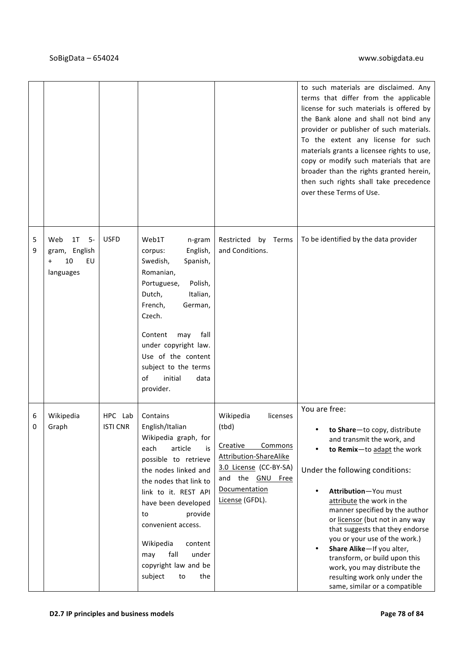# SoBigData – 654024 www.sobigdata.eu

|        |                                                                          |                            |                                                                                                                                                                                                                                                                                                                                              |                                                                                                                                                                          | to such materials are disclaimed. Any<br>terms that differ from the applicable<br>license for such materials is offered by<br>the Bank alone and shall not bind any<br>provider or publisher of such materials.<br>To the extent any license for such<br>materials grants a licensee rights to use,<br>copy or modify such materials that are<br>broader than the rights granted herein,<br>then such rights shall take precedence<br>over these Terms of Use.                                             |
|--------|--------------------------------------------------------------------------|----------------------------|----------------------------------------------------------------------------------------------------------------------------------------------------------------------------------------------------------------------------------------------------------------------------------------------------------------------------------------------|--------------------------------------------------------------------------------------------------------------------------------------------------------------------------|------------------------------------------------------------------------------------------------------------------------------------------------------------------------------------------------------------------------------------------------------------------------------------------------------------------------------------------------------------------------------------------------------------------------------------------------------------------------------------------------------------|
| 5<br>9 | 1T<br>$5-$<br>Web<br>gram, English<br>EU<br>10<br>$\ddot{}$<br>languages | <b>USFD</b>                | Web1T<br>n-gram<br>English,<br>corpus:<br>Swedish,<br>Spanish,<br>Romanian,<br>Polish,<br>Portuguese,<br>Dutch,<br>Italian,<br>French,<br>German,<br>Czech.<br>Content<br>fall<br>may<br>under copyright law.<br>Use of the content<br>subject to the terms<br>of<br>initial<br>data<br>provider.                                            | Restricted<br>by<br>Terms<br>and Conditions.                                                                                                                             | To be identified by the data provider                                                                                                                                                                                                                                                                                                                                                                                                                                                                      |
| 6<br>0 | Wikipedia<br>Graph                                                       | HPC Lab<br><b>ISTI CNR</b> | Contains<br>English/Italian<br>Wikipedia graph, for<br>article<br>each<br>is<br>possible to retrieve<br>the nodes linked and<br>the nodes that link to<br>link to it. REST API<br>have been developed<br>provide<br>to<br>convenient access.<br>Wikipedia<br>content<br>fall<br>under<br>may<br>copyright law and be<br>subject<br>the<br>to | Wikipedia<br>licenses<br>(tbd)<br>Creative<br>Commons<br>Attribution-ShareAlike<br>3.0 License (CC-BY-SA)<br>and the GNU Free<br><b>Documentation</b><br>License (GFDL). | You are free:<br>to Share-to copy, distribute<br>and transmit the work, and<br>to Remix-to adapt the work<br>Under the following conditions:<br>Attribution-You must<br>attribute the work in the<br>manner specified by the author<br>or licensor (but not in any way<br>that suggests that they endorse<br>you or your use of the work.)<br>Share Alike-If you alter,<br>transform, or build upon this<br>work, you may distribute the<br>resulting work only under the<br>same, similar or a compatible |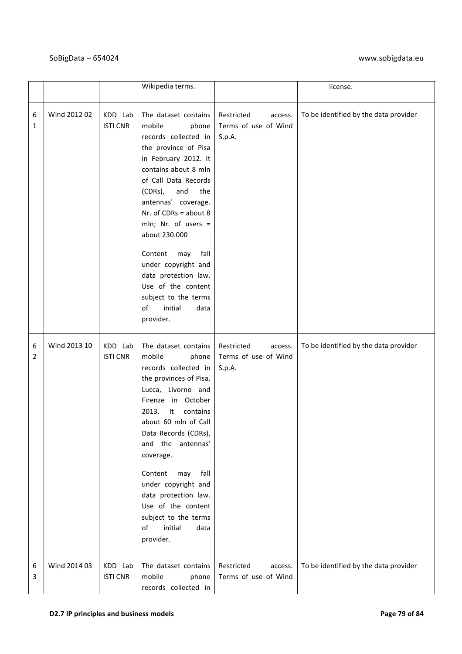# SoBigData – 654024 www.sobigdata.eu

|        |              |                            | Wikipedia terms.                                                                                                                                                                                                                                                                                                                                                                                                                              |                                                         | license.                              |
|--------|--------------|----------------------------|-----------------------------------------------------------------------------------------------------------------------------------------------------------------------------------------------------------------------------------------------------------------------------------------------------------------------------------------------------------------------------------------------------------------------------------------------|---------------------------------------------------------|---------------------------------------|
| 6<br>1 | Wind 2012 02 | KDD Lab<br><b>ISTI CNR</b> | The dataset contains<br>mobile<br>phone<br>records collected in<br>the province of Pisa<br>in February 2012. It<br>contains about 8 mln<br>of Call Data Records<br>(CDRs),<br>and<br>the<br>antennas' coverage.<br>Nr. of CDRs = about 8<br>mln; Nr. of users =<br>about 230.000<br>Content<br>may<br>fall<br>under copyright and<br>data protection law.<br>Use of the content<br>subject to the terms<br>initial<br>of<br>data<br>provider. | Restricted<br>access.<br>Terms of use of Wind<br>S.p.A. | To be identified by the data provider |
| 6<br>2 | Wind 2013 10 | KDD Lab<br><b>ISTI CNR</b> | The dataset contains<br>mobile<br>phone<br>records collected in<br>the provinces of Pisa,<br>Lucca, Livorno and<br>Firenze in October<br>2013.<br>contains<br>It<br>about 60 mln of Call<br>Data Records (CDRs),<br>and the antennas'<br>coverage.<br>Content<br>may fall<br>under copyright and<br>data protection law.<br>Use of the content<br>subject to the terms<br>initial<br>of<br>data<br>provider.                                  | Restricted<br>access.<br>Terms of use of Wind<br>S.p.A. | To be identified by the data provider |
| 6<br>3 | Wind 2014 03 | KDD Lab<br><b>ISTI CNR</b> | The dataset contains<br>mobile<br>phone<br>records collected in                                                                                                                                                                                                                                                                                                                                                                               | Restricted<br>access.<br>Terms of use of Wind           | To be identified by the data provider |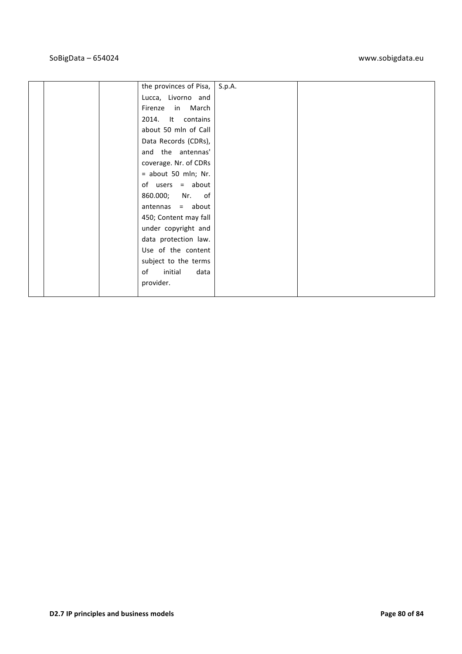|  | the provinces of Pisa, $\vert$ S.p.A. |  |
|--|---------------------------------------|--|
|  | Lucca, Livorno and                    |  |
|  | Firenze in March                      |  |
|  | 2014. It contains                     |  |
|  | about 50 mln of Call                  |  |
|  | Data Records (CDRs),                  |  |
|  | and the antennas'                     |  |
|  | coverage. Nr. of CDRs                 |  |
|  | $=$ about 50 mln; Nr.                 |  |
|  | of users = about                      |  |
|  | 860.000; Nr. of                       |  |
|  | $antennas = about$                    |  |
|  | 450; Content may fall                 |  |
|  | under copyright and                   |  |
|  | data protection law.                  |  |
|  | Use of the content                    |  |
|  | subject to the terms                  |  |
|  | initial<br>of<br>data                 |  |
|  | provider.                             |  |
|  |                                       |  |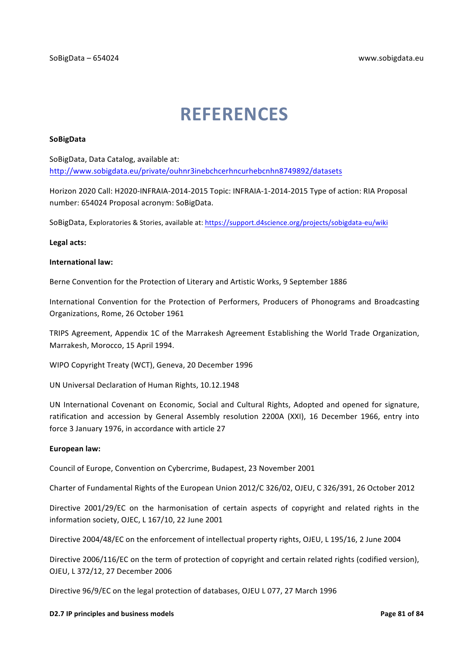# **REFERENCES**

### **SoBigData**

SoBigData, Data Catalog, available at: http://www.sobigdata.eu/private/ouhnr3inebchcerhncurhebcnhn8749892/datasets

Horizon 2020 Call: H2020-INFRAIA-2014-2015 Topic: INFRAIA-1-2014-2015 Type of action: RIA Proposal number: 654024 Proposal acronym: SoBigData.

SoBigData, Exploratories & Stories, available at: https://support.d4science.org/projects/sobigdata-eu/wiki

#### **Legal acts:**

### **International law:**

Berne Convention for the Protection of Literary and Artistic Works, 9 September 1886

International Convention for the Protection of Performers, Producers of Phonograms and Broadcasting Organizations, Rome, 26 October 1961

TRIPS Agreement, Appendix 1C of the Marrakesh Agreement Establishing the World Trade Organization, Marrakesh, Morocco, 15 April 1994.

WIPO Copyright Treaty (WCT), Geneva, 20 December 1996

UN Universal Declaration of Human Rights, 10.12.1948

UN International Covenant on Economic, Social and Cultural Rights, Adopted and opened for signature, ratification and accession by General Assembly resolution 2200A (XXI), 16 December 1966, entry into force 3 January 1976, in accordance with article 27

#### **European law:**

Council of Europe, Convention on Cybercrime, Budapest, 23 November 2001

Charter of Fundamental Rights of the European Union 2012/C 326/02, OJEU, C 326/391, 26 October 2012

Directive 2001/29/EC on the harmonisation of certain aspects of copyright and related rights in the information society, OJEC, L 167/10, 22 June 2001

Directive 2004/48/EC on the enforcement of intellectual property rights, OJEU, L 195/16, 2 June 2004

Directive 2006/116/EC on the term of protection of copyright and certain related rights (codified version), OJEU, L 372/12, 27 December 2006

Directive 96/9/EC on the legal protection of databases, OJEU L 077, 27 March 1996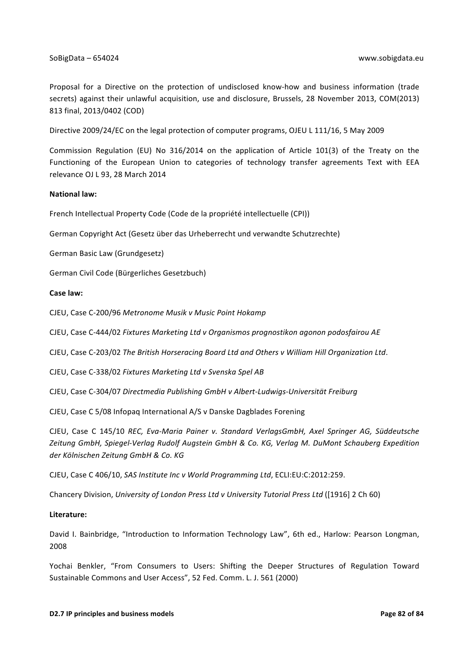Proposal for a Directive on the protection of undisclosed know-how and business information (trade secrets) against their unlawful acquisition, use and disclosure, Brussels, 28 November 2013, COM(2013) 813 final, 2013/0402 (COD)

Directive 2009/24/EC on the legal protection of computer programs, OJEU L 111/16, 5 May 2009

Commission Regulation (EU) No  $316/2014$  on the application of Article  $101(3)$  of the Treaty on the Functioning of the European Union to categories of technology transfer agreements Text with EEA relevance OJ L 93, 28 March 2014

#### **National law:**

French Intellectual Property Code (Code de la propriété intellectuelle (CPI))

German Copyright Act (Gesetz über das Urheberrecht und verwandte Schutzrechte)

German Basic Law (Grundgesetz)

German Civil Code (Bürgerliches Gesetzbuch)

#### **Case law:**

CJEU, Case C-200/96 *Metronome Musik v Music Point Hokamp*

CJEU, Case C-444/02 Fixtures Marketing Ltd v Organismos prognostikon agonon podosfairou AE

CJEU, Case C-203/02 The British Horseracing Board Ltd and Others v William Hill Organization Ltd.

CJEU, Case C-338/02 Fixtures Marketing Ltd v Svenska Spel AB

CJEU, Case C-304/07 *Directmedia Publishing GmbH v Albert-Ludwigs-Universität Freiburg*

CJEU, Case C 5/08 Infopaq International A/S v Danske Dagblades Forening

CJEU, Case C 145/10 *REC, Eva-Maria Painer v. Standard VerlagsGmbH, Axel Springer AG, Süddeutsche* Zeitung GmbH, Spiegel-Verlag Rudolf Augstein GmbH & Co. KG, Verlag M. DuMont Schauberg Expedition *der Kölnischen Zeitung GmbH & Co. KG*

CJEU, Case C 406/10, *SAS Institute Inc v World Programming Ltd*, ECLI:EU:C:2012:259.

Chancery Division, *University of London Press Ltd v University Tutorial Press Ltd* ([1916] 2 Ch 60)

#### **Literature:**

David I. Bainbridge, "Introduction to Information Technology Law", 6th ed., Harlow: Pearson Longman, 2008

Yochai Benkler, "From Consumers to Users: Shifting the Deeper Structures of Regulation Toward Sustainable Commons and User Access", 52 Fed. Comm. L. J. 561 (2000)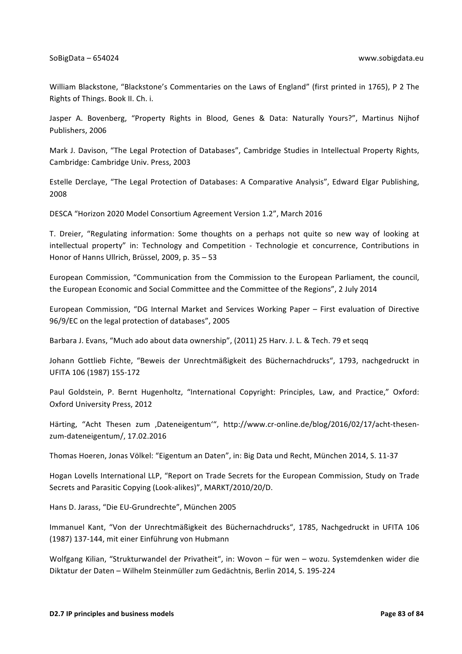William Blackstone, "Blackstone's Commentaries on the Laws of England" (first printed in 1765), P 2 The Rights of Things. Book II. Ch. i.

Jasper A. Bovenberg, "Property Rights in Blood, Genes & Data: Naturally Yours?", Martinus Nijhof Publishers, 2006

Mark J. Davison, "The Legal Protection of Databases", Cambridge Studies in Intellectual Property Rights, Cambridge: Cambridge Univ. Press, 2003

Estelle Derclaye, "The Legal Protection of Databases: A Comparative Analysis", Edward Elgar Publishing, 2008

DESCA "Horizon 2020 Model Consortium Agreement Version 1.2", March 2016

T. Dreier, "Regulating information: Some thoughts on a perhaps not quite so new way of looking at intellectual property" in: Technology and Competition - Technologie et concurrence, Contributions in Honor of Hanns Ullrich, Brüssel, 2009, p.  $35 - 53$ 

European Commission, "Communication from the Commission to the European Parliament, the council, the European Economic and Social Committee and the Committee of the Regions", 2 July 2014

European Commission, "DG Internal Market and Services Working Paper – First evaluation of Directive 96/9/EC on the legal protection of databases", 2005

Barbara J. Evans, "Much ado about data ownership", (2011) 25 Harv. J. L. & Tech. 79 et seqq

Johann Gottlieb Fichte, "Beweis der Unrechtmäßigkeit des Büchernachdrucks", 1793, nachgedruckt in UFITA 106 (1987) 155-172

Paul Goldstein, P. Bernt Hugenholtz, "International Copyright: Principles, Law, and Practice," Oxford: Oxford University Press, 2012

Härting, "Acht Thesen zum ,Dateneigentum", http://www.cr-online.de/blog/2016/02/17/acht-thesenzum-dateneigentum/, 17.02.2016

Thomas Hoeren, Jonas Völkel: "Eigentum an Daten", in: Big Data und Recht, München 2014, S. 11-37

Hogan Lovells International LLP, "Report on Trade Secrets for the European Commission, Study on Trade Secrets and Parasitic Copying (Look-alikes)", MARKT/2010/20/D.

Hans D. Jarass, "Die EU-Grundrechte", München 2005

Immanuel Kant, "Von der Unrechtmäßigkeit des Büchernachdrucks", 1785, Nachgedruckt in UFITA 106 (1987) 137-144, mit einer Einführung von Hubmann

Wolfgang Kilian, "Strukturwandel der Privatheit", in: Wovon – für wen – wozu. Systemdenken wider die Diktatur der Daten – Wilhelm Steinmüller zum Gedächtnis, Berlin 2014, S. 195-224